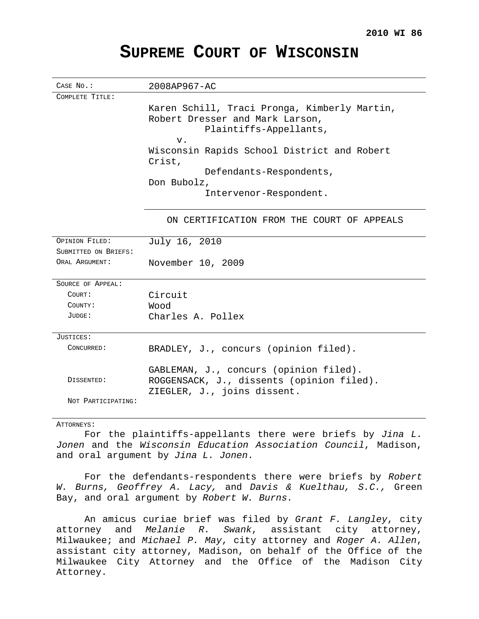## **SUPREME COURT OF WISCONSIN**

| CASE No.:            | 2008AP967-AC                                 |
|----------------------|----------------------------------------------|
| COMPLETE TITLE:      |                                              |
|                      | Karen Schill, Traci Pronga, Kimberly Martin, |
|                      | Robert Dresser and Mark Larson,              |
|                      | Plaintiffs-Appellants,                       |
|                      | $V$ .                                        |
|                      | Wisconsin Rapids School District and Robert  |
|                      | Crist,                                       |
|                      | Defendants-Respondents,                      |
|                      | Don Bubolz,                                  |
|                      | Intervenor-Respondent.                       |
|                      |                                              |
|                      | ON CERTIFICATION FROM THE COURT OF APPEALS   |
|                      |                                              |
| OPINION FILED:       | July 16, 2010                                |
| SUBMITTED ON BRIEFS: |                                              |
| ORAL ARGUMENT:       | November 10, 2009                            |
|                      |                                              |
| SOURCE OF APPEAL:    |                                              |
| COURT:               | Circuit                                      |
| COUNTY:              | booW                                         |
| JUDGE:               | Charles A. Pollex                            |
| JUSTICES:            |                                              |
| CONCURRED:           | BRADLEY, J., concurs (opinion filed).        |
|                      |                                              |
|                      | GABLEMAN, J., concurs (opinion filed).       |
| DISSENTED:           | ROGGENSACK, J., dissents (opinion filed).    |
|                      | ZIEGLER, J., joins dissent.                  |
| NOT PARTICIPATING:   |                                              |
|                      |                                              |

## ATTORNEYS:

For the plaintiffs-appellants there were briefs by Jina L. Jonen and the Wisconsin Education Association Council, Madison, and oral argument by Jina L. Jonen.

For the defendants-respondents there were briefs by Robert W. Burns, Geoffrey A. Lacy, and Davis & Kuelthau, S.C., Green Bay, and oral argument by Robert W. Burns.

An amicus curiae brief was filed by Grant F. Langley, city attorney and Melanie R. Swank, assistant city attorney, Milwaukee; and Michael P. May, city attorney and Roger A. Allen, assistant city attorney, Madison, on behalf of the Office of the Milwaukee City Attorney and the Office of the Madison City Attorney.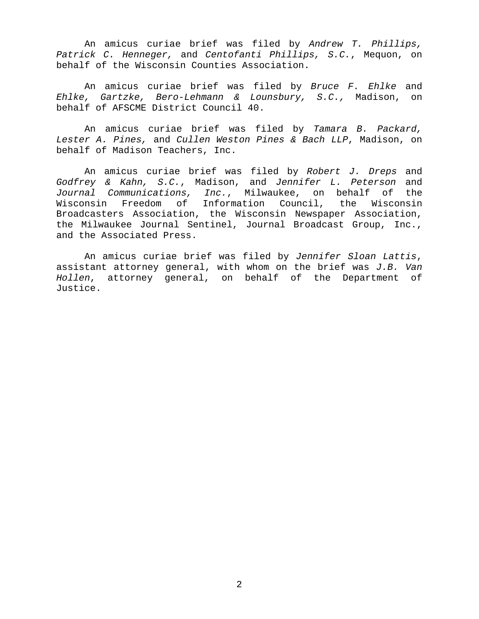An amicus curiae brief was filed by Andrew T. Phillips, Patrick C. Henneger, and Centofanti Phillips, S.C., Mequon, on behalf of the Wisconsin Counties Association.

An amicus curiae brief was filed by Bruce F. Ehlke and Ehlke, Gartzke, Bero-Lehmann & Lounsbury, S.C., Madison, on behalf of AFSCME District Council 40.

An amicus curiae brief was filed by Tamara B. Packard, Lester A. Pines, and Cullen Weston Pines & Bach LLP, Madison, on behalf of Madison Teachers, Inc.

An amicus curiae brief was filed by Robert J. Dreps and Godfrey & Kahn, S.C., Madison, and Jennifer L. Peterson and Journal Communications, Inc., Milwaukee, on behalf of the Wisconsin Freedom of Information Council, the Wisconsin Broadcasters Association, the Wisconsin Newspaper Association, the Milwaukee Journal Sentinel, Journal Broadcast Group, Inc., and the Associated Press.

An amicus curiae brief was filed by Jennifer Sloan Lattis, assistant attorney general, with whom on the brief was  $J.B.$  Van Hollen, attorney general, on behalf of the Department of Justice.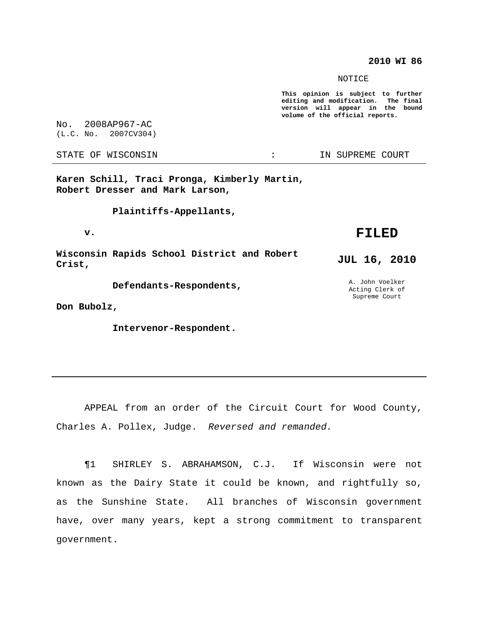## **2010 WI 86**

NOTICE

**This opinion is subject to further editing and modification. The final version will appear in the bound volume of the official reports.**

No. 2008AP967-AC (L.C. No. 2007CV304)

**Karen Schill, Traci Pronga, Kimberly Martin, Robert Dresser and Mark Larson,**

**Plaintiffs-Appellants,**

**v.**

**Wisconsin Rapids School District and Robert Crist,**

**Defendants-Respondents,**

**Don Bubolz,**

**Intervenor-Respondent.**

**FILED**

**JUL 16, 2010**

A. John Voelker Acting Clerk of Supreme Court

APPEAL from an order of the Circuit Court for Wood County, Charles A. Pollex, Judge. Reversed and remanded.

¶1 SHIRLEY S. ABRAHAMSON, C.J. If Wisconsin were not known as the Dairy State it could be known, and rightfully so, as the Sunshine State. All branches of Wisconsin government have, over many years, kept a strong commitment to transparent government.

STATE OF WISCONSIN THE RESERVE STATE OF WISCONSIN STATE OF THE SUPREME COURT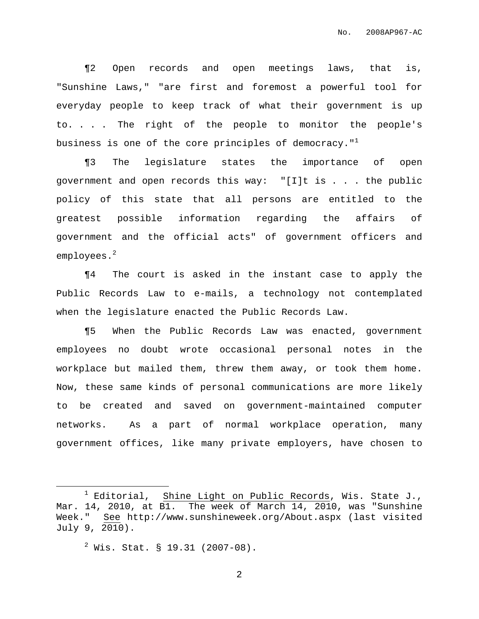¶2 Open records and open meetings laws, that is, "Sunshine Laws," "are first and foremost a powerful tool for everyday people to keep track of what their government is up to. . . . The right of the people to monitor the people's business is one of the core principles of democracy." $^{\rm 1}$ 

¶3 The legislature states the importance of open government and open records this way: "[I]t is . . . the public policy of this state that all persons are entitled to the greatest possible information regarding the affairs of government and the official acts" of government officers and employees. 2

¶4 The court is asked in the instant case to apply the Public Records Law to e-mails, a technology not contemplated when the legislature enacted the Public Records Law.

¶5 When the Public Records Law was enacted, government employees no doubt wrote occasional personal notes in the workplace but mailed them, threw them away, or took them home. Now, these same kinds of personal communications are more likely to be created and saved on government-maintained computer networks. As a part of normal workplace operation, many government offices, like many private employers, have chosen to

 $2$  Wis. Stat. § 19.31 (2007-08).

 $1$  Editorial, Shine Light on Public Records, Wis. State J., Mar. 14, 2010, at B1. The week of March 14, 2010, was "Sunshine Week." See http://www.sunshineweek.org/About.aspx (last visited July 9, 2010).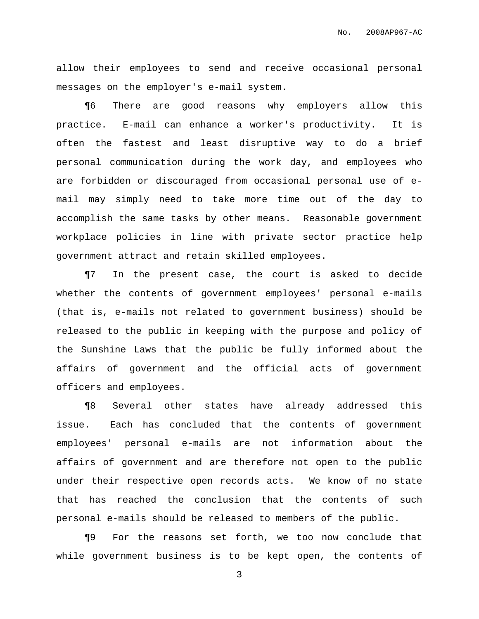allow their employees to send and receive occasional personal messages on the employer's e-mail system.

¶6 There are good reasons why employers allow this practice. E-mail can enhance a worker's productivity. It is often the fastest and least disruptive way to do a brief personal communication during the work day, and employees who are forbidden or discouraged from occasional personal use of email may simply need to take more time out of the day to accomplish the same tasks by other means. Reasonable government workplace policies in line with private sector practice help government attract and retain skilled employees.

¶7 In the present case, the court is asked to decide whether the contents of government employees' personal e-mails (that is, e-mails not related to government business) should be released to the public in keeping with the purpose and policy of the Sunshine Laws that the public be fully informed about the affairs of government and the official acts of government officers and employees.

¶8 Several other states have already addressed this issue. Each has concluded that the contents of government employees' personal e-mails are not information about the affairs of government and are therefore not open to the public under their respective open records acts. We know of no state that has reached the conclusion that the contents of such personal e-mails should be released to members of the public.

¶9 For the reasons set forth, we too now conclude that while government business is to be kept open, the contents of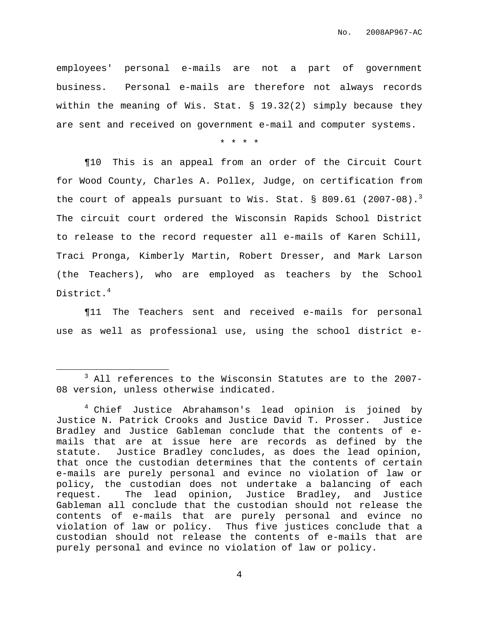employees' personal e-mails are not a part of government business. Personal e-mails are therefore not always records within the meaning of Wis. Stat. § 19.32(2) simply because they are sent and received on government e-mail and computer systems.

\* \* \* \*

¶10 This is an appeal from an order of the Circuit Court for Wood County, Charles A. Pollex, Judge, on certification from the court of appeals pursuant to Wis. Stat.  $\S$  809.61 (2007-08).<sup>3</sup> The circuit court ordered the Wisconsin Rapids School District to release to the record requester all e-mails of Karen Schill, Traci Pronga, Kimberly Martin, Robert Dresser, and Mark Larson (the Teachers), who are employed as teachers by the School District. 4

¶11 The Teachers sent and received e-mails for personal use as well as professional use, using the school district e-

<sup>&</sup>lt;sup>3</sup> All references to the Wisconsin Statutes are to the 2007-08 version, unless otherwise indicated.

<sup>&</sup>lt;sup>4</sup> Chief Justice Abrahamson's lead opinion is joined by Justice N. Patrick Crooks and Justice David T. Prosser. Justice Bradley and Justice Gableman conclude that the contents of emails that are at issue here are records as defined by the statute. Justice Bradley concludes, as does the lead opinion, that once the custodian determines that the contents of certain e-mails are purely personal and evince no violation of law or policy, the custodian does not undertake a balancing of each request. The lead opinion, Justice Bradley, and Justice Gableman all conclude that the custodian should not release the contents of e-mails that are purely personal and evince no violation of law or policy. Thus five justices conclude that a custodian should not release the contents of e-mails that are purely personal and evince no violation of law or policy.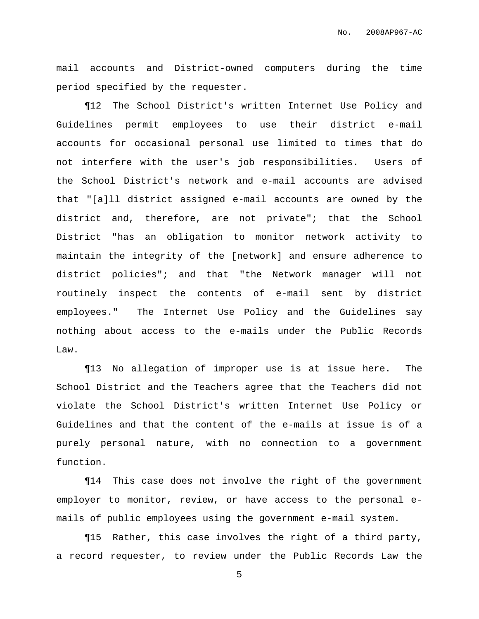mail accounts and District-owned computers during the time period specified by the requester.

¶12 The School District's written Internet Use Policy and Guidelines permit employees to use their district e-mail accounts for occasional personal use limited to times that do not interfere with the user's job responsibilities. Users of the School District's network and e-mail accounts are advised that "[a]ll district assigned e-mail accounts are owned by the district and, therefore, are not private"; that the School District "has an obligation to monitor network activity to maintain the integrity of the [network] and ensure adherence to district policies"; and that "the Network manager will not routinely inspect the contents of e-mail sent by district employees." The Internet Use Policy and the Guidelines say nothing about access to the e-mails under the Public Records Law.

¶13 No allegation of improper use is at issue here. The School District and the Teachers agree that the Teachers did not violate the School District's written Internet Use Policy or Guidelines and that the content of the e-mails at issue is of a purely personal nature, with no connection to a government function.

¶14 This case does not involve the right of the government employer to monitor, review, or have access to the personal emails of public employees using the government e-mail system.

¶15 Rather, this case involves the right of a third party, a record requester, to review under the Public Records Law the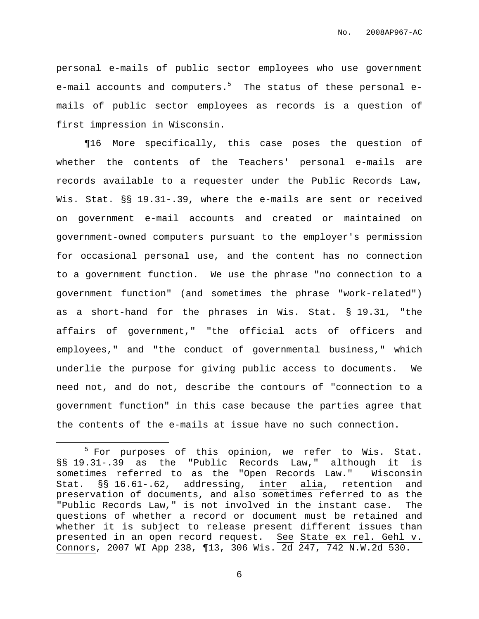personal e-mails of public sector employees who use government e-mail accounts and computers.<sup>5</sup> The status of these personal emails of public sector employees as records is a question of first impression in Wisconsin.

¶16 More specifically, this case poses the question of whether the contents of the Teachers' personal e-mails are records available to a requester under the Public Records Law, Wis. Stat. §§ 19.31-.39, where the e-mails are sent or received on government e-mail accounts and created or maintained on government-owned computers pursuant to the employer's permission for occasional personal use, and the content has no connection to a government function. We use the phrase "no connection to a government function" (and sometimes the phrase "work-related") as a short-hand for the phrases in Wis. Stat. § 19.31, "the affairs of government," "the official acts of officers and employees," and "the conduct of governmental business," which underlie the purpose for giving public access to documents. We need not, and do not, describe the contours of "connection to a government function" in this case because the parties agree that the contents of the e-mails at issue have no such connection.

<sup>&</sup>lt;sup>5</sup> For purposes of this opinion, we refer to Wis. Stat. §§ 19.31-.39 as the "Public Records Law," although it is sometimes referred to as the "Open Records Law." Wisconsin Stat. §§ 16.61-.62, addressing, inter alia, retention and preservation of documents, and also sometimes referred to as the "Public Records Law," is not involved in the instant case. The questions of whether a record or document must be retained and whether it is subject to release present different issues than presented in an open record request. See State ex rel. Gehl v. Connors, 2007 WI App 238, ¶13, 306 Wis. 2d 247, 742 N.W.2d 530.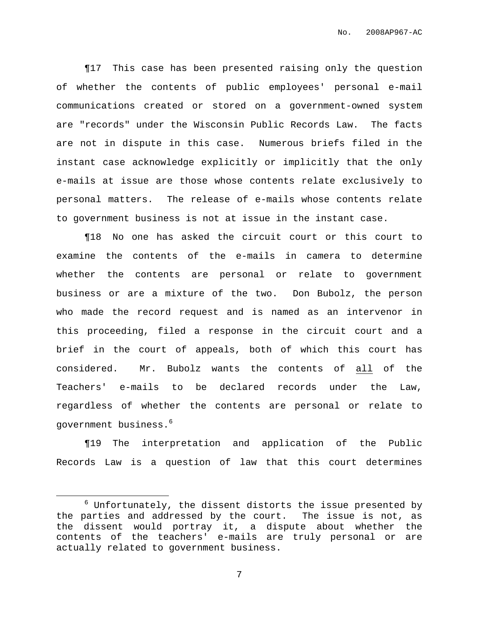¶17 This case has been presented raising only the question of whether the contents of public employees' personal e-mail communications created or stored on a government-owned system are "records" under the Wisconsin Public Records Law. The facts are not in dispute in this case. Numerous briefs filed in the instant case acknowledge explicitly or implicitly that the only e-mails at issue are those whose contents relate exclusively to personal matters. The release of e-mails whose contents relate to government business is not at issue in the instant case.

¶18 No one has asked the circuit court or this court to examine the contents of the e-mails in camera to determine whether the contents are personal or relate to government business or are a mixture of the two. Don Bubolz, the person who made the record request and is named as an intervenor in this proceeding, filed a response in the circuit court and a brief in the court of appeals, both of which this court has considered. Mr. Bubolz wants the contents of all of the Teachers' e-mails to be declared records under the Law, regardless of whether the contents are personal or relate to government business. 6

¶19 The interpretation and application of the Public Records Law is a question of law that this court determines

 $6$  Unfortunately, the dissent distorts the issue presented by the parties and addressed by the court. The issue is not, as the dissent would portray it, a dispute about whether the contents of the teachers' e-mails are truly personal or are actually related to government business.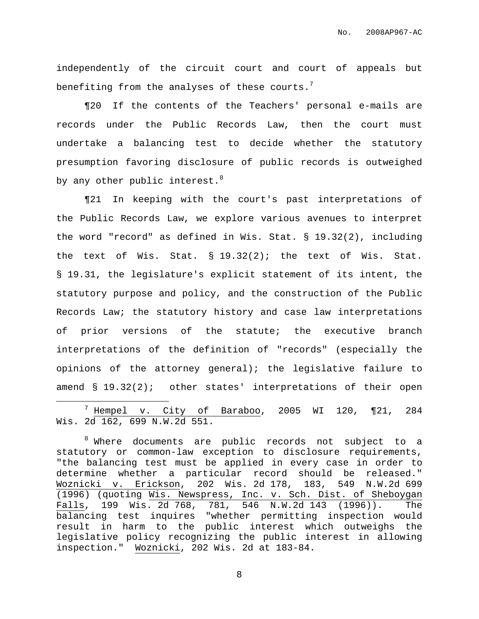independently of the circuit court and court of appeals but benefiting from the analyses of these courts. $^7$ 

¶20 If the contents of the Teachers' personal e-mails are records under the Public Records Law, then the court must undertake a balancing test to decide whether the statutory presumption favoring disclosure of public records is outweighed by any other public interest. $^8$ 

¶21 In keeping with the court's past interpretations of the Public Records Law, we explore various avenues to interpret the word "record" as defined in Wis. Stat. § 19.32(2), including the text of Wis. Stat. § 19.32(2); the text of Wis. Stat. § 19.31, the legislature's explicit statement of its intent, the statutory purpose and policy, and the construction of the Public Records Law; the statutory history and case law interpretations of prior versions of the statute; the executive branch interpretations of the definition of "records" (especially the opinions of the attorney general); the legislative failure to amend § 19.32(2); other states' interpretations of their open

 $^7$  Hempel v. City of Baraboo, 2005 WI 120, ¶21, 284 Wis. 2d 162, 699 N.W.2d 551.

<sup>8</sup> Where documents are public records not subject to a statutory or common-law exception to disclosure requirements, "the balancing test must be applied in every case in order to determine whether a particular record should be released." Woznicki v. Erickson, 202 Wis. 2d 178, 183, 549 N.W.2d 699 (1996) (quoting Wis. Newspress, Inc. v. Sch. Dist. of Sheboygan Falls, 199 Wis. 2d 768, 781, 546 N.W.2d 143 (1996)). The balancing test inquires "whether permitting inspection would result in harm to the public interest which outweighs the legislative policy recognizing the public interest in allowing inspection." Woznicki, 202 Wis. 2d at 183-84.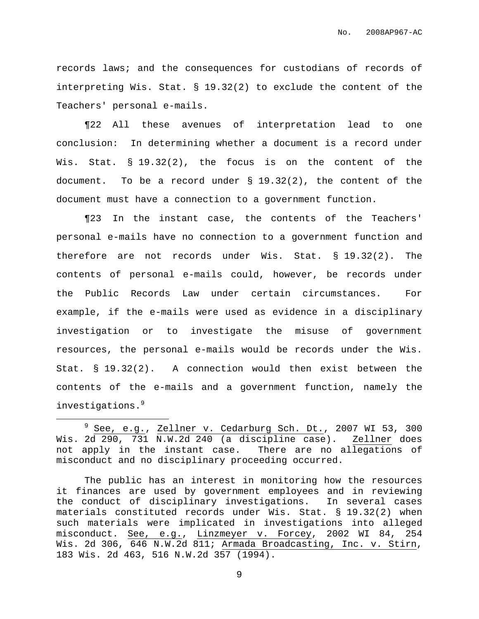records laws; and the consequences for custodians of records of interpreting Wis. Stat. § 19.32(2) to exclude the content of the Teachers' personal e-mails.

¶22 All these avenues of interpretation lead to one conclusion: In determining whether a document is a record under Wis. Stat. § 19.32(2), the focus is on the content of the document. To be a record under § 19.32(2), the content of the document must have a connection to a government function.

¶23 In the instant case, the contents of the Teachers' personal e-mails have no connection to a government function and therefore are not records under Wis. Stat. § 19.32(2). The contents of personal e-mails could, however, be records under the Public Records Law under certain circumstances. For example, if the e-mails were used as evidence in a disciplinary investigation or to investigate the misuse of government resources, the personal e-mails would be records under the Wis. Stat. § 19.32(2). A connection would then exist between the contents of the e-mails and a government function, namely the investigations. 9

See, e.g., Zellner v. Cedarburg Sch. Dt., 2007 WI 53, 300 Wis. 2d 290, 731 N.W.2d 240 (a discipline case). Zellner does not apply in the instant case. There are no allegations of misconduct and no disciplinary proceeding occurred.

The public has an interest in monitoring how the resources it finances are used by government employees and in reviewing the conduct of disciplinary investigations. In several cases materials constituted records under Wis. Stat. § 19.32(2) when such materials were implicated in investigations into alleged misconduct. See, e.g., Linzmeyer v. Forcey, 2002 WI 84, 254 Wis. 2d 306, 646 N.W.2d 811; Armada Broadcasting, Inc. v. Stirn, 183 Wis. 2d 463, 516 N.W.2d 357 (1994).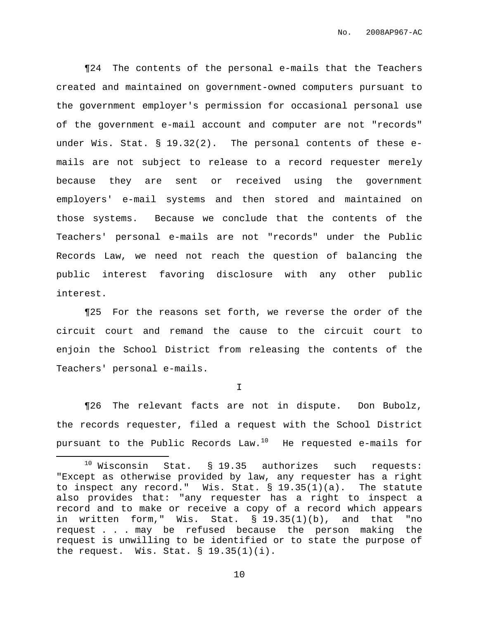¶24 The contents of the personal e-mails that the Teachers created and maintained on government-owned computers pursuant to the government employer's permission for occasional personal use of the government e-mail account and computer are not "records" under Wis. Stat. § 19.32(2). The personal contents of these emails are not subject to release to a record requester merely because they are sent or received using the government employers' e-mail systems and then stored and maintained on those systems. Because we conclude that the contents of the Teachers' personal e-mails are not "records" under the Public Records Law, we need not reach the question of balancing the public interest favoring disclosure with any other public interest.

¶25 For the reasons set forth, we reverse the order of the circuit court and remand the cause to the circuit court to enjoin the School District from releasing the contents of the Teachers' personal e-mails.

I

¶26 The relevant facts are not in dispute. Don Bubolz, the records requester, filed a request with the School District pursuant to the Public Records Law. $^{10}$   $\,$  He requested e-mails for

 $10$  Wisconsin Stat. § 19.35 authorizes such requests: "Except as otherwise provided by law, any requester has a right to inspect any record." Wis. Stat.  $\S$  19.35(1)(a). The statute also provides that: "any requester has a right to inspect a record and to make or receive a copy of a record which appears in written form," Wis. Stat. § 19.35(1)(b), and that "no request . . . may be refused because the person making the request is unwilling to be identified or to state the purpose of the request. Wis. Stat.  $\S$  19.35(1)(i).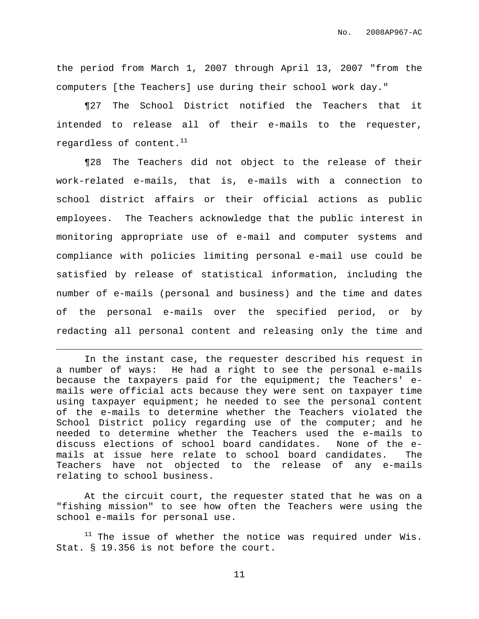the period from March 1, 2007 through April 13, 2007 "from the computers [the Teachers] use during their school work day."

¶27 The School District notified the Teachers that it intended to release all of their e-mails to the requester, regardless of content. $^{\rm 11}$ 

¶28 The Teachers did not object to the release of their work-related e-mails, that is, e-mails with a connection to school district affairs or their official actions as public employees. The Teachers acknowledge that the public interest in monitoring appropriate use of e-mail and computer systems and compliance with policies limiting personal e-mail use could be satisfied by release of statistical information, including the number of e-mails (personal and business) and the time and dates of the personal e-mails over the specified period, or by redacting all personal content and releasing only the time and

In the instant case, the requester described his request in a number of ways: He had a right to see the personal e-mails because the taxpayers paid for the equipment; the Teachers' emails were official acts because they were sent on taxpayer time using taxpayer equipment; he needed to see the personal content of the e-mails to determine whether the Teachers violated the School District policy regarding use of the computer; and he needed to determine whether the Teachers used the e-mails to discuss elections of school board candidates. None of the emails at issue here relate to school board candidates. The Teachers have not objected to the release of any e-mails relating to school business.

At the circuit court, the requester stated that he was on a "fishing mission" to see how often the Teachers were using the school e-mails for personal use.

<sup>11</sup> The issue of whether the notice was required under Wis. Stat. § 19.356 is not before the court.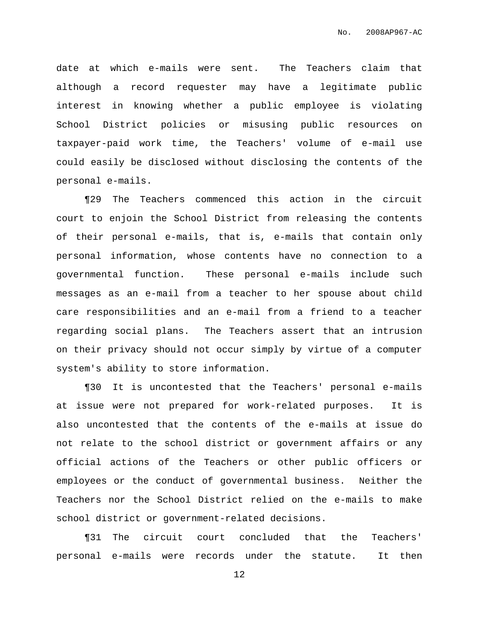date at which e-mails were sent. The Teachers claim that although a record requester may have a legitimate public interest in knowing whether a public employee is violating School District policies or misusing public resources on taxpayer-paid work time, the Teachers' volume of e-mail use could easily be disclosed without disclosing the contents of the personal e-mails.

¶29 The Teachers commenced this action in the circuit court to enjoin the School District from releasing the contents of their personal e-mails, that is, e-mails that contain only personal information, whose contents have no connection to a governmental function. These personal e-mails include such messages as an e-mail from a teacher to her spouse about child care responsibilities and an e-mail from a friend to a teacher regarding social plans. The Teachers assert that an intrusion on their privacy should not occur simply by virtue of a computer system's ability to store information.

¶30 It is uncontested that the Teachers' personal e-mails at issue were not prepared for work-related purposes. It is also uncontested that the contents of the e-mails at issue do not relate to the school district or government affairs or any official actions of the Teachers or other public officers or employees or the conduct of governmental business. Neither the Teachers nor the School District relied on the e-mails to make school district or government-related decisions.

¶31 The circuit court concluded that the Teachers' personal e-mails were records under the statute. It then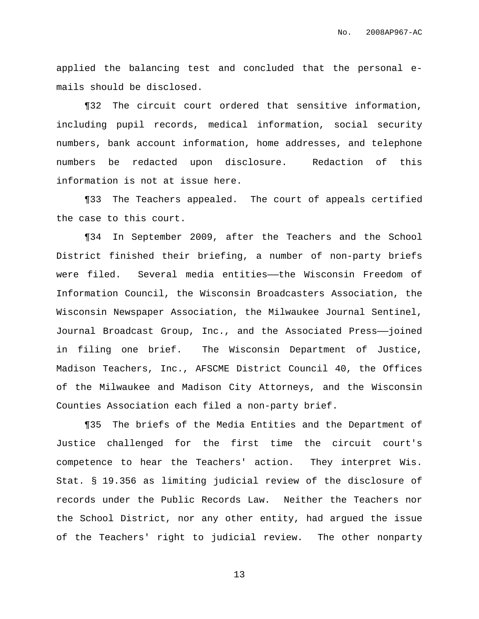applied the balancing test and concluded that the personal emails should be disclosed.

¶32 The circuit court ordered that sensitive information, including pupil records, medical information, social security numbers, bank account information, home addresses, and telephone numbers be redacted upon disclosure. Redaction of this information is not at issue here.

¶33 The Teachers appealed. The court of appeals certified the case to this court.

¶34 In September 2009, after the Teachers and the School District finished their briefing, a number of non-party briefs were filed. Several media entities—the Wisconsin Freedom of Information Council, the Wisconsin Broadcasters Association, the Wisconsin Newspaper Association, the Milwaukee Journal Sentinel, Journal Broadcast Group, Inc., and the Associated Press——joined in filing one brief. The Wisconsin Department of Justice, Madison Teachers, Inc., AFSCME District Council 40, the Offices of the Milwaukee and Madison City Attorneys, and the Wisconsin Counties Association each filed a non-party brief.

¶35 The briefs of the Media Entities and the Department of Justice challenged for the first time the circuit court's competence to hear the Teachers' action. They interpret Wis. Stat. § 19.356 as limiting judicial review of the disclosure of records under the Public Records Law. Neither the Teachers nor the School District, nor any other entity, had argued the issue of the Teachers' right to judicial review. The other nonparty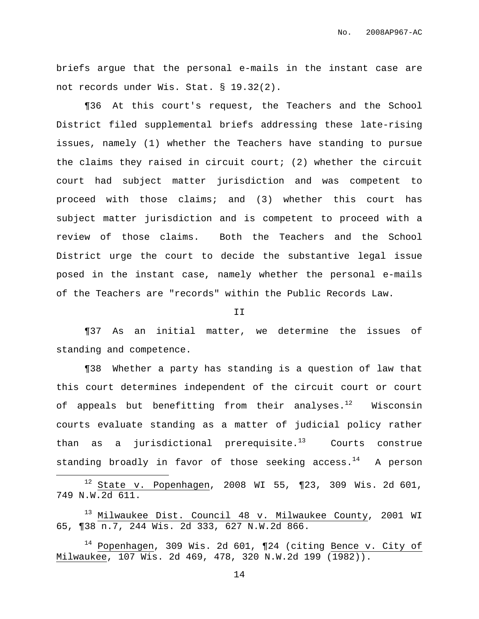briefs argue that the personal e-mails in the instant case are not records under Wis. Stat. § 19.32(2).

¶36 At this court's request, the Teachers and the School District filed supplemental briefs addressing these late-rising issues, namely (1) whether the Teachers have standing to pursue the claims they raised in circuit court; (2) whether the circuit court had subject matter jurisdiction and was competent to proceed with those claims; and (3) whether this court has subject matter jurisdiction and is competent to proceed with a review of those claims. Both the Teachers and the School District urge the court to decide the substantive legal issue posed in the instant case, namely whether the personal e-mails of the Teachers are "records" within the Public Records Law.

II

¶37 As an initial matter, we determine the issues of standing and competence.

¶38 Whether a party has standing is a question of law that this court determines independent of the circuit court or court of appeals but benefitting from their analyses. $^{12}$  Wisconsin courts evaluate standing as a matter of judicial policy rather than as a jurisdictional prerequisite.<sup>13</sup> Courts construe standing broadly in favor of those seeking access.<sup>14</sup> A person

 $12$  State v. Popenhagen, 2008 WI 55, ¶23, 309 Wis. 2d 601, 749 N.W.2d 611.

<sup>13</sup> Milwaukee Dist. Council 48 v. Milwaukee County, 2001 WI 65, ¶38 n.7, 244 Wis. 2d 333, 627 N.W.2d 866.

<sup>14</sup> Popenhagen, 309 Wis. 2d 601, ¶24 (citing Bence v. City of Milwaukee, 107 Wis. 2d 469, 478, 320 N.W.2d 199 (1982)).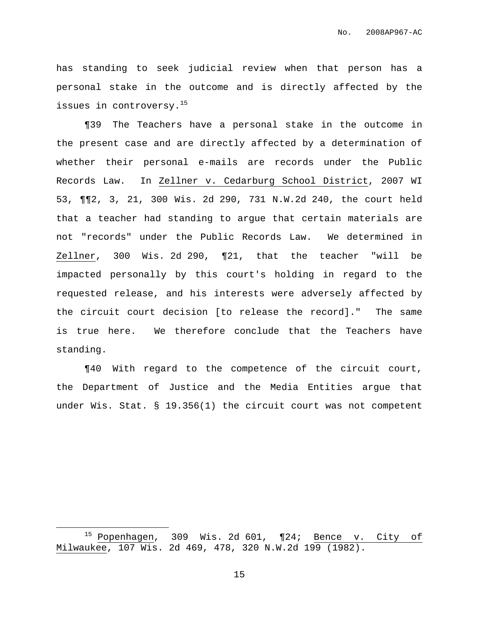has standing to seek judicial review when that person has a personal stake in the outcome and is directly affected by the issues in controversy. 15

¶39 The Teachers have a personal stake in the outcome in the present case and are directly affected by a determination of whether their personal e-mails are records under the Public Records Law. In Zellner v. Cedarburg School District, 2007 WI 53, ¶¶2, 3, 21, 300 Wis. 2d 290, 731 N.W.2d 240, the court held that a teacher had standing to argue that certain materials are not "records" under the Public Records Law. We determined in Zellner, 300 Wis. 2d 290, ¶21, that the teacher "will be impacted personally by this court's holding in regard to the requested release, and his interests were adversely affected by the circuit court decision [to release the record]." The same is true here. We therefore conclude that the Teachers have standing.

¶40 With regard to the competence of the circuit court, the Department of Justice and the Media Entities argue that under Wis. Stat. § 19.356(1) the circuit court was not competent

<sup>15</sup> Popenhagen, 309 Wis. 2d 601, ¶24; Bence v. City of Milwaukee, 107 Wis. 2d 469, 478, 320 N.W.2d 199 (1982).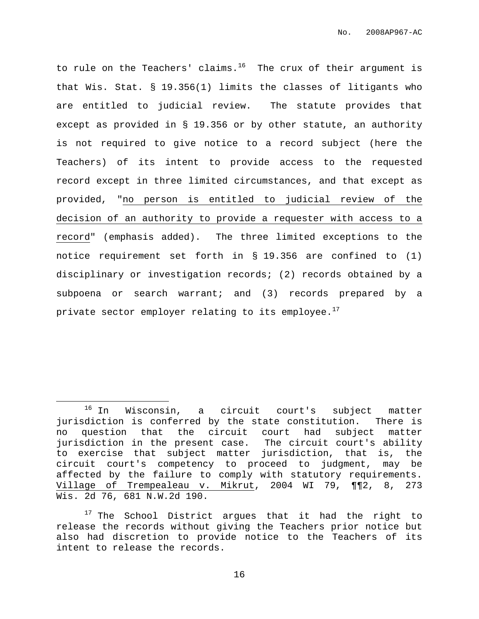to rule on the Teachers' claims.<sup>16</sup> The crux of their argument is that Wis. Stat. § 19.356(1) limits the classes of litigants who are entitled to judicial review. The statute provides that except as provided in § 19.356 or by other statute, an authority is not required to give notice to a record subject (here the Teachers) of its intent to provide access to the requested record except in three limited circumstances, and that except as provided, "no person is entitled to judicial review of the decision of an authority to provide a requester with access to a record" (emphasis added). The three limited exceptions to the notice requirement set forth in § 19.356 are confined to (1) disciplinary or investigation records; (2) records obtained by a subpoena or search warrant; and (3) records prepared by a private sector employer relating to its employee. $^{17}$ 

<sup>16</sup> In Wisconsin, a circuit court's subject matter jurisdiction is conferred by the state constitution. There is no question that the circuit court had subject matter jurisdiction in the present case. The circuit court's ability to exercise that subject matter jurisdiction, that is, the circuit court's competency to proceed to judgment, may be affected by the failure to comply with statutory requirements. Village of Trempealeau v. Mikrut, 2004 WI 79, ¶¶2, 8, 273 Wis. 2d 76, 681 N.W.2d 190.

 $17$  The School District argues that it had the right to release the records without giving the Teachers prior notice but also had discretion to provide notice to the Teachers of its intent to release the records.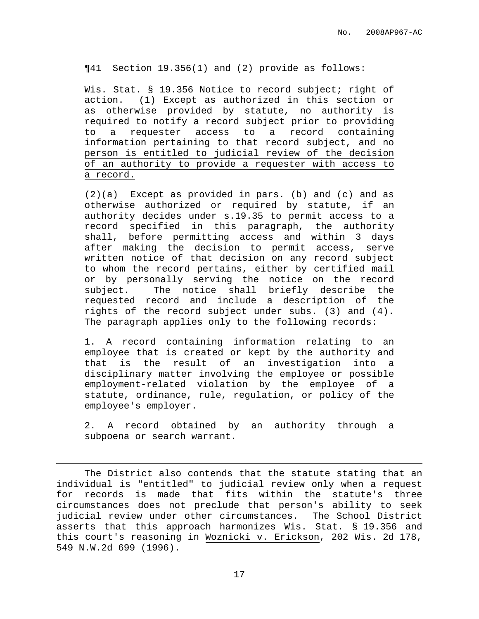¶41 Section 19.356(1) and (2) provide as follows:

Wis. Stat. § 19.356 Notice to record subject; right of action. (1) Except as authorized in this section or as otherwise provided by statute, no authority is required to notify a record subject prior to providing to a requester access to a record containing information pertaining to that record subject, and no person is entitled to judicial review of the decision of an authority to provide a requester with access to a record.

(2)(a) Except as provided in pars. (b) and (c) and as otherwise authorized or required by statute, if an authority decides under s.19.35 to permit access to a record specified in this paragraph, the authority shall, before permitting access and within 3 days after making the decision to permit access, serve written notice of that decision on any record subject to whom the record pertains, either by certified mail or by personally serving the notice on the record subject. The notice shall briefly describe the requested record and include a description of the rights of the record subject under subs. (3) and (4). The paragraph applies only to the following records:

1. A record containing information relating to an employee that is created or kept by the authority and that is the result of an investigation into a disciplinary matter involving the employee or possible employment-related violation by the employee of a statute, ordinance, rule, regulation, or policy of the employee's employer.

2. A record obtained by an authority through a subpoena or search warrant.

The District also contends that the statute stating that an individual is "entitled" to judicial review only when a request for records is made that fits within the statute's three circumstances does not preclude that person's ability to seek judicial review under other circumstances. The School District asserts that this approach harmonizes Wis. Stat. § 19.356 and this court's reasoning in Woznicki v. Erickson, 202 Wis. 2d 178, 549 N.W.2d 699 (1996).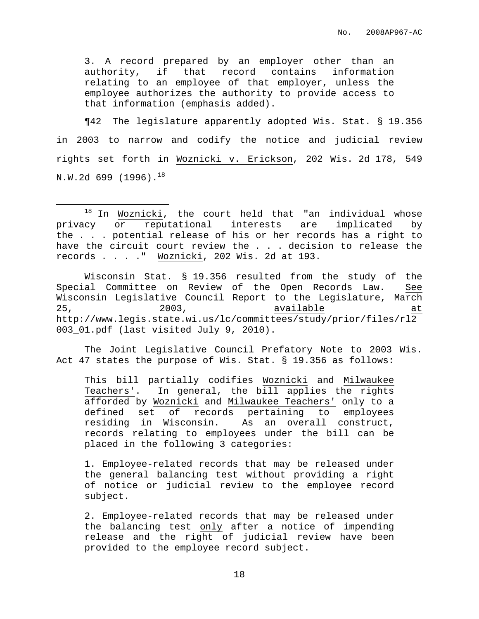No. 2008AP967-AC

3. A record prepared by an employer other than an authority, if that record contains information relating to an employee of that employer, unless the employee authorizes the authority to provide access to that information (emphasis added).

¶42 The legislature apparently adopted Wis. Stat. § 19.356 in 2003 to narrow and codify the notice and judicial review rights set forth in Woznicki v. Erickson, 202 Wis. 2d 178, 549  $\tt N.W.2d$  699 (1996). $^{18}$ 

Wisconsin Stat. § 19.356 resulted from the study of the Special Committee on Review of the Open Records Law. See Wisconsin Legislative Council Report to the Legislature, March 25, 2003, available at http://www.legis.state.wi.us/lc/committees/study/prior/files/rl2 003\_01.pdf (last visited July 9, 2010).

The Joint Legislative Council Prefatory Note to 2003 Wis. Act 47 states the purpose of Wis. Stat. § 19.356 as follows:

This bill partially codifies Woznicki and Milwaukee Teachers'. In general, the bill applies the rights afforded by Woznicki and Milwaukee Teachers' only to a defined set of records pertaining to employees residing in Wisconsin. As an overall construct, records relating to employees under the bill can be placed in the following 3 categories:

1. Employee-related records that may be released under the general balancing test without providing a right of notice or judicial review to the employee record subject.

2. Employee-related records that may be released under the balancing test only after a notice of impending release and the right of judicial review have been provided to the employee record subject.

 $18$  In Woznicki, the court held that "an individual whose privacy or reputational interests are implicated by the . . . potential release of his or her records has a right to have the circuit court review the . . . decision to release the records . . . ." Woznicki, 202 Wis. 2d at 193.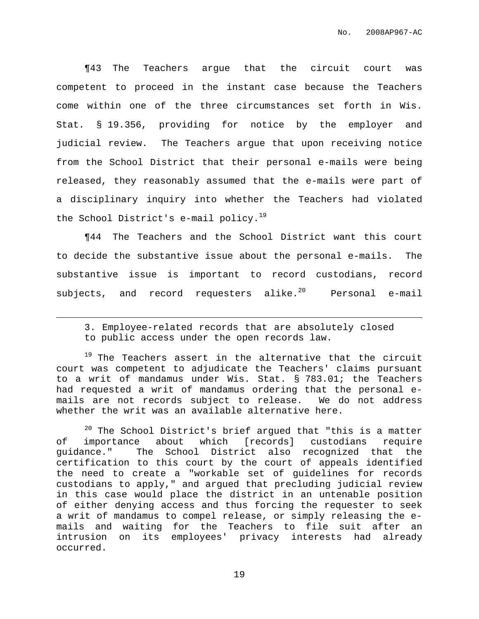¶43 The Teachers argue that the circuit court was competent to proceed in the instant case because the Teachers come within one of the three circumstances set forth in Wis. Stat. § 19.356, providing for notice by the employer and judicial review. The Teachers argue that upon receiving notice from the School District that their personal e-mails were being released, they reasonably assumed that the e-mails were part of a disciplinary inquiry into whether the Teachers had violated the School District's e-mail policy.<sup>19</sup>

¶44 The Teachers and the School District want this court to decide the substantive issue about the personal e-mails. The substantive issue is important to record custodians, record subjects, and record requesters alike.<sup>20</sup> Personal e-mail

 $19$  The Teachers assert in the alternative that the circuit court was competent to adjudicate the Teachers' claims pursuant to a writ of mandamus under Wis. Stat. § 783.01; the Teachers had requested a writ of mandamus ordering that the personal emails are not records subject to release. We do not address whether the writ was an available alternative here.

 $20$  The School District's brief argued that "this is a matter of importance about which [records] custodians require guidance." The School District also recognized that the certification to this court by the court of appeals identified the need to create a "workable set of guidelines for records custodians to apply," and argued that precluding judicial review in this case would place the district in an untenable position of either denying access and thus forcing the requester to seek a writ of mandamus to compel release, or simply releasing the emails and waiting for the Teachers to file suit after an intrusion on its employees' privacy interests had already occurred.

<sup>3.</sup> Employee-related records that are absolutely closed to public access under the open records law.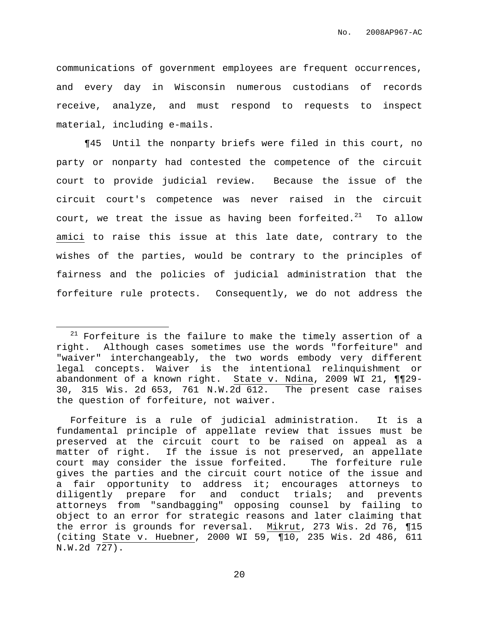communications of government employees are frequent occurrences, and every day in Wisconsin numerous custodians of records receive, analyze, and must respond to requests to inspect material, including e-mails.

¶45 Until the nonparty briefs were filed in this court, no party or nonparty had contested the competence of the circuit court to provide judicial review. Because the issue of the circuit court's competence was never raised in the circuit court, we treat the issue as having been forfeited. $^{21}$  To allow amici to raise this issue at this late date, contrary to the wishes of the parties, would be contrary to the principles of fairness and the policies of judicial administration that the forfeiture rule protects. Consequently, we do not address the

 $21$  Forfeiture is the failure to make the timely assertion of a right. Although cases sometimes use the words "forfeiture" and "waiver" interchangeably, the two words embody very different legal concepts. Waiver is the intentional relinquishment or abandonment of a known right. State v. Ndina, 2009 WI 21, ¶¶29- 30, 315 Wis. 2d 653, 761 N.W.2d 612. The present case raises the question of forfeiture, not waiver.

Forfeiture is a rule of judicial administration. It is a fundamental principle of appellate review that issues must be preserved at the circuit court to be raised on appeal as a matter of right. If the issue is not preserved, an appellate court may consider the issue forfeited. The forfeiture rule gives the parties and the circuit court notice of the issue and a fair opportunity to address it; encourages attorneys to diligently prepare for and conduct trials; and prevents attorneys from "sandbagging" opposing counsel by failing to object to an error for strategic reasons and later claiming that the error is grounds for reversal. Mikrut, 273 Wis. 2d 76, ¶15 (citing State v. Huebner, 2000 WI 59, ¶10, 235 Wis. 2d 486, 611 N.W.2d 727).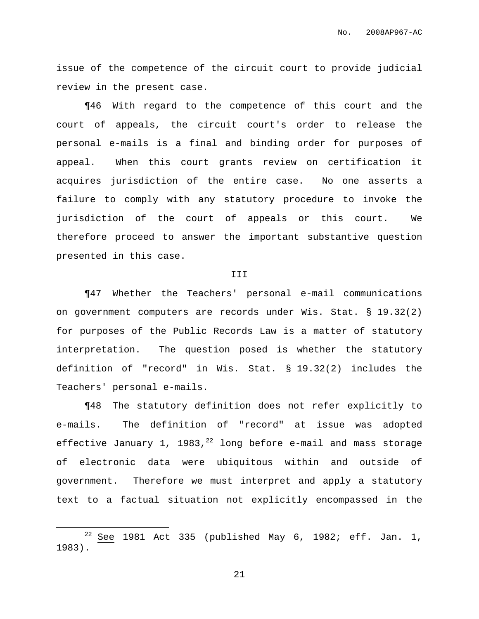issue of the competence of the circuit court to provide judicial review in the present case.

¶46 With regard to the competence of this court and the court of appeals, the circuit court's order to release the personal e-mails is a final and binding order for purposes of appeal. When this court grants review on certification it acquires jurisdiction of the entire case. No one asserts a failure to comply with any statutory procedure to invoke the jurisdiction of the court of appeals or this court. We therefore proceed to answer the important substantive question presented in this case.

## III

¶47 Whether the Teachers' personal e-mail communications on government computers are records under Wis. Stat. § 19.32(2) for purposes of the Public Records Law is a matter of statutory interpretation. The question posed is whether the statutory definition of "record" in Wis. Stat. § 19.32(2) includes the Teachers' personal e-mails.

¶48 The statutory definition does not refer explicitly to e-mails. The definition of "record" at issue was adopted effective January 1, 1983,<sup>22</sup> long before e-mail and mass storage of electronic data were ubiquitous within and outside of government. Therefore we must interpret and apply a statutory text to a factual situation not explicitly encompassed in the

 $22$  See 1981 Act 335 (published May 6, 1982; eff. Jan. 1, 1983).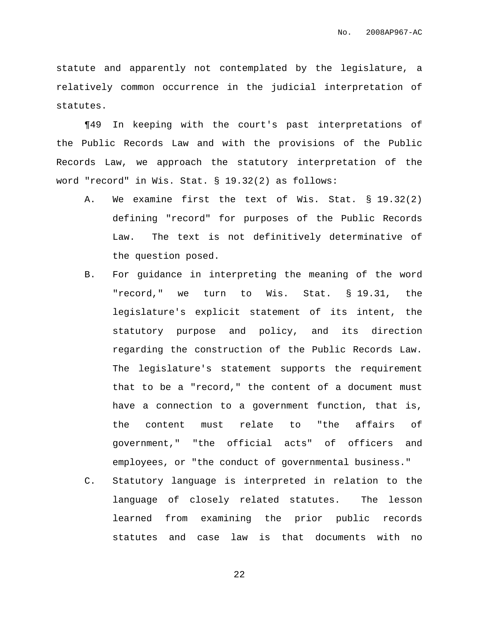statute and apparently not contemplated by the legislature, a relatively common occurrence in the judicial interpretation of statutes.

¶49 In keeping with the court's past interpretations of the Public Records Law and with the provisions of the Public Records Law, we approach the statutory interpretation of the word "record" in Wis. Stat. § 19.32(2) as follows:

- A. We examine first the text of Wis. Stat. § 19.32(2) defining "record" for purposes of the Public Records Law. The text is not definitively determinative of the question posed.
- B. For guidance in interpreting the meaning of the word "record," we turn to Wis. Stat. § 19.31, the legislature's explicit statement of its intent, the statutory purpose and policy, and its direction regarding the construction of the Public Records Law. The legislature's statement supports the requirement that to be a "record," the content of a document must have a connection to a government function, that is, the content must relate to "the affairs of government," "the official acts" of officers and employees, or "the conduct of governmental business."
- C. Statutory language is interpreted in relation to the language of closely related statutes. The lesson learned from examining the prior public records statutes and case law is that documents with no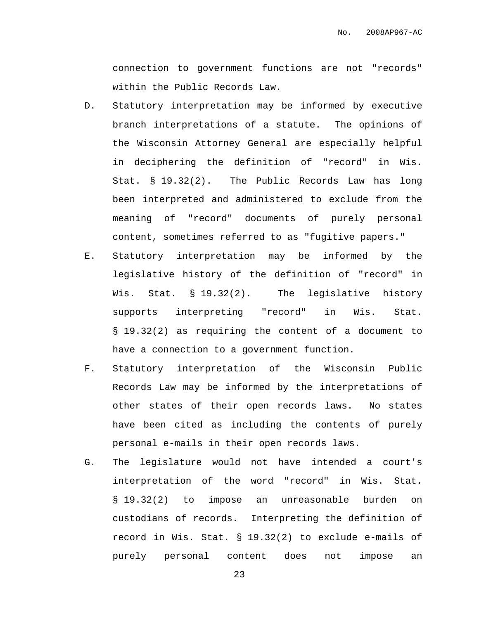connection to government functions are not "records" within the Public Records Law.

- D. Statutory interpretation may be informed by executive branch interpretations of a statute. The opinions of the Wisconsin Attorney General are especially helpful in deciphering the definition of "record" in Wis. Stat. § 19.32(2). The Public Records Law has long been interpreted and administered to exclude from the meaning of "record" documents of purely personal content, sometimes referred to as "fugitive papers."
- E. Statutory interpretation may be informed by the legislative history of the definition of "record" in Wis. Stat. § 19.32(2). The legislative history supports interpreting "record" in Wis. Stat. § 19.32(2) as requiring the content of a document to have a connection to a government function.
- F. Statutory interpretation of the Wisconsin Public Records Law may be informed by the interpretations of other states of their open records laws. No states have been cited as including the contents of purely personal e-mails in their open records laws.
- G. The legislature would not have intended a court's interpretation of the word "record" in Wis. Stat. § 19.32(2) to impose an unreasonable burden on custodians of records. Interpreting the definition of record in Wis. Stat. § 19.32(2) to exclude e-mails of purely personal content does not impose an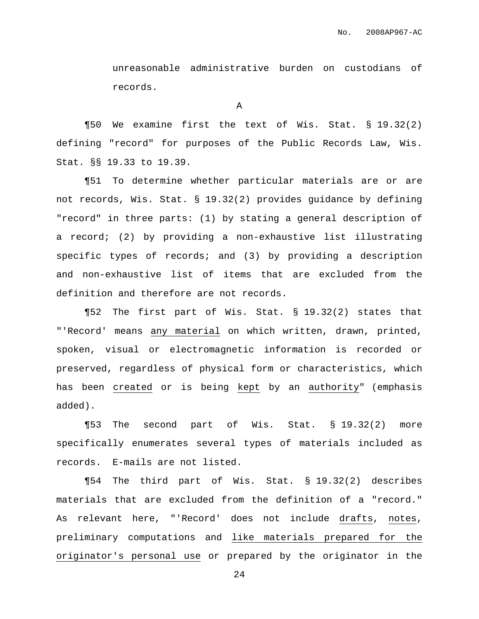unreasonable administrative burden on custodians of records.

A

¶50 We examine first the text of Wis. Stat. § 19.32(2) defining "record" for purposes of the Public Records Law, Wis. Stat. §§ 19.33 to 19.39.

¶51 To determine whether particular materials are or are not records, Wis. Stat. § 19.32(2) provides guidance by defining "record" in three parts: (1) by stating a general description of a record; (2) by providing a non-exhaustive list illustrating specific types of records; and (3) by providing a description and non-exhaustive list of items that are excluded from the definition and therefore are not records.

¶52 The first part of Wis. Stat. § 19.32(2) states that "'Record' means any material on which written, drawn, printed, spoken, visual or electromagnetic information is recorded or preserved, regardless of physical form or characteristics, which has been created or is being kept by an authority" (emphasis added).

¶53 The second part of Wis. Stat. § 19.32(2) more specifically enumerates several types of materials included as records. E-mails are not listed.

¶54 The third part of Wis. Stat. § 19.32(2) describes materials that are excluded from the definition of a "record." As relevant here, "'Record' does not include drafts, notes, preliminary computations and like materials prepared for the originator's personal use or prepared by the originator in the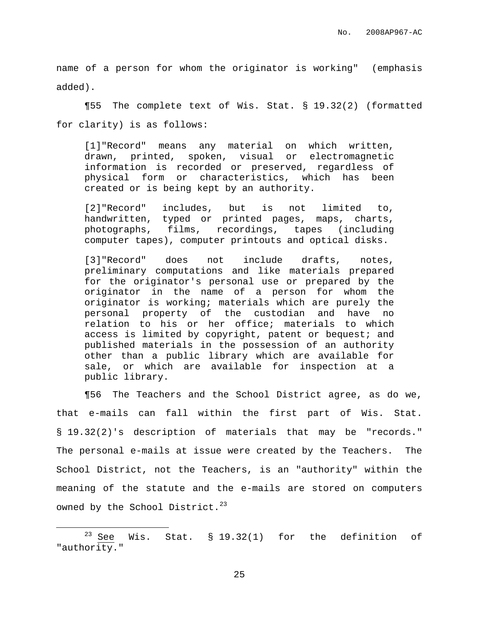name of a person for whom the originator is working" (emphasis added).

¶55 The complete text of Wis. Stat. § 19.32(2) (formatted for clarity) is as follows:

[1]"Record" means any material on which written, drawn, printed, spoken, visual or electromagnetic information is recorded or preserved, regardless of physical form or characteristics, which has been created or is being kept by an authority.

[2]"Record" includes, but is not limited to, handwritten, typed or printed pages, maps, charts, photographs, films, recordings, tapes (including computer tapes), computer printouts and optical disks.

[3]"Record" does not include drafts, notes, preliminary computations and like materials prepared for the originator's personal use or prepared by the originator in the name of a person for whom the originator is working; materials which are purely the personal property of the custodian and have no relation to his or her office; materials to which access is limited by copyright, patent or bequest; and published materials in the possession of an authority other than a public library which are available for sale, or which are available for inspection at a public library.

¶56 The Teachers and the School District agree, as do we, that e-mails can fall within the first part of Wis. Stat. § 19.32(2)'s description of materials that may be "records." The personal e-mails at issue were created by the Teachers. The School District, not the Teachers, is an "authority" within the meaning of the statute and the e-mails are stored on computers owned by the School District. $^{23}$ 

 $23$  See Wis. Stat. § 19.32(1) for the definition of "authority."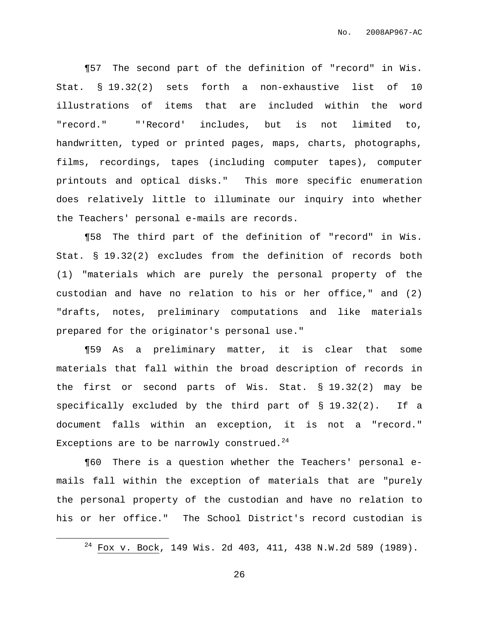¶57 The second part of the definition of "record" in Wis. Stat. § 19.32(2) sets forth a non-exhaustive list of 10 illustrations of items that are included within the word "record." "'Record' includes, but is not limited to, handwritten, typed or printed pages, maps, charts, photographs, films, recordings, tapes (including computer tapes), computer printouts and optical disks." This more specific enumeration does relatively little to illuminate our inquiry into whether the Teachers' personal e-mails are records.

¶58 The third part of the definition of "record" in Wis. Stat. § 19.32(2) excludes from the definition of records both (1) "materials which are purely the personal property of the custodian and have no relation to his or her office," and (2) "drafts, notes, preliminary computations and like materials prepared for the originator's personal use."

¶59 As a preliminary matter, it is clear that some materials that fall within the broad description of records in the first or second parts of Wis. Stat. § 19.32(2) may be specifically excluded by the third part of § 19.32(2). If a document falls within an exception, it is not a "record." Exceptions are to be narrowly construed. $^{24}$ 

¶60 There is a question whether the Teachers' personal emails fall within the exception of materials that are "purely the personal property of the custodian and have no relation to his or her office." The School District's record custodian is

<sup>24</sup> Fox v. Bock, 149 Wis. 2d 403, 411, 438 N.W.2d 589 (1989).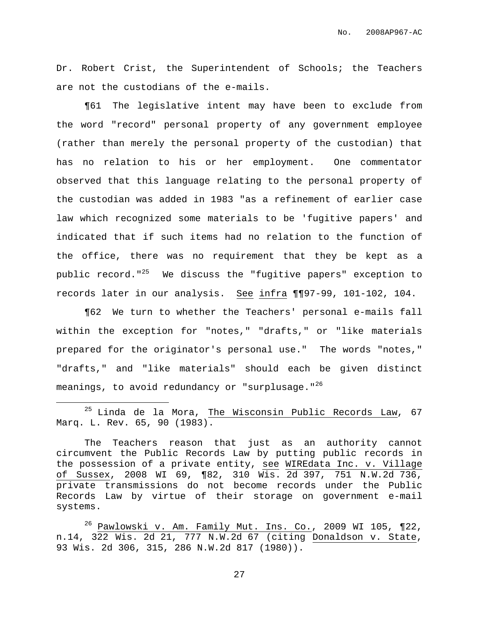Dr. Robert Crist, the Superintendent of Schools; the Teachers are not the custodians of the e-mails.

¶61 The legislative intent may have been to exclude from the word "record" personal property of any government employee (rather than merely the personal property of the custodian) that has no relation to his or her employment. One commentator observed that this language relating to the personal property of the custodian was added in 1983 "as a refinement of earlier case law which recognized some materials to be 'fugitive papers' and indicated that if such items had no relation to the function of the office, there was no requirement that they be kept as a public record."<sup>25</sup> We discuss the "fugitive papers" exception to records later in our analysis. See infra ¶¶97-99, 101-102, 104.

¶62 We turn to whether the Teachers' personal e-mails fall within the exception for "notes," "drafts," or "like materials prepared for the originator's personal use." The words "notes," "drafts," and "like materials" should each be given distinct meanings, to avoid redundancy or "surplusage."<sup>26</sup>

 $^{25}$  Linda de la Mora, The Wisconsin Public Records Law, 67 Marq. L. Rev. 65, 90 (1983).

The Teachers reason that just as an authority cannot circumvent the Public Records Law by putting public records in the possession of a private entity, see WIREdata Inc. v. Village of Sussex, 2008 WI 69, ¶82, 310 Wis. 2d 397, 751 N.W.2d 736, private transmissions do not become records under the Public Records Law by virtue of their storage on government e-mail systems.

 $^{26}$  Pawlowski v. Am. Family Mut. Ins. Co., 2009 WI 105, ¶22, n.14, 322 Wis. 2d 21, 777 N.W.2d 67 (citing Donaldson v. State, 93 Wis. 2d 306, 315, 286 N.W.2d 817 (1980)).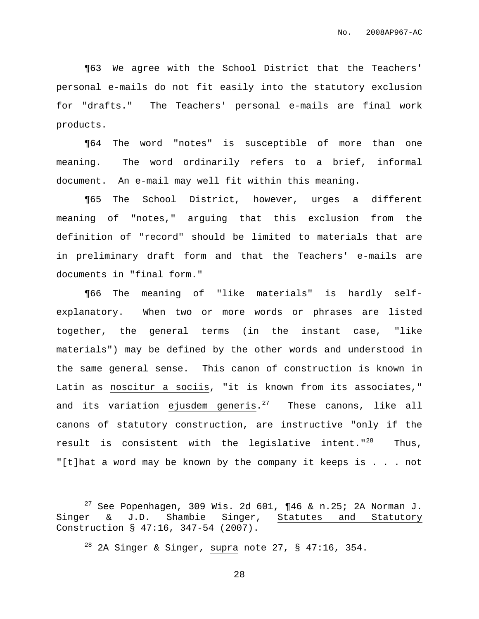¶63 We agree with the School District that the Teachers' personal e-mails do not fit easily into the statutory exclusion for "drafts." The Teachers' personal e-mails are final work products.

¶64 The word "notes" is susceptible of more than one meaning. The word ordinarily refers to a brief, informal document. An e-mail may well fit within this meaning.

¶65 The School District, however, urges a different meaning of "notes," arguing that this exclusion from the definition of "record" should be limited to materials that are in preliminary draft form and that the Teachers' e-mails are documents in "final form."

¶66 The meaning of "like materials" is hardly selfexplanatory. When two or more words or phrases are listed together, the general terms (in the instant case, "like materials") may be defined by the other words and understood in the same general sense. This canon of construction is known in Latin as noscitur a sociis, "it is known from its associates," and its variation ejusdem generis.<sup>27</sup> These canons, like all canons of statutory construction, are instructive "only if the result is consistent with the legislative intent."<sup>28</sup> Thus, "[t]hat a word may be known by the company it keeps is . . . not

<sup>&</sup>lt;sup>27</sup> See Popenhagen, 309 Wis. 2d 601,  $\P 46$  & n.25; 2A Norman J. Singer & J.D. Shambie Singer, Statutes and Statutory Construction § 47:16, 347-54 (2007).

 $28$  2A Singer & Singer, supra note 27, § 47:16, 354.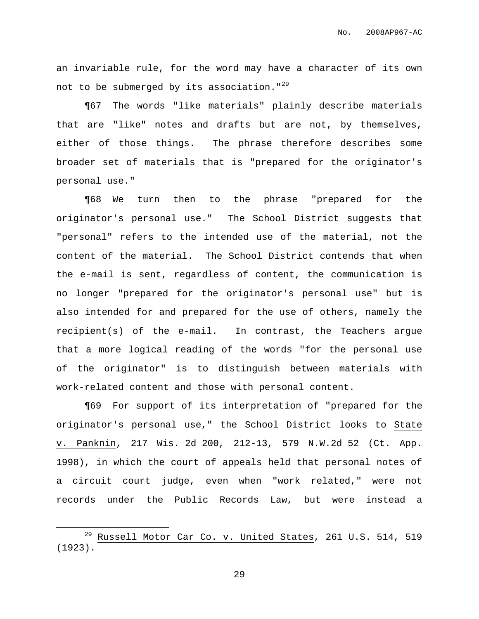an invariable rule, for the word may have a character of its own not to be submerged by its association."<sup>29</sup>

¶67 The words "like materials" plainly describe materials that are "like" notes and drafts but are not, by themselves, either of those things. The phrase therefore describes some broader set of materials that is "prepared for the originator's personal use."

¶68 We turn then to the phrase "prepared for the originator's personal use." The School District suggests that "personal" refers to the intended use of the material, not the content of the material. The School District contends that when the e-mail is sent, regardless of content, the communication is no longer "prepared for the originator's personal use" but is also intended for and prepared for the use of others, namely the recipient(s) of the e-mail. In contrast, the Teachers argue that a more logical reading of the words "for the personal use of the originator" is to distinguish between materials with work-related content and those with personal content.

¶69 For support of its interpretation of "prepared for the originator's personal use," the School District looks to State v. Panknin, 217 Wis. 2d 200, 212-13, 579 N.W.2d 52 (Ct. App. 1998), in which the court of appeals held that personal notes of a circuit court judge, even when "work related," were not records under the Public Records Law, but were instead a

<sup>&</sup>lt;sup>29</sup> Russell Motor Car Co. v. United States, 261 U.S. 514, 519 (1923).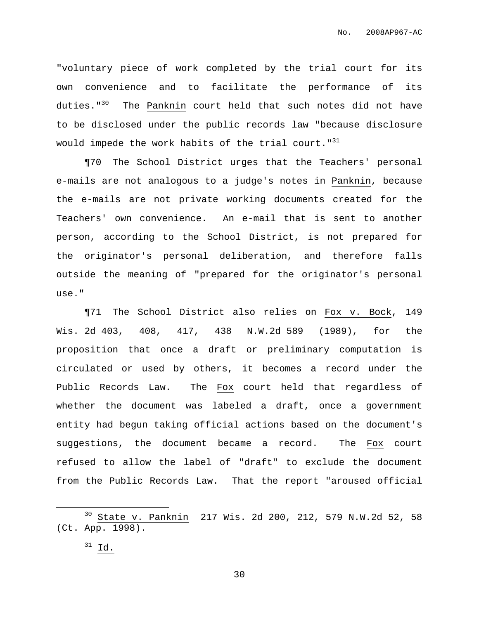"voluntary piece of work completed by the trial court for its own convenience and to facilitate the performance of its duties."<sup>30</sup> The Panknin court held that such notes did not have to be disclosed under the public records law "because disclosure would impede the work habits of the trial court."<sup>31</sup>

¶70 The School District urges that the Teachers' personal e-mails are not analogous to a judge's notes in Panknin, because the e-mails are not private working documents created for the Teachers' own convenience. An e-mail that is sent to another person, according to the School District, is not prepared for the originator's personal deliberation, and therefore falls outside the meaning of "prepared for the originator's personal use."

¶71 The School District also relies on Fox v. Bock, 149 Wis. 2d 403, 408, 417, 438 N.W.2d 589 (1989), for the proposition that once a draft or preliminary computation is circulated or used by others, it becomes a record under the Public Records Law. The Fox court held that regardless of whether the document was labeled a draft, once a government entity had begun taking official actions based on the document's suggestions, the document became a record. The Fox court refused to allow the label of "draft" to exclude the document from the Public Records Law. That the report "aroused official

<sup>30</sup> State v. Panknin 217 Wis. 2d 200, 212, 579 N.W.2d 52, 58 (Ct. App. 1998).

 $31$  Id.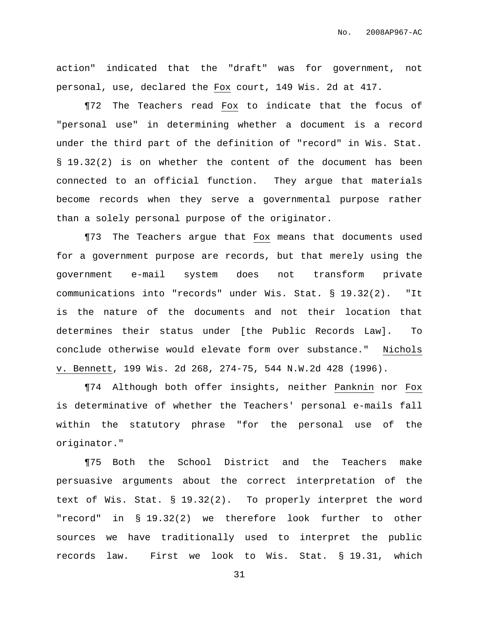action" indicated that the "draft" was for government, not personal, use, declared the Fox court, 149 Wis. 2d at 417.

¶72 The Teachers read Fox to indicate that the focus of "personal use" in determining whether a document is a record under the third part of the definition of "record" in Wis. Stat. § 19.32(2) is on whether the content of the document has been connected to an official function. They argue that materials become records when they serve a governmental purpose rather than a solely personal purpose of the originator.

¶73 The Teachers argue that Fox means that documents used for a government purpose are records, but that merely using the government e-mail system does not transform private communications into "records" under Wis. Stat. § 19.32(2). "It is the nature of the documents and not their location that determines their status under [the Public Records Law]. To conclude otherwise would elevate form over substance." Nichols v. Bennett, 199 Wis. 2d 268, 274-75, 544 N.W.2d 428 (1996).

¶74 Although both offer insights, neither Panknin nor Fox is determinative of whether the Teachers' personal e-mails fall within the statutory phrase "for the personal use of the originator."

¶75 Both the School District and the Teachers make persuasive arguments about the correct interpretation of the text of Wis. Stat. § 19.32(2). To properly interpret the word "record" in § 19.32(2) we therefore look further to other sources we have traditionally used to interpret the public records law. First we look to Wis. Stat. § 19.31, which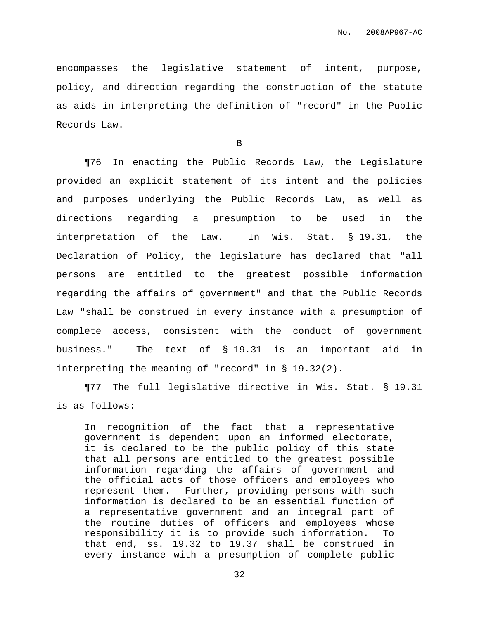encompasses the legislative statement of intent, purpose, policy, and direction regarding the construction of the statute as aids in interpreting the definition of "record" in the Public Records Law.

B

¶76 In enacting the Public Records Law, the Legislature provided an explicit statement of its intent and the policies and purposes underlying the Public Records Law, as well as directions regarding a presumption to be used in the interpretation of the Law. In Wis. Stat. § 19.31, the Declaration of Policy, the legislature has declared that "all persons are entitled to the greatest possible information regarding the affairs of government" and that the Public Records Law "shall be construed in every instance with a presumption of complete access, consistent with the conduct of government business." The text of § 19.31 is an important aid in interpreting the meaning of "record" in § 19.32(2).

¶77 The full legislative directive in Wis. Stat. § 19.31 is as follows:

In recognition of the fact that a representative government is dependent upon an informed electorate, it is declared to be the public policy of this state that all persons are entitled to the greatest possible information regarding the affairs of government and the official acts of those officers and employees who represent them. Further, providing persons with such information is declared to be an essential function of a representative government and an integral part of the routine duties of officers and employees whose responsibility it is to provide such information. To that end, ss. 19.32 to 19.37 shall be construed in every instance with a presumption of complete public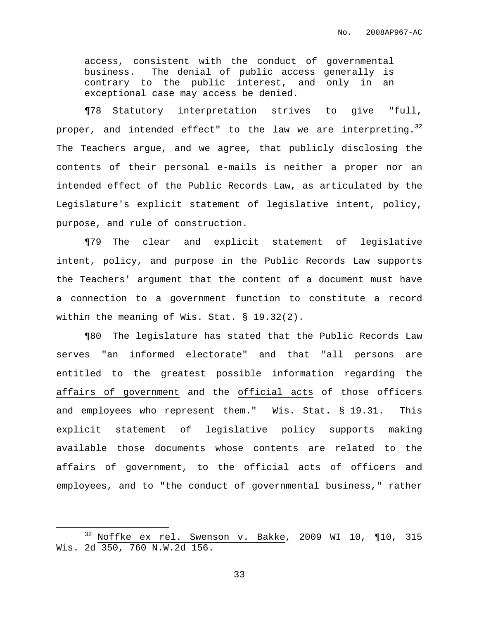access, consistent with the conduct of governmental business. The denial of public access generally is contrary to the public interest, and only in an exceptional case may access be denied.

¶78 Statutory interpretation strives to give "full, proper, and intended effect" to the law we are interpreting. $^{32}$ The Teachers argue, and we agree, that publicly disclosing the contents of their personal e-mails is neither a proper nor an intended effect of the Public Records Law, as articulated by the Legislature's explicit statement of legislative intent, policy, purpose, and rule of construction.

¶79 The clear and explicit statement of legislative intent, policy, and purpose in the Public Records Law supports the Teachers' argument that the content of a document must have a connection to a government function to constitute a record within the meaning of Wis. Stat. § 19.32(2).

¶80 The legislature has stated that the Public Records Law serves "an informed electorate" and that "all persons are entitled to the greatest possible information regarding the affairs of government and the official acts of those officers and employees who represent them." Wis. Stat. § 19.31. This explicit statement of legislative policy supports making available those documents whose contents are related to the affairs of government, to the official acts of officers and employees, and to "the conduct of governmental business," rather

 $32$  Noffke ex rel. Swenson v. Bakke, 2009 WI 10, ¶10, 315 Wis. 2d 350, 760 N.W.2d 156.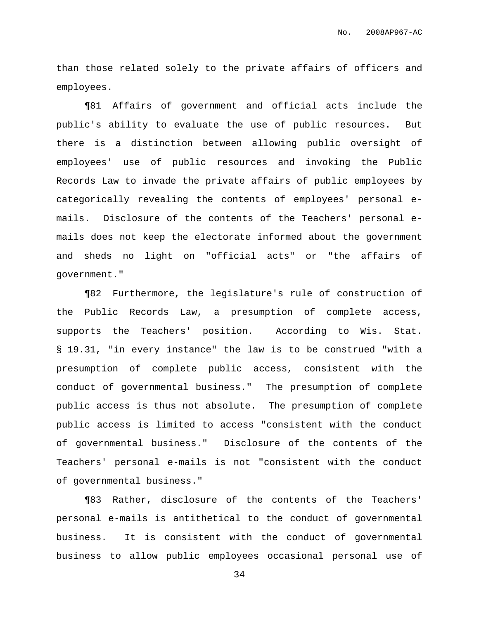than those related solely to the private affairs of officers and employees.

¶81 Affairs of government and official acts include the public's ability to evaluate the use of public resources. But there is a distinction between allowing public oversight of employees' use of public resources and invoking the Public Records Law to invade the private affairs of public employees by categorically revealing the contents of employees' personal emails. Disclosure of the contents of the Teachers' personal emails does not keep the electorate informed about the government and sheds no light on "official acts" or "the affairs of government."

¶82 Furthermore, the legislature's rule of construction of the Public Records Law, a presumption of complete access, supports the Teachers' position. According to Wis. Stat. § 19.31, "in every instance" the law is to be construed "with a presumption of complete public access, consistent with the conduct of governmental business." The presumption of complete public access is thus not absolute. The presumption of complete public access is limited to access "consistent with the conduct of governmental business." Disclosure of the contents of the Teachers' personal e-mails is not "consistent with the conduct of governmental business."

¶83 Rather, disclosure of the contents of the Teachers' personal e-mails is antithetical to the conduct of governmental business. It is consistent with the conduct of governmental business to allow public employees occasional personal use of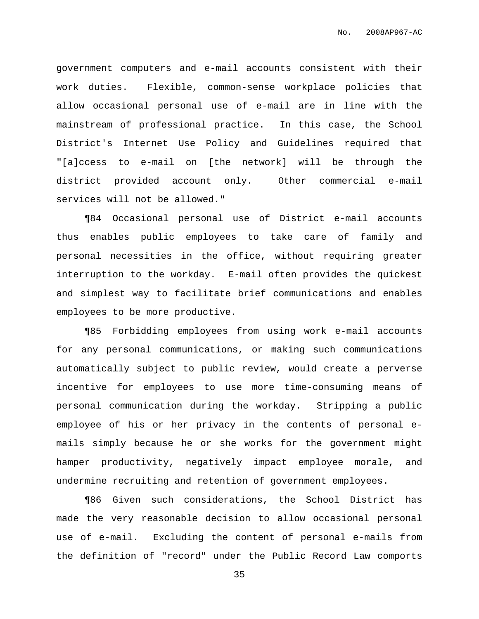government computers and e-mail accounts consistent with their work duties. Flexible, common-sense workplace policies that allow occasional personal use of e-mail are in line with the mainstream of professional practice. In this case, the School District's Internet Use Policy and Guidelines required that "[a]ccess to e-mail on [the network] will be through the district provided account only. Other commercial e-mail services will not be allowed."

¶84 Occasional personal use of District e-mail accounts thus enables public employees to take care of family and personal necessities in the office, without requiring greater interruption to the workday. E-mail often provides the quickest and simplest way to facilitate brief communications and enables employees to be more productive.

¶85 Forbidding employees from using work e-mail accounts for any personal communications, or making such communications automatically subject to public review, would create a perverse incentive for employees to use more time-consuming means of personal communication during the workday. Stripping a public employee of his or her privacy in the contents of personal emails simply because he or she works for the government might hamper productivity, negatively impact employee morale, and undermine recruiting and retention of government employees.

¶86 Given such considerations, the School District has made the very reasonable decision to allow occasional personal use of e-mail. Excluding the content of personal e-mails from the definition of "record" under the Public Record Law comports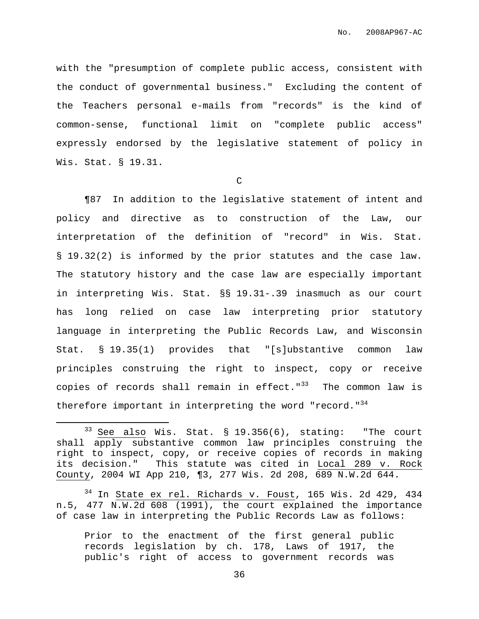with the "presumption of complete public access, consistent with the conduct of governmental business." Excluding the content of the Teachers personal e-mails from "records" is the kind of common-sense, functional limit on "complete public access" expressly endorsed by the legislative statement of policy in Wis. Stat. § 19.31.

C

¶87 In addition to the legislative statement of intent and policy and directive as to construction of the Law, our interpretation of the definition of "record" in Wis. Stat. § 19.32(2) is informed by the prior statutes and the case law. The statutory history and the case law are especially important in interpreting Wis. Stat. §§ 19.31-.39 inasmuch as our court has long relied on case law interpreting prior statutory language in interpreting the Public Records Law, and Wisconsin Stat. § 19.35(1) provides that "[s]ubstantive common law principles construing the right to inspect, copy or receive copies of records shall remain in effect."<sup>33</sup> The common law is therefore important in interpreting the word "record."<sup>34</sup>

Prior to the enactment of the first general public records legislation by ch. 178, Laws of 1917, the public's right of access to government records was

 $33$  See also Wis. Stat. § 19.356(6), stating: "The court shall apply substantive common law principles construing the right to inspect, copy, or receive copies of records in making its decision." This statute was cited in Local 289 v. Rock County, 2004 WI App 210, ¶3, 277 Wis. 2d 208, 689 N.W.2d 644.

 $34$  In State ex rel. Richards v. Foust, 165 Wis. 2d 429, 434 n.5, 477 N.W.2d 608 (1991), the court explained the importance of case law in interpreting the Public Records Law as follows: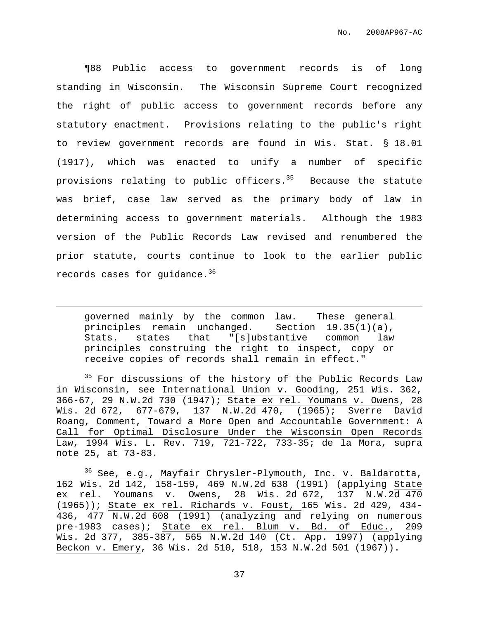¶88 Public access to government records is of long standing in Wisconsin. The Wisconsin Supreme Court recognized the right of public access to government records before any statutory enactment. Provisions relating to the public's right to review government records are found in Wis. Stat. § 18.01 (1917), which was enacted to unify a number of specific provisions relating to public officers. <sup>35</sup> Because the statute was brief, case law served as the primary body of law in determining access to government materials. Although the 1983 version of the Public Records Law revised and renumbered the prior statute, courts continue to look to the earlier public records cases for guidance. $^{\rm 36}$ 

governed mainly by the common law. These general principles remain unchanged. Section 19.35(1)(a), Stats. states that "[s]ubstantive common law principles construing the right to inspect, copy or receive copies of records shall remain in effect."

<sup>35</sup> For discussions of the history of the Public Records Law in Wisconsin, see International Union v. Gooding, 251 Wis. 362, 366-67, 29 N.W.2d 730 (1947); State ex rel. Youmans v. Owens, 28 Wis. 2d 672, 677-679, 137 N.W.2d 470, (1965); Sverre David Roang, Comment, Toward a More Open and Accountable Government: A Call for Optimal Disclosure Under the Wisconsin Open Records Law, 1994 Wis. L. Rev. 719, 721-722, 733-35; de la Mora, supra note 25, at 73-83.

<sup>36</sup> See, e.g., Mayfair Chrysler-Plymouth, Inc. v. Baldarotta, 162 Wis. 2d 142, 158-159, 469 N.W.2d 638 (1991) (applying State ex rel. Youmans v. Owens, 28 Wis. 2d 672, 137 N.W.2d 470 (1965)); State ex rel. Richards v. Foust, 165 Wis. 2d 429, 434- 436, 477 N.W.2d 608 (1991) (analyzing and relying on numerous pre-1983 cases); State ex rel. Blum v. Bd. of Educ., 209 Wis. 2d 377, 385-387, 565 N.W.2d 140 (Ct. App. 1997) (applying Beckon v. Emery, 36 Wis. 2d 510, 518, 153 N.W.2d 501 (1967)).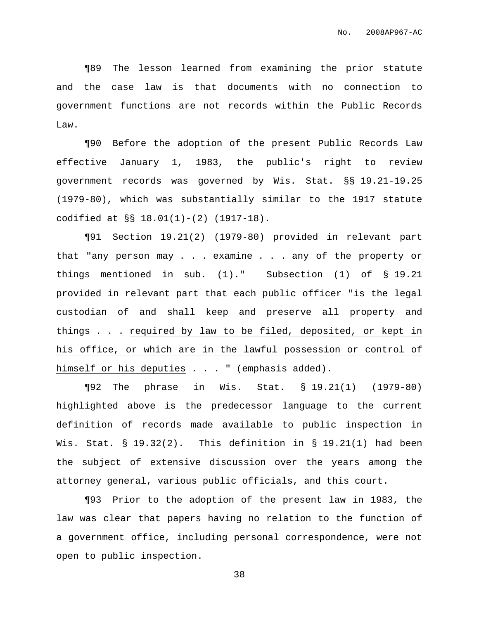¶89 The lesson learned from examining the prior statute and the case law is that documents with no connection to government functions are not records within the Public Records Law.

¶90 Before the adoption of the present Public Records Law effective January 1, 1983, the public's right to review government records was governed by Wis. Stat. §§ 19.21-19.25 (1979-80), which was substantially similar to the 1917 statute codified at §§ 18.01(1)-(2) (1917-18).

¶91 Section 19.21(2) (1979-80) provided in relevant part that "any person may . . . examine . . . any of the property or things mentioned in sub. (1)." Subsection (1) of § 19.21 provided in relevant part that each public officer "is the legal custodian of and shall keep and preserve all property and things . . . required by law to be filed, deposited, or kept in his office, or which are in the lawful possession or control of himself or his deputies . . . " (emphasis added).

¶92 The phrase in Wis. Stat. § 19.21(1) (1979-80) highlighted above is the predecessor language to the current definition of records made available to public inspection in Wis. Stat.  $\S$  19.32(2). This definition in  $\S$  19.21(1) had been the subject of extensive discussion over the years among the attorney general, various public officials, and this court.

¶93 Prior to the adoption of the present law in 1983, the law was clear that papers having no relation to the function of a government office, including personal correspondence, were not open to public inspection.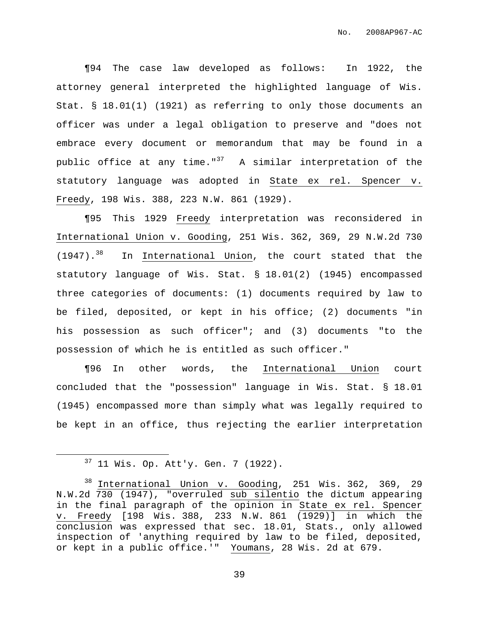¶94 The case law developed as follows: In 1922, the attorney general interpreted the highlighted language of Wis. Stat. § 18.01(1) (1921) as referring to only those documents an officer was under a legal obligation to preserve and "does not embrace every document or memorandum that may be found in a public office at any time."<sup>37</sup> A similar interpretation of the statutory language was adopted in State ex rel. Spencer v. Freedy, 198 Wis. 388, 223 N.W. 861 (1929).

¶95 This 1929 Freedy interpretation was reconsidered in International Union v. Gooding, 251 Wis. 362, 369, 29 N.W.2d 730  $(1947)$ .<sup>38</sup> In International Union, the court stated that the statutory language of Wis. Stat. § 18.01(2) (1945) encompassed three categories of documents: (1) documents required by law to be filed, deposited, or kept in his office; (2) documents "in his possession as such officer"; and (3) documents "to the possession of which he is entitled as such officer."

¶96 In other words, the International Union court concluded that the "possession" language in Wis. Stat. § 18.01 (1945) encompassed more than simply what was legally required to be kept in an office, thus rejecting the earlier interpretation

 $37$  11 Wis. Op. Att'y. Gen. 7 (1922).

<sup>&</sup>lt;sup>38</sup> International Union v. Gooding, 251 Wis. 362, 369, 29 N.W.2d 730 (1947), "overruled sub silentio the dictum appearing in the final paragraph of the opinion in State ex rel. Spencer v. Freedy [198 Wis. 388, 233 N.W. 861 (1929)] in which the conclusion was expressed that sec. 18.01, Stats., only allowed inspection of 'anything required by law to be filed, deposited, or kept in a public office.'" Youmans, 28 Wis. 2d at 679.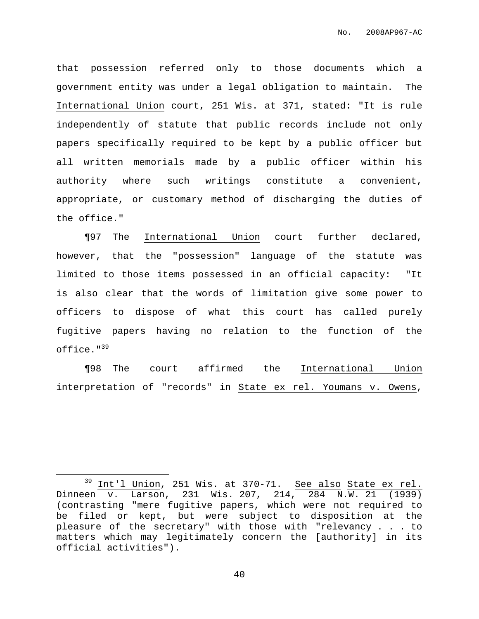that possession referred only to those documents which a government entity was under a legal obligation to maintain. The International Union court, 251 Wis. at 371, stated: "It is rule independently of statute that public records include not only papers specifically required to be kept by a public officer but all written memorials made by a public officer within his authority where such writings constitute a convenient, appropriate, or customary method of discharging the duties of the office."

¶97 The International Union court further declared, however, that the "possession" language of the statute was limited to those items possessed in an official capacity: "It is also clear that the words of limitation give some power to officers to dispose of what this court has called purely fugitive papers having no relation to the function of the office." 39

¶98 The court affirmed the International Union interpretation of "records" in State ex rel. Youmans v. Owens,

 $39$  Int'l Union, 251 Wis. at 370-71. See also State ex rel. Dinneen v. Larson, 231 Wis. 207, 214, 284 N.W. 21 (1939) (contrasting "mere fugitive papers, which were not required to be filed or kept, but were subject to disposition at the pleasure of the secretary" with those with "relevancy . . . to matters which may legitimately concern the [authority] in its official activities").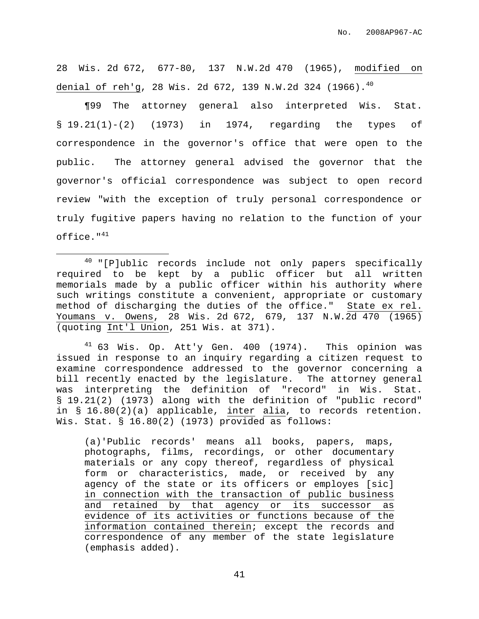28 Wis. 2d 672, 677-80, 137 N.W.2d 470 (1965), modified on denial of reh'g, 28 Wis. 2d 672, 139 N.W.2d 324 (1966). 40

¶99 The attorney general also interpreted Wis. Stat. § 19.21(1)-(2) (1973) in 1974, regarding the types of correspondence in the governor's office that were open to the public. The attorney general advised the governor that the governor's official correspondence was subject to open record review "with the exception of truly personal correspondence or truly fugitive papers having no relation to the function of your office." $^{41}$ 

 $41$  63 Wis. Op. Att'y Gen. 400 (1974). This opinion was issued in response to an inquiry regarding a citizen request to examine correspondence addressed to the governor concerning a bill recently enacted by the legislature. The attorney general was interpreting the definition of "record" in Wis. Stat. § 19.21(2) (1973) along with the definition of "public record" in § 16.80(2)(a) applicable, inter alia, to records retention. Wis. Stat. § 16.80(2) (1973) provided as follows:

(a)'Public records' means all books, papers, maps, photographs, films, recordings, or other documentary materials or any copy thereof, regardless of physical form or characteristics, made, or received by any agency of the state or its officers or employes [sic] in connection with the transaction of public business and retained by that agency or its successor as evidence of its activities or functions because of the information contained therein; except the records and correspondence of any member of the state legislature (emphasis added).

 $40$  "[P]ublic records include not only papers specifically required to be kept by a public officer but all written memorials made by a public officer within his authority where such writings constitute a convenient, appropriate or customary method of discharging the duties of the office." State ex rel. Youmans v. Owens, 28 Wis. 2d 672, 679, 137 N.W.2d 470 (1965) (quoting Int'l Union, 251 Wis. at 371).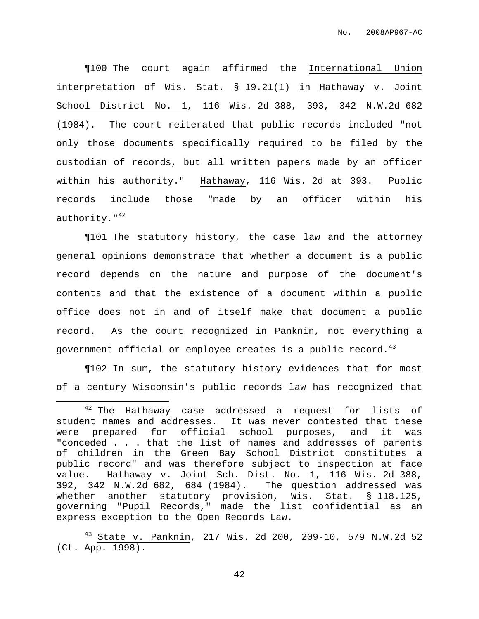¶100 The court again affirmed the International Union interpretation of Wis. Stat. § 19.21(1) in Hathaway v. Joint School District No. 1, 116 Wis. 2d 388, 393, 342 N.W.2d 682 (1984). The court reiterated that public records included "not only those documents specifically required to be filed by the custodian of records, but all written papers made by an officer within his authority." Hathaway, 116 Wis. 2d at 393. Public records include those "made by an officer within his authority."<sup>42</sup>

¶101 The statutory history, the case law and the attorney general opinions demonstrate that whether a document is a public record depends on the nature and purpose of the document's contents and that the existence of a document within a public office does not in and of itself make that document a public record. As the court recognized in Panknin, not everything a government official or employee creates is a public record.<sup>43</sup>

¶102 In sum, the statutory history evidences that for most of a century Wisconsin's public records law has recognized that

 $42$  The Hathaway case addressed a request for lists of student names and addresses. It was never contested that these were prepared for official school purposes, and it was "conceded . . . that the list of names and addresses of parents of children in the Green Bay School District constitutes a public record" and was therefore subject to inspection at face value. Hathaway v. Joint Sch. Dist. No. 1, 116 Wis. 2d 388, 392, 342 N.W.2d 682, 684 (1984). The question addressed was whether another statutory provision, Wis. Stat. § 118.125, governing "Pupil Records," made the list confidential as an express exception to the Open Records Law.

 $43$  State v. Panknin, 217 Wis. 2d 200, 209-10, 579 N.W.2d 52 (Ct. App. 1998).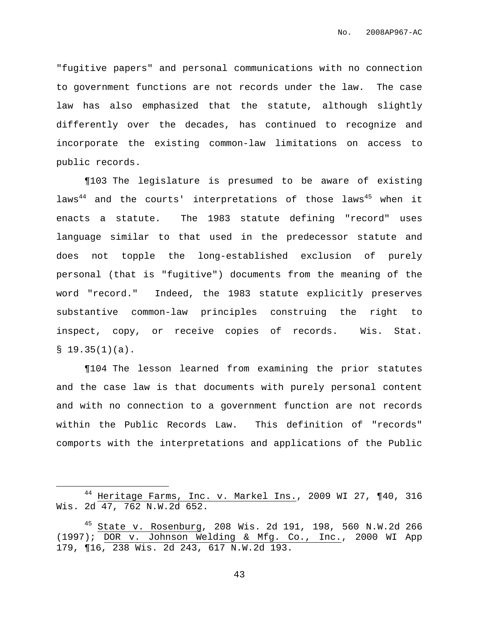"fugitive papers" and personal communications with no connection to government functions are not records under the law. The case law has also emphasized that the statute, although slightly differently over the decades, has continued to recognize and incorporate the existing common-law limitations on access to public records.

¶103 The legislature is presumed to be aware of existing laws<sup>44</sup> and the courts' interpretations of those laws<sup>45</sup> when it enacts a statute. The 1983 statute defining "record" uses language similar to that used in the predecessor statute and does not topple the long-established exclusion of purely personal (that is "fugitive") documents from the meaning of the word "record." Indeed, the 1983 statute explicitly preserves substantive common-law principles construing the right to inspect, copy, or receive copies of records. Wis. Stat.  $$19.35(1)(a).$ 

¶104 The lesson learned from examining the prior statutes and the case law is that documents with purely personal content and with no connection to a government function are not records within the Public Records Law. This definition of "records" comports with the interpretations and applications of the Public

<sup>44</sup> Heritage Farms, Inc. v. Markel Ins., 2009 WI 27, ¶40, 316 Wis. 2d 47, 762 N.W.2d 652.

 $45$  State v. Rosenburg, 208 Wis. 2d 191, 198, 560 N.W.2d 266 (1997); DOR v. Johnson Welding & Mfg. Co., Inc., 2000 WI App 179, ¶16, 238 Wis. 2d 243, 617 N.W.2d 193.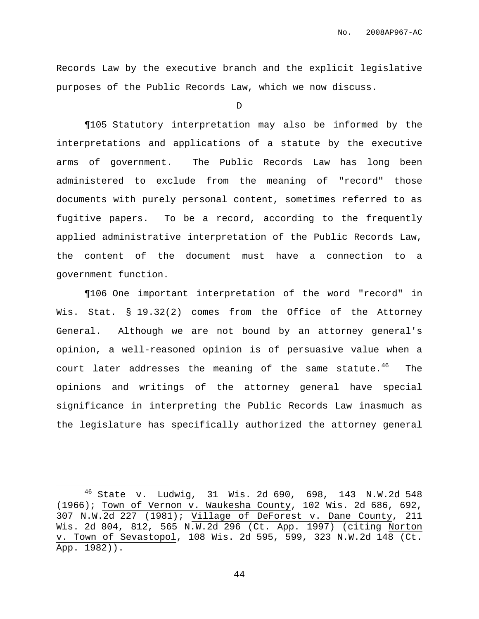Records Law by the executive branch and the explicit legislative purposes of the Public Records Law, which we now discuss.

D

¶105 Statutory interpretation may also be informed by the interpretations and applications of a statute by the executive arms of government. The Public Records Law has long been administered to exclude from the meaning of "record" those documents with purely personal content, sometimes referred to as fugitive papers. To be a record, according to the frequently applied administrative interpretation of the Public Records Law, the content of the document must have a connection to a government function.

¶106 One important interpretation of the word "record" in Wis. Stat. § 19.32(2) comes from the Office of the Attorney General. Although we are not bound by an attorney general's opinion, a well-reasoned opinion is of persuasive value when a court later addresses the meaning of the same statute.<sup>46</sup> The opinions and writings of the attorney general have special significance in interpreting the Public Records Law inasmuch as the legislature has specifically authorized the attorney general

<sup>46</sup> State v. Ludwig, 31 Wis. 2d 690, 698, 143 N.W.2d 548 (1966); Town of Vernon v. Waukesha County, 102 Wis. 2d 686, 692, 307 N.W.2d 227 (1981); Village of DeForest v. Dane County, 211 Wis. 2d 804, 812, 565 N.W.2d 296 (Ct. App. 1997) (citing Norton v. Town of Sevastopol, 108 Wis. 2d 595, 599, 323 N.W.2d 148 (Ct. App. 1982)).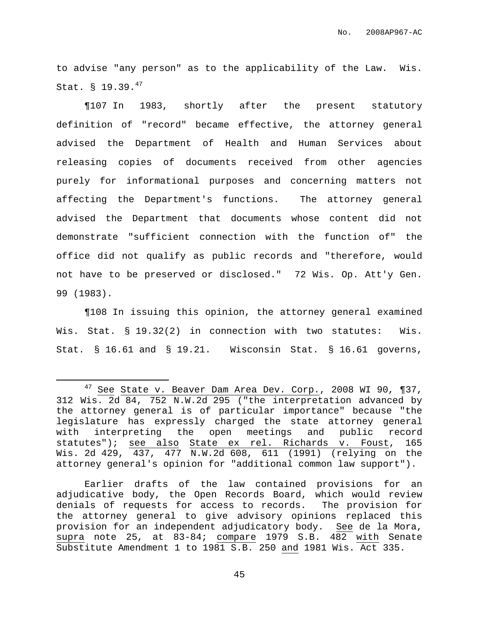to advise "any person" as to the applicability of the Law. Wis. Stat. § 19.39. $^{47}$ 

¶107 In 1983, shortly after the present statutory definition of "record" became effective, the attorney general advised the Department of Health and Human Services about releasing copies of documents received from other agencies purely for informational purposes and concerning matters not affecting the Department's functions. The attorney general advised the Department that documents whose content did not demonstrate "sufficient connection with the function of" the office did not qualify as public records and "therefore, would not have to be preserved or disclosed." 72 Wis. Op. Att'y Gen. 99 (1983).

¶108 In issuing this opinion, the attorney general examined Wis. Stat. § 19.32(2) in connection with two statutes: Wis. Stat. § 16.61 and § 19.21. Wisconsin Stat. § 16.61 governs,

Earlier drafts of the law contained provisions for an adjudicative body, the Open Records Board, which would review denials of requests for access to records. The provision for the attorney general to give advisory opinions replaced this provision for an independent adjudicatory body. See de la Mora, supra note 25, at  $83-84$ ; compare 1979 S.B.  $482$  with Senate Substitute Amendment 1 to 1981 S.B. 250 and 1981 Wis. Act 335.

 $47$  See State v. Beaver Dam Area Dev. Corp., 2008 WI 90, ¶37, 312 Wis. 2d 84, 752 N.W.2d 295 ("the interpretation advanced by the attorney general is of particular importance" because "the legislature has expressly charged the state attorney general with interpreting the open meetings and public record statutes"); see also State ex rel. Richards v. Foust, 165 Wis. 2d 429, 437, 477 N.W.2d 608, 611 (1991) (relying on the attorney general's opinion for "additional common law support").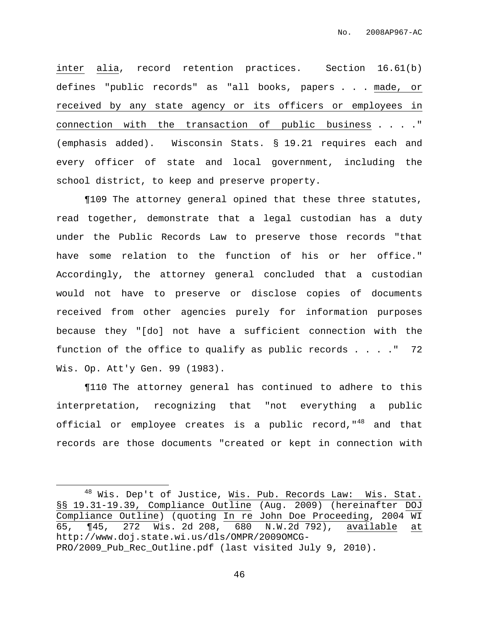inter alia, record retention practices. Section 16.61(b) defines "public records" as "all books, papers . . . made, or received by any state agency or its officers or employees in connection with the transaction of public business . . . ." (emphasis added). Wisconsin Stats. § 19.21 requires each and every officer of state and local government, including the school district, to keep and preserve property.

¶109 The attorney general opined that these three statutes, read together, demonstrate that a legal custodian has a duty under the Public Records Law to preserve those records "that have some relation to the function of his or her office." Accordingly, the attorney general concluded that a custodian would not have to preserve or disclose copies of documents received from other agencies purely for information purposes because they "[do] not have a sufficient connection with the function of the office to qualify as public records  $\ldots$  ." 72 Wis. Op. Att'y Gen. 99 (1983).

¶110 The attorney general has continued to adhere to this interpretation, recognizing that "not everything a public official or employee creates is a public record,"<sup>48</sup> and that records are those documents "created or kept in connection with

<sup>&</sup>lt;sup>48</sup> Wis. Dep't of Justice, <u>Wis. Pub. Records Law: Wis. Stat.</u> §§ 19.31-19.39, Compliance Outline (Aug. 2009) (hereinafter DOJ Compliance Outline) (quoting In re John Doe Proceeding, 2004 WI 65, ¶45, 272 Wis. 2d 208, 680 N.W.2d 792), available at http://www.doj.state.wi.us/dls/OMPR/2009OMCG-PRO/2009\_Pub\_Rec\_Outline.pdf (last visited July 9, 2010).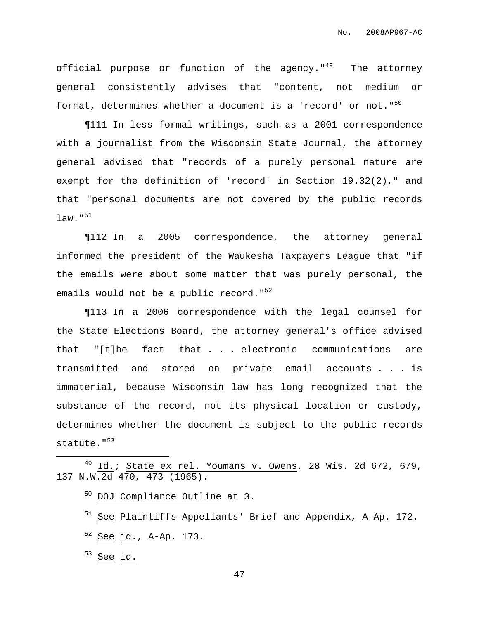official purpose or function of the agency."<sup>49</sup> The attorney general consistently advises that "content, not medium or format, determines whether a document is a 'record' or not."<sup>50</sup>

¶111 In less formal writings, such as a 2001 correspondence with a journalist from the Wisconsin State Journal, the attorney general advised that "records of a purely personal nature are exempt for the definition of 'record' in Section 19.32(2)," and that "personal documents are not covered by the public records law." 51

¶112 In a 2005 correspondence, the attorney general informed the president of the Waukesha Taxpayers League that "if the emails were about some matter that was purely personal, the emails would not be a public record."<sup>52</sup>

¶113 In a 2006 correspondence with the legal counsel for the State Elections Board, the attorney general's office advised that "[t]he fact that . . . electronic communications are transmitted and stored on private email accounts . . . is immaterial, because Wisconsin law has long recognized that the substance of the record, not its physical location or custody, determines whether the document is subject to the public records statute." 53

<sup>50</sup> DOJ Compliance Outline at 3.

<sup>51</sup> See Plaintiffs-Appellants' Brief and Appendix, A-Ap. 172.

- <sup>52</sup> See id., A-Ap. 173.
- $53$  See id.

Id.; State ex rel. Youmans v. Owens, 28 Wis. 2d 672, 679, 137 N.W.2d 470, 473 (1965).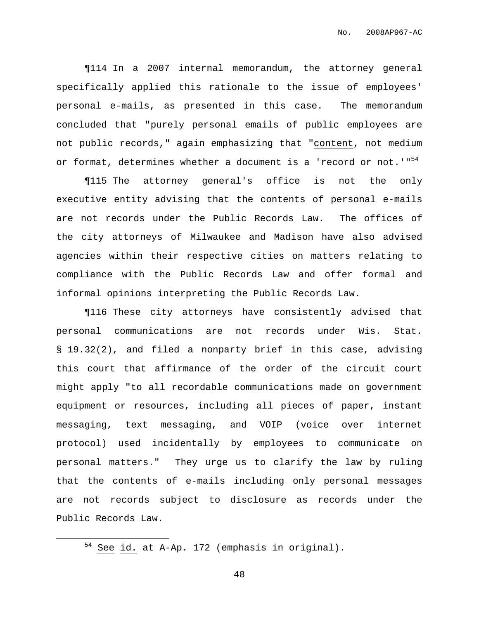¶114 In a 2007 internal memorandum, the attorney general specifically applied this rationale to the issue of employees' personal e-mails, as presented in this case. The memorandum concluded that "purely personal emails of public employees are not public records," again emphasizing that "content, not medium or format, determines whether a document is a 'record or not.'"<sup>54</sup>

¶115 The attorney general's office is not the only executive entity advising that the contents of personal e-mails are not records under the Public Records Law. The offices of the city attorneys of Milwaukee and Madison have also advised agencies within their respective cities on matters relating to compliance with the Public Records Law and offer formal and informal opinions interpreting the Public Records Law.

¶116 These city attorneys have consistently advised that personal communications are not records under Wis. Stat. § 19.32(2), and filed a nonparty brief in this case, advising this court that affirmance of the order of the circuit court might apply "to all recordable communications made on government equipment or resources, including all pieces of paper, instant messaging, text messaging, and VOIP (voice over internet protocol) used incidentally by employees to communicate on personal matters." They urge us to clarify the law by ruling that the contents of e-mails including only personal messages are not records subject to disclosure as records under the Public Records Law.

 $54$  See id. at A-Ap. 172 (emphasis in original).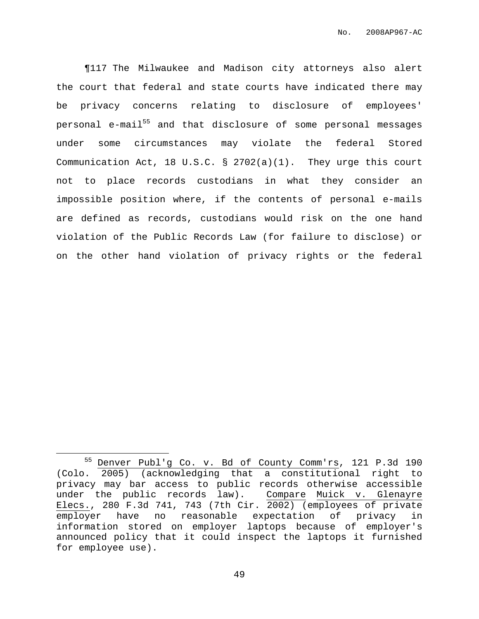¶117 The Milwaukee and Madison city attorneys also alert the court that federal and state courts have indicated there may be privacy concerns relating to disclosure of employees' personal e-mail<sup>55</sup> and that disclosure of some personal messages under some circumstances may violate the federal Stored Communication Act, 18 U.S.C. § 2702(a)(1). They urge this court not to place records custodians in what they consider an impossible position where, if the contents of personal e-mails are defined as records, custodians would risk on the one hand violation of the Public Records Law (for failure to disclose) or on the other hand violation of privacy rights or the federal

<sup>55</sup> Denver Publ'g Co. v. Bd of County Comm'rs, 121 P.3d 190 (Colo. 2005) (acknowledging that a constitutional right to privacy may bar access to public records otherwise accessible under the public records law). Compare Muick v. Glenayre Elecs., 280 F.3d 741, 743 (7th Cir. 2002) (employees of private employer have no reasonable expectation of privacy in information stored on employer laptops because of employer's announced policy that it could inspect the laptops it furnished for employee use).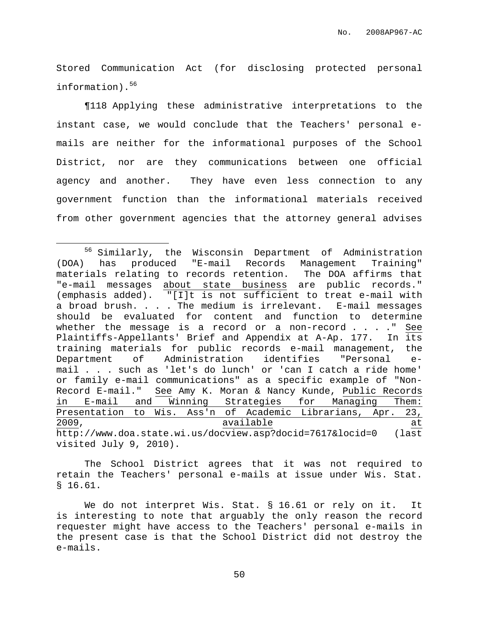Stored Communication Act (for disclosing protected personal information). 56

¶118 Applying these administrative interpretations to the instant case, we would conclude that the Teachers' personal emails are neither for the informational purposes of the School District, nor are they communications between one official agency and another. They have even less connection to any government function than the informational materials received from other government agencies that the attorney general advises

The School District agrees that it was not required to retain the Teachers' personal e-mails at issue under Wis. Stat. § 16.61.

We do not interpret Wis. Stat. § 16.61 or rely on it. It is interesting to note that arguably the only reason the record requester might have access to the Teachers' personal e-mails in the present case is that the School District did not destroy the e-mails.

<sup>56</sup> Similarly, the Wisconsin Department of Administration (DOA) has produced "E-mail Records Management Training" materials relating to records retention. The DOA affirms that "e-mail messages about state business are public records." (emphasis added). "[I]t is not sufficient to treat e-mail with a broad brush. . . . The medium is irrelevant. E-mail messages should be evaluated for content and function to determine whether the message is a record or a non-record . . . ." See Plaintiffs-Appellants' Brief and Appendix at A-Ap. 177. In its training materials for public records e-mail management, the Department of Administration identifies "Personal email . . . such as 'let's do lunch' or 'can I catch a ride home' or family e-mail communications" as a specific example of "Non-Record E-mail." See Amy K. Moran & Nancy Kunde, Public Records in E-mail and Winning Strategies for Managing Them: Presentation to Wis. Ass'n of Academic Librarians, Apr. 23, 2009, available at http://www.doa.state.wi.us/docview.asp?docid=7617&locid=0 (last visited July 9, 2010).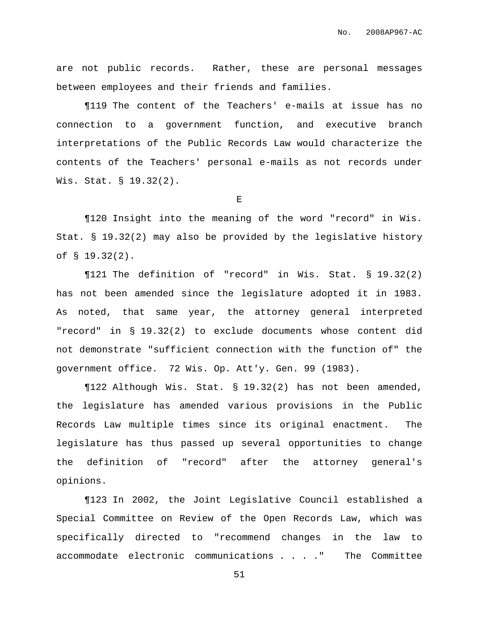are not public records. Rather, these are personal messages between employees and their friends and families.

¶119 The content of the Teachers' e-mails at issue has no connection to a government function, and executive branch interpretations of the Public Records Law would characterize the contents of the Teachers' personal e-mails as not records under Wis. Stat. § 19.32(2).

E

¶120 Insight into the meaning of the word "record" in Wis. Stat. § 19.32(2) may also be provided by the legislative history of § 19.32(2).

¶121 The definition of "record" in Wis. Stat. § 19.32(2) has not been amended since the legislature adopted it in 1983. As noted, that same year, the attorney general interpreted "record" in § 19.32(2) to exclude documents whose content did not demonstrate "sufficient connection with the function of" the government office. 72 Wis. Op. Att'y. Gen. 99 (1983).

¶122 Although Wis. Stat. § 19.32(2) has not been amended, the legislature has amended various provisions in the Public Records Law multiple times since its original enactment. The legislature has thus passed up several opportunities to change the definition of "record" after the attorney general's opinions.

¶123 In 2002, the Joint Legislative Council established a Special Committee on Review of the Open Records Law, which was specifically directed to "recommend changes in the law to accommodate electronic communications . . . ." The Committee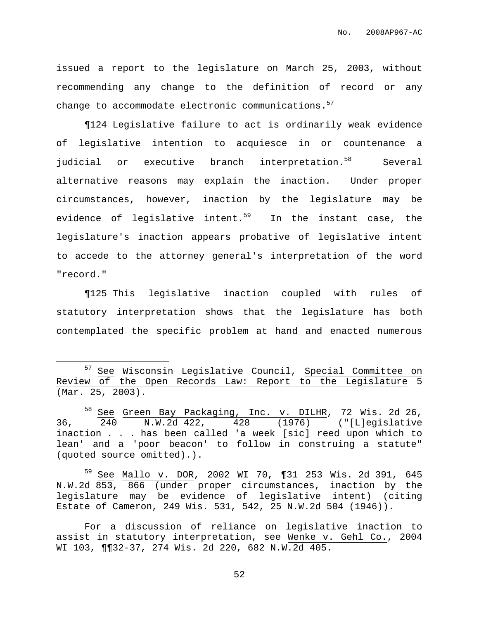issued a report to the legislature on March 25, 2003, without recommending any change to the definition of record or any change to accommodate electronic communications. 57

¶124 Legislative failure to act is ordinarily weak evidence of legislative intention to acquiesce in or countenance a judicial or executive branch interpretation.<sup>58</sup> Several alternative reasons may explain the inaction. Under proper circumstances, however, inaction by the legislature may be evidence of legislative intent. <sup>59</sup> In the instant case, the legislature's inaction appears probative of legislative intent to accede to the attorney general's interpretation of the word "record."

¶125 This legislative inaction coupled with rules of statutory interpretation shows that the legislature has both contemplated the specific problem at hand and enacted numerous

<sup>59</sup> See Mallo v. DOR, 2002 WI 70, ¶31 253 Wis. 2d 391, 645 N.W.2d 853, 866 (under proper circumstances, inaction by the legislature may be evidence of legislative intent) (citing Estate of Cameron, 249 Wis. 531, 542, 25 N.W.2d 504 (1946)).

For a discussion of reliance on legislative inaction to assist in statutory interpretation, see Wenke v. Gehl Co., 2004 WI 103, ¶¶32-37, 274 Wis. 2d 220, 682 N.W.2d 405.

<sup>57</sup> See Wisconsin Legislative Council, Special Committee on Review of the Open Records Law: Report to the Legislature 5 (Mar. 25, 2003).

<sup>58</sup> See Green Bay Packaging, Inc. v. DILHR, 72 Wis. 2d 26, 36, 240 N.W.2d 422, 428 (1976) ("[L]egislative inaction . . . has been called 'a week [sic] reed upon which to lean' and a 'poor beacon' to follow in construing a statute" (quoted source omitted).).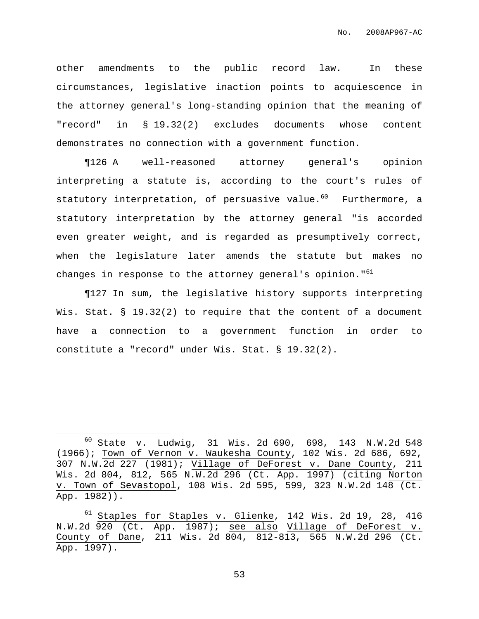other amendments to the public record law. In these circumstances, legislative inaction points to acquiescence in the attorney general's long-standing opinion that the meaning of "record" in § 19.32(2) excludes documents whose content demonstrates no connection with a government function.

¶126 A well-reasoned attorney general's opinion interpreting a statute is, according to the court's rules of statutory interpretation, of persuasive value. <sup>60</sup> Furthermore, a statutory interpretation by the attorney general "is accorded even greater weight, and is regarded as presumptively correct, when the legislature later amends the statute but makes no changes in response to the attorney general's opinion."<sup>61</sup>

¶127 In sum, the legislative history supports interpreting Wis. Stat. § 19.32(2) to require that the content of a document have a connection to a government function in order to constitute a "record" under Wis. Stat. § 19.32(2).

<sup>60</sup> State v. Ludwig, 31 Wis. 2d 690, 698, 143 N.W.2d 548 (1966); Town of Vernon v. Waukesha County, 102 Wis. 2d 686, 692, 307 N.W.2d 227 (1981); Village of DeForest v. Dane County, 211 Wis. 2d 804, 812, 565 N.W.2d 296 (Ct. App. 1997) (citing Norton v. Town of Sevastopol, 108 Wis. 2d 595, 599, 323 N.W.2d 148 (Ct. App. 1982)).

<sup>&</sup>lt;sup>61</sup> Staples for <u>Staples v. Glienke</u>, 142 Wis. 2d 19, 28, 416 N.W.2d 920 (Ct. App. 1987); see also Village of DeForest v. County of Dane, 211 Wis. 2d 804, 812-813, 565 N.W.2d 296 (Ct. App. 1997).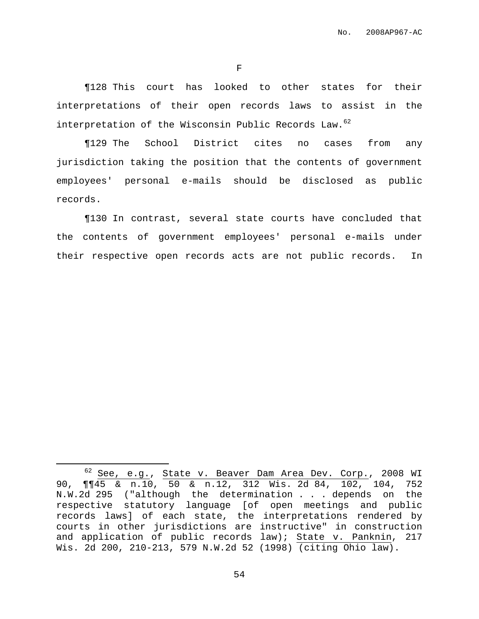F

¶128 This court has looked to other states for their interpretations of their open records laws to assist in the interpretation of the Wisconsin Public Records Law. 62

¶129 The School District cites no cases from any jurisdiction taking the position that the contents of government employees' personal e-mails should be disclosed as public records.

¶130 In contrast, several state courts have concluded that the contents of government employees' personal e-mails under their respective open records acts are not public records. In

<sup>62</sup> See, e.g., State v. Beaver Dam Area Dev. Corp., 2008 WI 90, ¶¶45 & n.10, 50 & n.12, 312 Wis. 2d 84, 102, 104, 752 N.W.2d 295 ("although the determination . . . depends on the respective statutory language [of open meetings and public records laws] of each state, the interpretations rendered by courts in other jurisdictions are instructive" in construction and application of public records law); State v. Panknin, 217 Wis. 2d 200, 210-213, 579 N.W.2d 52 (1998) (citing Ohio law).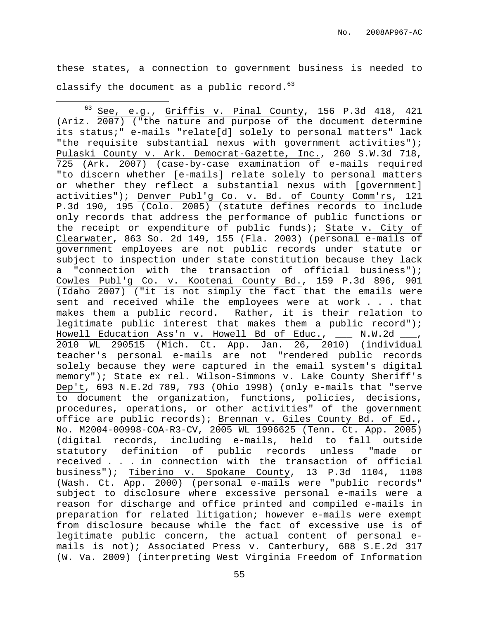these states, a connection to government business is needed to classify the document as a public record. 63

 $63$  See, e.g., Griffis  $v$ . Pinal County, 156 P.3d 418, 421 (Ariz. 2007) ("the nature and purpose of the document determine its status;" e-mails "relate[d] solely to personal matters" lack "the requisite substantial nexus with government activities"); Pulaski County v. Ark. Democrat-Gazette, Inc., 260 S.W.3d 718, 725 (Ark. 2007) (case-by-case examination of e-mails required "to discern whether [e-mails] relate solely to personal matters or whether they reflect a substantial nexus with [government] activities"); Denver Publ'g Co. v. Bd. of County Comm'rs, 121 P.3d 190, 195 (Colo. 2005) (statute defines records to include only records that address the performance of public functions or the receipt or expenditure of public funds); State v. City of Clearwater, 863 So. 2d 149, 155 (Fla. 2003) (personal e-mails of government employees are not public records under statute or subject to inspection under state constitution because they lack a "connection with the transaction of official business"); Cowles Publ'g Co. v. Kootenai County Bd., 159 P.3d 896, 901 (Idaho 2007) ("it is not simply the fact that the emails were sent and received while the employees were at work . . . that makes them a public record. Rather, it is their relation to legitimate public interest that makes them a public record"); Howell Education Ass'n v. Howell Bd of Educ., \_\_\_ N.W.2d \_\_\_, 2010 WL 290515 (Mich. Ct. App. Jan. 26, 2010) (individual teacher's personal e-mails are not "rendered public records solely because they were captured in the email system's digital memory"); State ex rel. Wilson-Simmons v. Lake County Sheriff's Dep't, 693 N.E.2d 789, 793 (Ohio 1998) (only e-mails that "serve to document the organization, functions, policies, decisions, procedures, operations, or other activities" of the government office are public records); Brennan v. Giles County Bd. of Ed., No. M2004-00998-COA-R3-CV, 2005 WL 1996625 (Tenn. Ct. App. 2005) (digital records, including e-mails, held to fall outside statutory definition of public records unless "made or received . . . in connection with the transaction of official business"); Tiberino v. Spokane County, 13 P.3d 1104, 1108 (Wash. Ct. App. 2000) (personal e-mails were "public records" subject to disclosure where excessive personal e-mails were a reason for discharge and office printed and compiled e-mails in preparation for related litigation; however e-mails were exempt from disclosure because while the fact of excessive use is of legitimate public concern, the actual content of personal emails is not); Associated Press v. Canterbury, 688 S.E.2d 317 (W. Va. 2009) (interpreting West Virginia Freedom of Information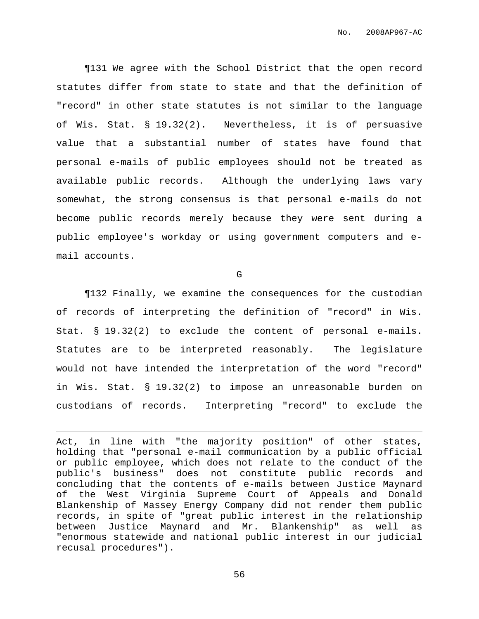¶131 We agree with the School District that the open record statutes differ from state to state and that the definition of "record" in other state statutes is not similar to the language of Wis. Stat. § 19.32(2). Nevertheless, it is of persuasive value that a substantial number of states have found that personal e-mails of public employees should not be treated as available public records. Although the underlying laws vary somewhat, the strong consensus is that personal e-mails do not become public records merely because they were sent during a public employee's workday or using government computers and email accounts.

G

¶132 Finally, we examine the consequences for the custodian of records of interpreting the definition of "record" in Wis. Stat. § 19.32(2) to exclude the content of personal e-mails. Statutes are to be interpreted reasonably. The legislature would not have intended the interpretation of the word "record" in Wis. Stat. § 19.32(2) to impose an unreasonable burden on custodians of records. Interpreting "record" to exclude the

Act, in line with "the majority position" of other states, holding that "personal e-mail communication by a public official or public employee, which does not relate to the conduct of the public's business" does not constitute public records and concluding that the contents of e-mails between Justice Maynard of the West Virginia Supreme Court of Appeals and Donald Blankenship of Massey Energy Company did not render them public records, in spite of "great public interest in the relationship between Justice Maynard and Mr. Blankenship" as well as "enormous statewide and national public interest in our judicial recusal procedures").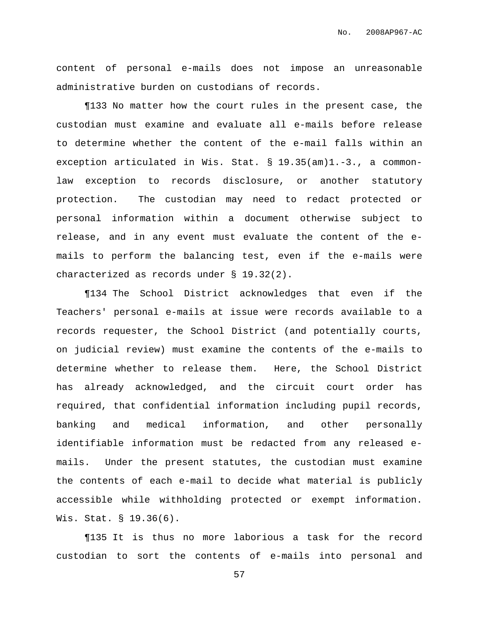content of personal e-mails does not impose an unreasonable administrative burden on custodians of records.

¶133 No matter how the court rules in the present case, the custodian must examine and evaluate all e-mails before release to determine whether the content of the e-mail falls within an exception articulated in Wis. Stat. § 19.35(am)1.-3., a commonlaw exception to records disclosure, or another statutory protection. The custodian may need to redact protected or personal information within a document otherwise subject to release, and in any event must evaluate the content of the emails to perform the balancing test, even if the e-mails were characterized as records under § 19.32(2).

¶134 The School District acknowledges that even if the Teachers' personal e-mails at issue were records available to a records requester, the School District (and potentially courts, on judicial review) must examine the contents of the e-mails to determine whether to release them. Here, the School District has already acknowledged, and the circuit court order has required, that confidential information including pupil records, banking and medical information, and other personally identifiable information must be redacted from any released emails. Under the present statutes, the custodian must examine the contents of each e-mail to decide what material is publicly accessible while withholding protected or exempt information. Wis. Stat. § 19.36(6).

¶135 It is thus no more laborious a task for the record custodian to sort the contents of e-mails into personal and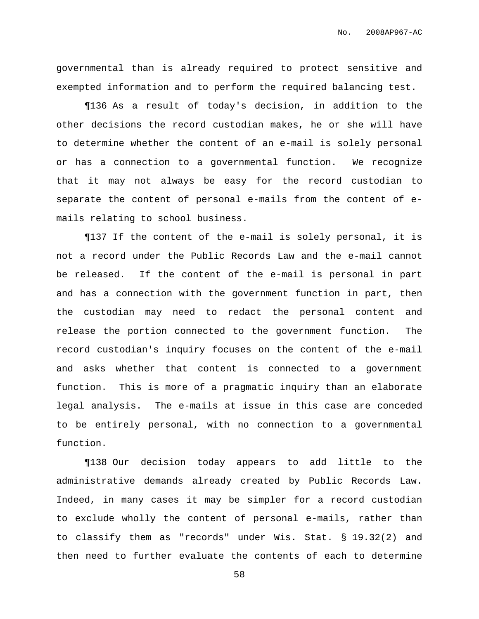governmental than is already required to protect sensitive and exempted information and to perform the required balancing test.

¶136 As a result of today's decision, in addition to the other decisions the record custodian makes, he or she will have to determine whether the content of an e-mail is solely personal or has a connection to a governmental function. We recognize that it may not always be easy for the record custodian to separate the content of personal e-mails from the content of emails relating to school business.

¶137 If the content of the e-mail is solely personal, it is not a record under the Public Records Law and the e-mail cannot be released. If the content of the e-mail is personal in part and has a connection with the government function in part, then the custodian may need to redact the personal content and release the portion connected to the government function. The record custodian's inquiry focuses on the content of the e-mail and asks whether that content is connected to a government function. This is more of a pragmatic inquiry than an elaborate legal analysis. The e-mails at issue in this case are conceded to be entirely personal, with no connection to a governmental function.

¶138 Our decision today appears to add little to the administrative demands already created by Public Records Law. Indeed, in many cases it may be simpler for a record custodian to exclude wholly the content of personal e-mails, rather than to classify them as "records" under Wis. Stat. § 19.32(2) and then need to further evaluate the contents of each to determine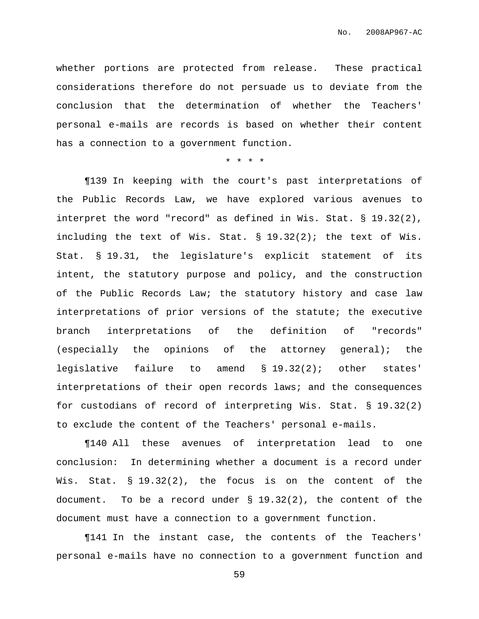whether portions are protected from release. These practical considerations therefore do not persuade us to deviate from the conclusion that the determination of whether the Teachers' personal e-mails are records is based on whether their content has a connection to a government function.

## \* \* \* \*

¶139 In keeping with the court's past interpretations of the Public Records Law, we have explored various avenues to interpret the word "record" as defined in Wis. Stat. § 19.32(2), including the text of Wis. Stat. § 19.32(2); the text of Wis. Stat. § 19.31, the legislature's explicit statement of its intent, the statutory purpose and policy, and the construction of the Public Records Law; the statutory history and case law interpretations of prior versions of the statute; the executive branch interpretations of the definition of "records" (especially the opinions of the attorney general); the legislative failure to amend § 19.32(2); other states' interpretations of their open records laws; and the consequences for custodians of record of interpreting Wis. Stat. § 19.32(2) to exclude the content of the Teachers' personal e-mails.

¶140 All these avenues of interpretation lead to one conclusion: In determining whether a document is a record under Wis. Stat. § 19.32(2), the focus is on the content of the document. To be a record under § 19.32(2), the content of the document must have a connection to a government function.

¶141 In the instant case, the contents of the Teachers' personal e-mails have no connection to a government function and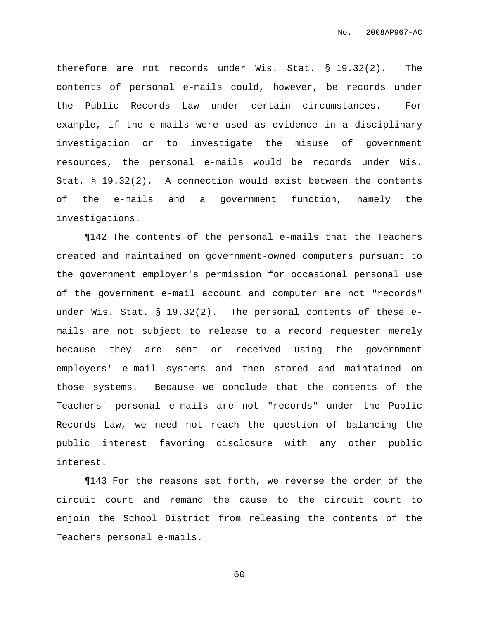therefore are not records under Wis. Stat. § 19.32(2). The contents of personal e-mails could, however, be records under the Public Records Law under certain circumstances. For example, if the e-mails were used as evidence in a disciplinary investigation or to investigate the misuse of government resources, the personal e-mails would be records under Wis. Stat. § 19.32(2). A connection would exist between the contents of the e-mails and a government function, namely the investigations.

¶142 The contents of the personal e-mails that the Teachers created and maintained on government-owned computers pursuant to the government employer's permission for occasional personal use of the government e-mail account and computer are not "records" under Wis. Stat. § 19.32(2). The personal contents of these emails are not subject to release to a record requester merely because they are sent or received using the government employers' e-mail systems and then stored and maintained on those systems. Because we conclude that the contents of the Teachers' personal e-mails are not "records" under the Public Records Law, we need not reach the question of balancing the public interest favoring disclosure with any other public interest.

¶143 For the reasons set forth, we reverse the order of the circuit court and remand the cause to the circuit court to enjoin the School District from releasing the contents of the Teachers personal e-mails.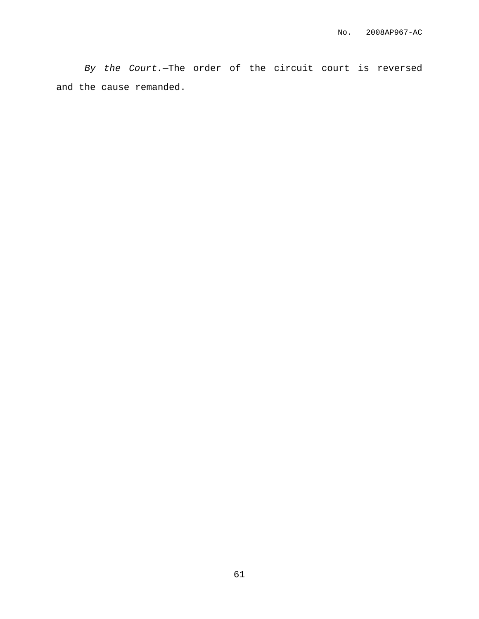By the Court.—The order of the circuit court is reversed and the cause remanded.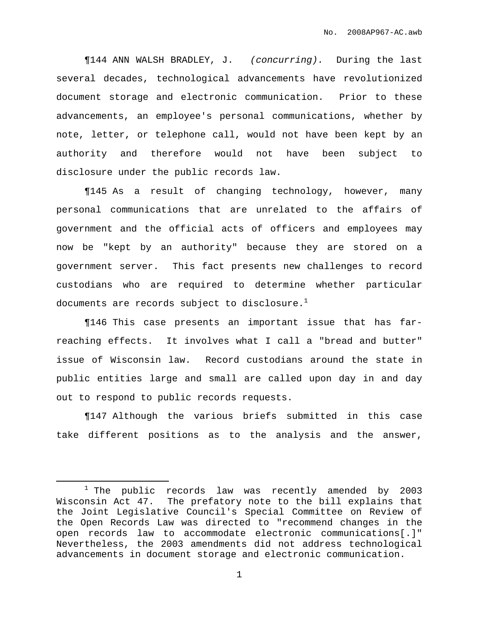¶144 ANN WALSH BRADLEY, J. (concurring). During the last several decades, technological advancements have revolutionized document storage and electronic communication. Prior to these advancements, an employee's personal communications, whether by note, letter, or telephone call, would not have been kept by an authority and therefore would not have been subject to disclosure under the public records law.

¶145 As a result of changing technology, however, many personal communications that are unrelated to the affairs of government and the official acts of officers and employees may now be "kept by an authority" because they are stored on a government server. This fact presents new challenges to record custodians who are required to determine whether particular documents are records subject to disclosure. $^{\rm 1}$ 

¶146 This case presents an important issue that has farreaching effects. It involves what I call a "bread and butter" issue of Wisconsin law. Record custodians around the state in public entities large and small are called upon day in and day out to respond to public records requests.

¶147 Although the various briefs submitted in this case take different positions as to the analysis and the answer,

 $1$  The public records law was recently amended by 2003 Wisconsin Act 47. The prefatory note to the bill explains that the Joint Legislative Council's Special Committee on Review of the Open Records Law was directed to "recommend changes in the open records law to accommodate electronic communications[.]" Nevertheless, the 2003 amendments did not address technological advancements in document storage and electronic communication.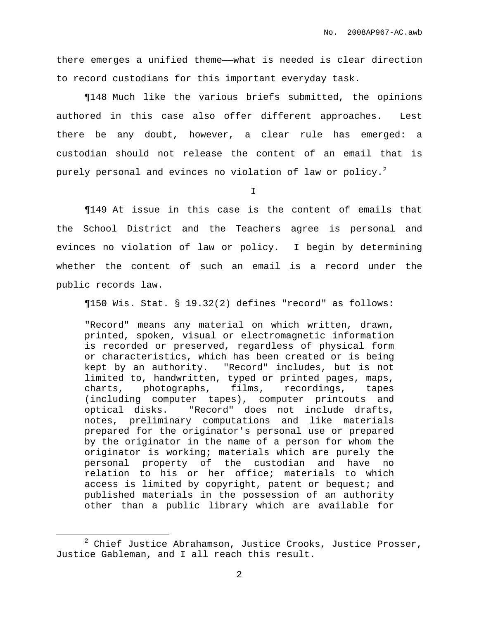there emerges a unified theme—what is needed is clear direction to record custodians for this important everyday task.

¶148 Much like the various briefs submitted, the opinions authored in this case also offer different approaches. Lest there be any doubt, however, a clear rule has emerged: a custodian should not release the content of an email that is purely personal and evinces no violation of law or policy. $^2$ 

I

¶149 At issue in this case is the content of emails that the School District and the Teachers agree is personal and evinces no violation of law or policy. I begin by determining whether the content of such an email is a record under the public records law.

¶150 Wis. Stat. § 19.32(2) defines "record" as follows:

"Record" means any material on which written, drawn, printed, spoken, visual or electromagnetic information is recorded or preserved, regardless of physical form or characteristics, which has been created or is being kept by an authority. "Record" includes, but is not limited to, handwritten, typed or printed pages, maps, charts, photographs, films, recordings, tapes (including computer tapes), computer printouts and optical disks. "Record" does not include drafts, notes, preliminary computations and like materials prepared for the originator's personal use or prepared by the originator in the name of a person for whom the originator is working; materials which are purely the personal property of the custodian and have no relation to his or her office; materials to which access is limited by copyright, patent or bequest; and published materials in the possession of an authority other than a public library which are available for

 $2$  Chief Justice Abrahamson, Justice Crooks, Justice Prosser, Justice Gableman, and I all reach this result.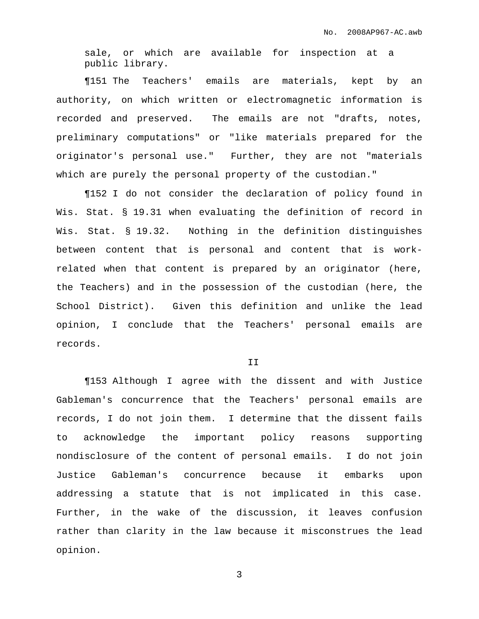sale, or which are available for inspection at a public library.

¶151 The Teachers' emails are materials, kept by an authority, on which written or electromagnetic information is recorded and preserved. The emails are not "drafts, notes, preliminary computations" or "like materials prepared for the originator's personal use." Further, they are not "materials which are purely the personal property of the custodian."

¶152 I do not consider the declaration of policy found in Wis. Stat. § 19.31 when evaluating the definition of record in Wis. Stat. § 19.32. Nothing in the definition distinguishes between content that is personal and content that is workrelated when that content is prepared by an originator (here, the Teachers) and in the possession of the custodian (here, the School District). Given this definition and unlike the lead opinion, I conclude that the Teachers' personal emails are records.

## II

¶153 Although I agree with the dissent and with Justice Gableman's concurrence that the Teachers' personal emails are records, I do not join them. I determine that the dissent fails to acknowledge the important policy reasons supporting nondisclosure of the content of personal emails. I do not join Justice Gableman's concurrence because it embarks upon addressing a statute that is not implicated in this case. Further, in the wake of the discussion, it leaves confusion rather than clarity in the law because it misconstrues the lead opinion.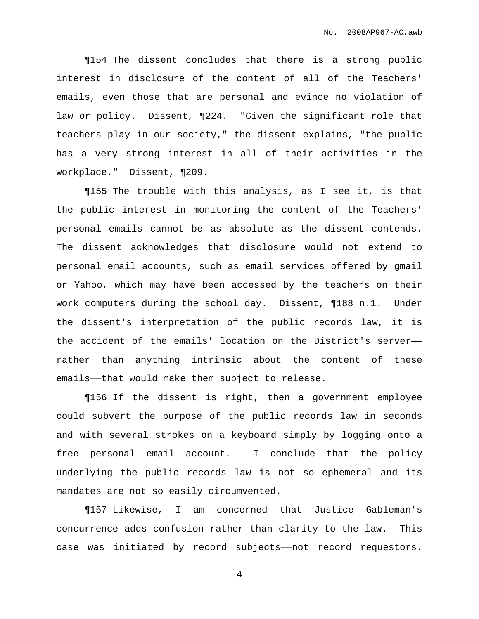¶154 The dissent concludes that there is a strong public interest in disclosure of the content of all of the Teachers' emails, even those that are personal and evince no violation of law or policy. Dissent, ¶224. "Given the significant role that teachers play in our society," the dissent explains, "the public has a very strong interest in all of their activities in the workplace." Dissent, ¶209.

¶155 The trouble with this analysis, as I see it, is that the public interest in monitoring the content of the Teachers' personal emails cannot be as absolute as the dissent contends. The dissent acknowledges that disclosure would not extend to personal email accounts, such as email services offered by gmail or Yahoo, which may have been accessed by the teachers on their work computers during the school day. Dissent, ¶188 n.1. Under the dissent's interpretation of the public records law, it is the accident of the emails' location on the District's server— rather than anything intrinsic about the content of these emails——that would make them subject to release.

¶156 If the dissent is right, then a government employee could subvert the purpose of the public records law in seconds and with several strokes on a keyboard simply by logging onto a free personal email account. I conclude that the policy underlying the public records law is not so ephemeral and its mandates are not so easily circumvented.

¶157 Likewise, I am concerned that Justice Gableman's concurrence adds confusion rather than clarity to the law. This case was initiated by record subjects——not record requestors.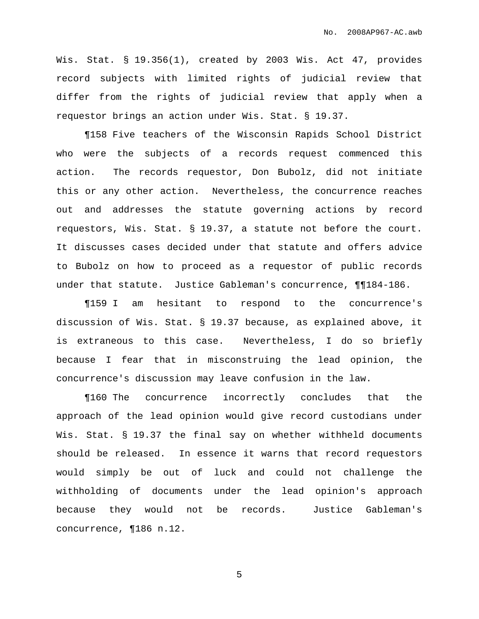Wis. Stat. § 19.356(1), created by 2003 Wis. Act 47, provides record subjects with limited rights of judicial review that differ from the rights of judicial review that apply when a requestor brings an action under Wis. Stat. § 19.37.

¶158 Five teachers of the Wisconsin Rapids School District who were the subjects of a records request commenced this action. The records requestor, Don Bubolz, did not initiate this or any other action. Nevertheless, the concurrence reaches out and addresses the statute governing actions by record requestors, Wis. Stat. § 19.37, a statute not before the court. It discusses cases decided under that statute and offers advice to Bubolz on how to proceed as a requestor of public records under that statute. Justice Gableman's concurrence, ¶¶184-186.

¶159 I am hesitant to respond to the concurrence's discussion of Wis. Stat. § 19.37 because, as explained above, it is extraneous to this case. Nevertheless, I do so briefly because I fear that in misconstruing the lead opinion, the concurrence's discussion may leave confusion in the law.

¶160 The concurrence incorrectly concludes that the approach of the lead opinion would give record custodians under Wis. Stat. § 19.37 the final say on whether withheld documents should be released. In essence it warns that record requestors would simply be out of luck and could not challenge the withholding of documents under the lead opinion's approach because they would not be records. Justice Gableman's concurrence, ¶186 n.12.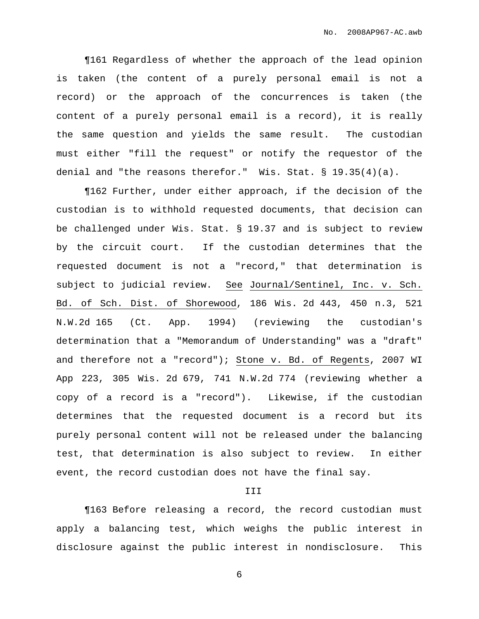¶161 Regardless of whether the approach of the lead opinion is taken (the content of a purely personal email is not a record) or the approach of the concurrences is taken (the content of a purely personal email is a record), it is really the same question and yields the same result. The custodian must either "fill the request" or notify the requestor of the denial and "the reasons therefor." Wis. Stat.  $\S 19.35(4)(a)$ .

¶162 Further, under either approach, if the decision of the custodian is to withhold requested documents, that decision can be challenged under Wis. Stat. § 19.37 and is subject to review by the circuit court. If the custodian determines that the requested document is not a "record," that determination is subject to judicial review. See Journal/Sentinel, Inc. v. Sch. Bd. of Sch. Dist. of Shorewood, 186 Wis. 2d 443, 450 n.3, 521 N.W.2d 165 (Ct. App. 1994) (reviewing the custodian's determination that a "Memorandum of Understanding" was a "draft" and therefore not a "record"); Stone v. Bd. of Regents, 2007 WI App 223, 305 Wis. 2d 679, 741 N.W.2d 774 (reviewing whether a copy of a record is a "record"). Likewise, if the custodian determines that the requested document is a record but its purely personal content will not be released under the balancing test, that determination is also subject to review. In either event, the record custodian does not have the final say.

## III

¶163 Before releasing a record, the record custodian must apply a balancing test, which weighs the public interest in disclosure against the public interest in nondisclosure. This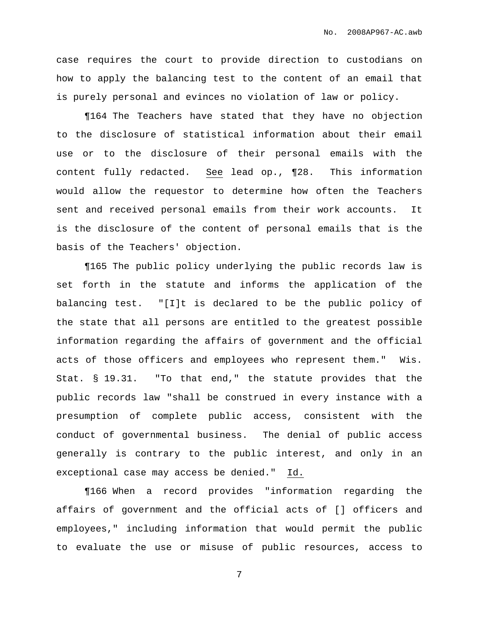case requires the court to provide direction to custodians on how to apply the balancing test to the content of an email that is purely personal and evinces no violation of law or policy.

¶164 The Teachers have stated that they have no objection to the disclosure of statistical information about their email use or to the disclosure of their personal emails with the content fully redacted. See lead op., ¶28. This information would allow the requestor to determine how often the Teachers sent and received personal emails from their work accounts. It is the disclosure of the content of personal emails that is the basis of the Teachers' objection.

¶165 The public policy underlying the public records law is set forth in the statute and informs the application of the balancing test. "[I]t is declared to be the public policy of the state that all persons are entitled to the greatest possible information regarding the affairs of government and the official acts of those officers and employees who represent them." Wis. Stat. § 19.31. "To that end," the statute provides that the public records law "shall be construed in every instance with a presumption of complete public access, consistent with the conduct of governmental business. The denial of public access generally is contrary to the public interest, and only in an exceptional case may access be denied." Id.

¶166 When a record provides "information regarding the affairs of government and the official acts of [] officers and employees," including information that would permit the public to evaluate the use or misuse of public resources, access to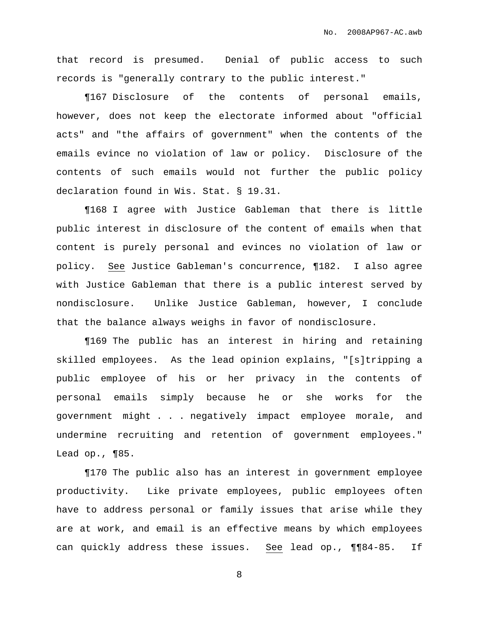that record is presumed. Denial of public access to such records is "generally contrary to the public interest."

¶167 Disclosure of the contents of personal emails, however, does not keep the electorate informed about "official acts" and "the affairs of government" when the contents of the emails evince no violation of law or policy. Disclosure of the contents of such emails would not further the public policy declaration found in Wis. Stat. § 19.31.

¶168 I agree with Justice Gableman that there is little public interest in disclosure of the content of emails when that content is purely personal and evinces no violation of law or policy. See Justice Gableman's concurrence, ¶182. I also agree with Justice Gableman that there is a public interest served by nondisclosure. Unlike Justice Gableman, however, I conclude that the balance always weighs in favor of nondisclosure.

¶169 The public has an interest in hiring and retaining skilled employees. As the lead opinion explains, "[s]tripping a public employee of his or her privacy in the contents of personal emails simply because he or she works for the government might . . . negatively impact employee morale, and undermine recruiting and retention of government employees." Lead op., ¶85.

¶170 The public also has an interest in government employee productivity. Like private employees, public employees often have to address personal or family issues that arise while they are at work, and email is an effective means by which employees can quickly address these issues. See lead op., ¶¶84-85. If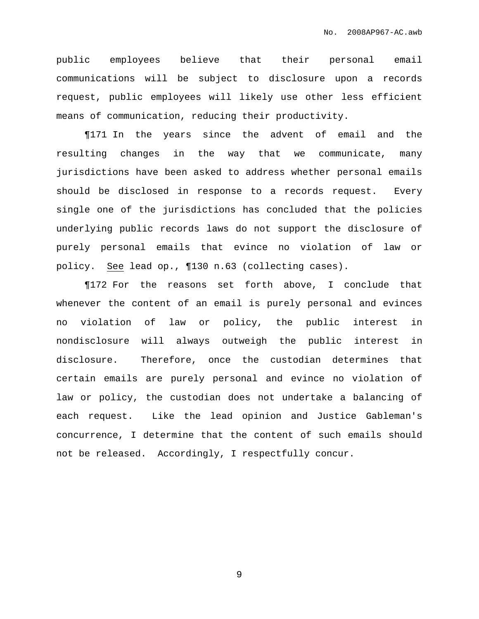public employees believe that their personal email communications will be subject to disclosure upon a records request, public employees will likely use other less efficient means of communication, reducing their productivity.

¶171 In the years since the advent of email and the resulting changes in the way that we communicate, many jurisdictions have been asked to address whether personal emails should be disclosed in response to a records request. Every single one of the jurisdictions has concluded that the policies underlying public records laws do not support the disclosure of purely personal emails that evince no violation of law or policy. See lead op., ¶130 n.63 (collecting cases).

¶172 For the reasons set forth above, I conclude that whenever the content of an email is purely personal and evinces no violation of law or policy, the public interest in nondisclosure will always outweigh the public interest in disclosure. Therefore, once the custodian determines that certain emails are purely personal and evince no violation of law or policy, the custodian does not undertake a balancing of each request. Like the lead opinion and Justice Gableman's concurrence, I determine that the content of such emails should not be released. Accordingly, I respectfully concur.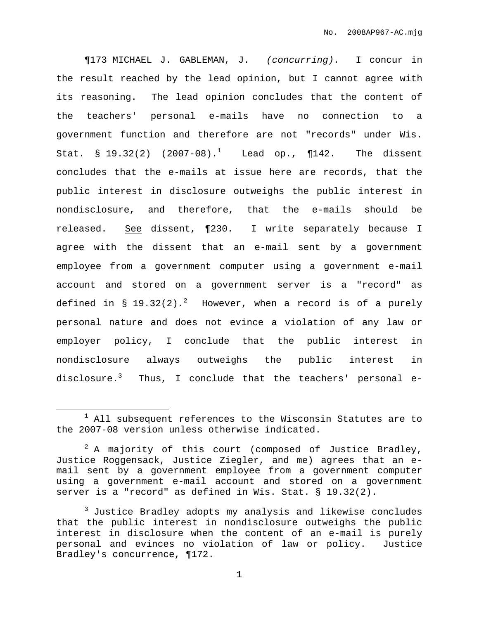¶173 MICHAEL J. GABLEMAN, J. (concurring). I concur in the result reached by the lead opinion, but I cannot agree with its reasoning. The lead opinion concludes that the content of the teachers' personal e-mails have no connection to a government function and therefore are not "records" under Wis. Stat. § 19.32(2) (2007-08).<sup>1</sup> Lead op., ¶142. The dissent concludes that the e-mails at issue here are records, that the public interest in disclosure outweighs the public interest in nondisclosure, and therefore, that the e-mails should be released. See dissent, ¶230. I write separately because I agree with the dissent that an e-mail sent by a government employee from a government computer using a government e-mail account and stored on a government server is a "record" as defined in § 19.32(2). $^{2}$  However, when a record is of a purely personal nature and does not evince a violation of any law or employer policy, I conclude that the public interest in nondisclosure always outweighs the public interest in disclosure. $^3$  Thus, I conclude that the teachers' personal e-

 $1$  All subsequent references to the Wisconsin Statutes are to the 2007-08 version unless otherwise indicated.

 $2$  A majority of this court (composed of Justice Bradley, Justice Roggensack, Justice Ziegler, and me) agrees that an email sent by a government employee from a government computer using a government e-mail account and stored on a government server is a "record" as defined in Wis. Stat. § 19.32(2).

<sup>&</sup>lt;sup>3</sup> Justice Bradley adopts my analysis and likewise concludes that the public interest in nondisclosure outweighs the public interest in disclosure when the content of an e-mail is purely personal and evinces no violation of law or policy. Justice Bradley's concurrence, ¶172.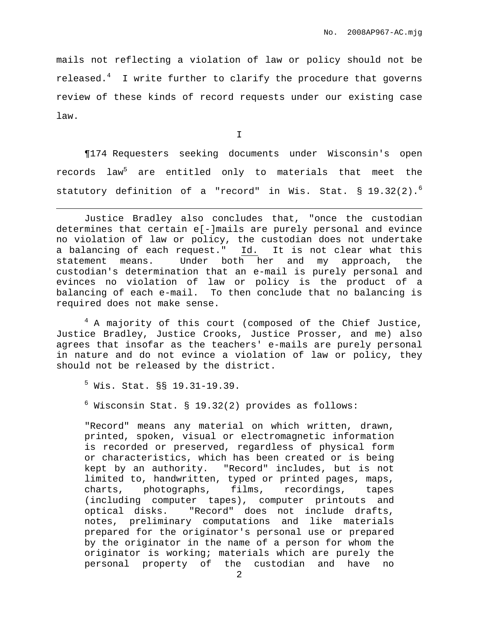mails not reflecting a violation of law or policy should not be released. $^4$  I write further to clarify the procedure that governs review of these kinds of record requests under our existing case law.

I

¶174 Requesters seeking documents under Wisconsin's open records law <sup>5</sup> are entitled only to materials that meet the statutory definition of a "record" in Wis. Stat. § 19.32(2). 6

 $4$  A majority of this court (composed of the Chief Justice, Justice Bradley, Justice Crooks, Justice Prosser, and me) also agrees that insofar as the teachers' e-mails are purely personal in nature and do not evince a violation of law or policy, they should not be released by the district.

 $<sup>5</sup>$  Wis. Stat.  $$8$  19.31-19.39.</sup>

 $6$  Wisconsin Stat. § 19.32(2) provides as follows:

"Record" means any material on which written, drawn, printed, spoken, visual or electromagnetic information is recorded or preserved, regardless of physical form or characteristics, which has been created or is being kept by an authority. "Record" includes, but is not limited to, handwritten, typed or printed pages, maps, charts, photographs, films, recordings, tapes (including computer tapes), computer printouts and optical disks. "Record" does not include drafts, notes, preliminary computations and like materials prepared for the originator's personal use or prepared by the originator in the name of a person for whom the originator is working; materials which are purely the personal property of the custodian and have no

Justice Bradley also concludes that, "once the custodian determines that certain e[-]mails are purely personal and evince no violation of law or policy, the custodian does not undertake a balancing of each request." Id. It is not clear what this statement means. Under both her and my approach, the custodian's determination that an e-mail is purely personal and evinces no violation of law or policy is the product of a balancing of each e-mail. To then conclude that no balancing is required does not make sense.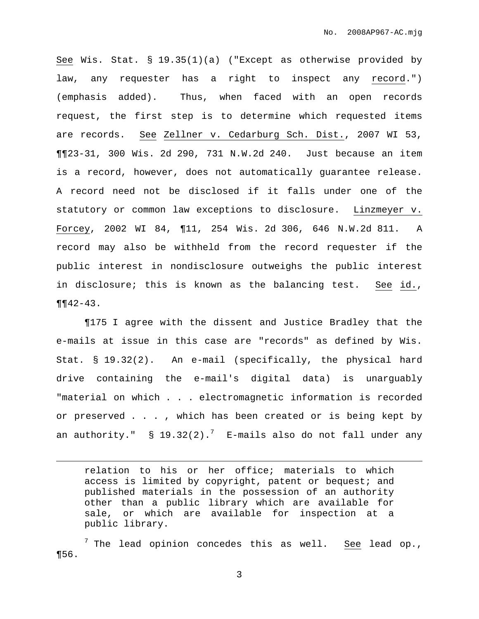See Wis. Stat. § 19.35(1)(a) ("Except as otherwise provided by law, any requester has a right to inspect any record.") (emphasis added). Thus, when faced with an open records request, the first step is to determine which requested items are records. See Zellner v. Cedarburg Sch. Dist., 2007 WI 53, ¶¶23-31, 300 Wis. 2d 290, 731 N.W.2d 240. Just because an item is a record, however, does not automatically guarantee release. A record need not be disclosed if it falls under one of the statutory or common law exceptions to disclosure. Linzmeyer v. Forcey, 2002 WI 84, ¶11, 254 Wis. 2d 306, 646 N.W.2d 811. A record may also be withheld from the record requester if the public interest in nondisclosure outweighs the public interest in disclosure; this is known as the balancing test. See id.,  $\P\P 42 - 43$ .

¶175 I agree with the dissent and Justice Bradley that the e-mails at issue in this case are "records" as defined by Wis. Stat. § 19.32(2). An e-mail (specifically, the physical hard drive containing the e-mail's digital data) is unarguably "material on which . . . electromagnetic information is recorded or preserved . . . , which has been created or is being kept by an authority."  $\:$   $\;$  19.32(2). $^7$   $\;$  E-mails also do not fall under any

relation to his or her office; materials to which access is limited by copyright, patent or bequest; and published materials in the possession of an authority other than a public library which are available for sale, or which are available for inspection at a public library.

 $^7$  The lead opinion concedes this as well. See lead op., ¶56.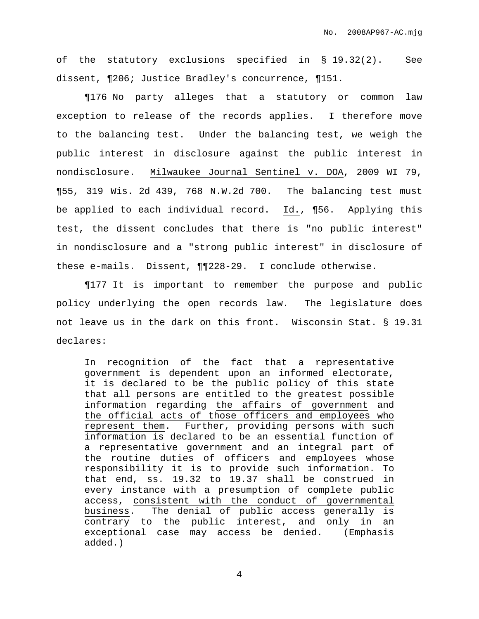of the statutory exclusions specified in § 19.32(2). See dissent, ¶206; Justice Bradley's concurrence, ¶151.

¶176 No party alleges that a statutory or common law exception to release of the records applies. I therefore move to the balancing test. Under the balancing test, we weigh the public interest in disclosure against the public interest in nondisclosure. Milwaukee Journal Sentinel v. DOA, 2009 WI 79, ¶55, 319 Wis. 2d 439, 768 N.W.2d 700. The balancing test must be applied to each individual record. Id., ¶56. Applying this test, the dissent concludes that there is "no public interest" in nondisclosure and a "strong public interest" in disclosure of these e-mails. Dissent, ¶¶228-29. I conclude otherwise.

¶177 It is important to remember the purpose and public policy underlying the open records law. The legislature does not leave us in the dark on this front. Wisconsin Stat. § 19.31 declares:

In recognition of the fact that a representative government is dependent upon an informed electorate, it is declared to be the public policy of this state that all persons are entitled to the greatest possible information regarding the affairs of government and the official acts of those officers and employees who represent them. Further, providing persons with such information is declared to be an essential function of a representative government and an integral part of the routine duties of officers and employees whose responsibility it is to provide such information. To that end, ss. 19.32 to 19.37 shall be construed in every instance with a presumption of complete public access, consistent with the conduct of governmental business. The denial of public access generally is contrary to the public interest, and only in an exceptional case may access be denied. (Emphasis added.)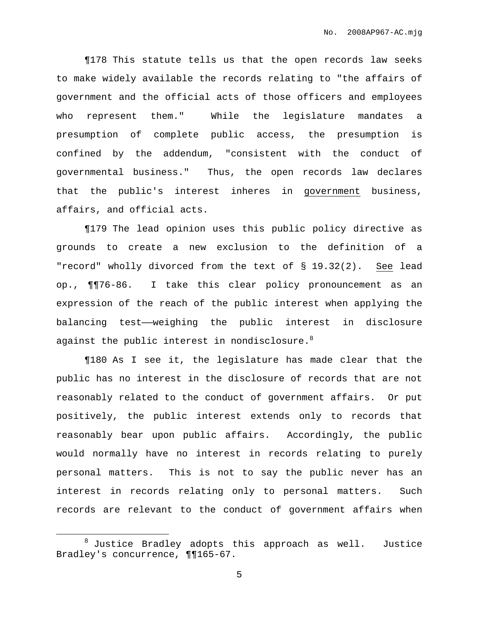¶178 This statute tells us that the open records law seeks to make widely available the records relating to "the affairs of government and the official acts of those officers and employees who represent them." While the legislature mandates a presumption of complete public access, the presumption is confined by the addendum, "consistent with the conduct of governmental business." Thus, the open records law declares that the public's interest inheres in government business, affairs, and official acts.

¶179 The lead opinion uses this public policy directive as grounds to create a new exclusion to the definition of a "record" wholly divorced from the text of § 19.32(2). See lead op., ¶¶76-86. I take this clear policy pronouncement as an expression of the reach of the public interest when applying the balancing test——weighing the public interest in disclosure against the public interest in nondisclosure. $^8$ 

¶180 As I see it, the legislature has made clear that the public has no interest in the disclosure of records that are not reasonably related to the conduct of government affairs. Or put positively, the public interest extends only to records that reasonably bear upon public affairs. Accordingly, the public would normally have no interest in records relating to purely personal matters. This is not to say the public never has an interest in records relating only to personal matters. Such records are relevant to the conduct of government affairs when

 $8$  Justice Bradley adopts this approach as well. Justice Bradley's concurrence, ¶¶165-67.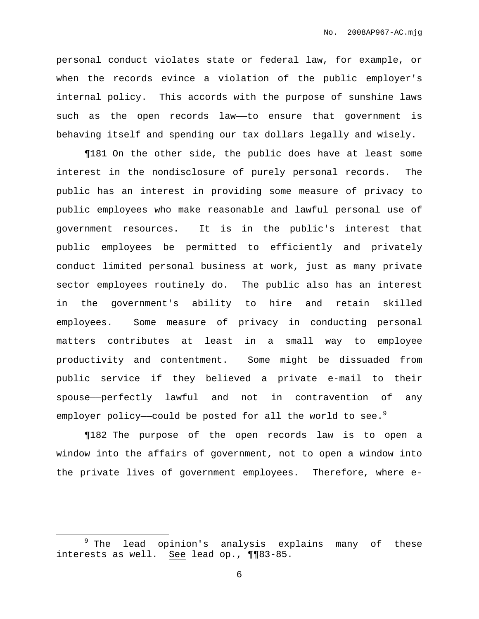personal conduct violates state or federal law, for example, or when the records evince a violation of the public employer's internal policy. This accords with the purpose of sunshine laws such as the open records law—to ensure that government is behaving itself and spending our tax dollars legally and wisely.

¶181 On the other side, the public does have at least some interest in the nondisclosure of purely personal records. The public has an interest in providing some measure of privacy to public employees who make reasonable and lawful personal use of government resources. It is in the public's interest that public employees be permitted to efficiently and privately conduct limited personal business at work, just as many private sector employees routinely do. The public also has an interest in the government's ability to hire and retain skilled employees. Some measure of privacy in conducting personal matters contributes at least in a small way to employee productivity and contentment. Some might be dissuaded from public service if they believed a private e-mail to their spouse——perfectly lawful and not in contravention of any employer policy—could be posted for all the world to see. $^9$ 

¶182 The purpose of the open records law is to open a window into the affairs of government, not to open a window into the private lives of government employees. Therefore, where e-

<sup>&</sup>lt;sup>9</sup> The lead opinion's analysis explains many of these interests as well. See lead op., ¶¶83-85.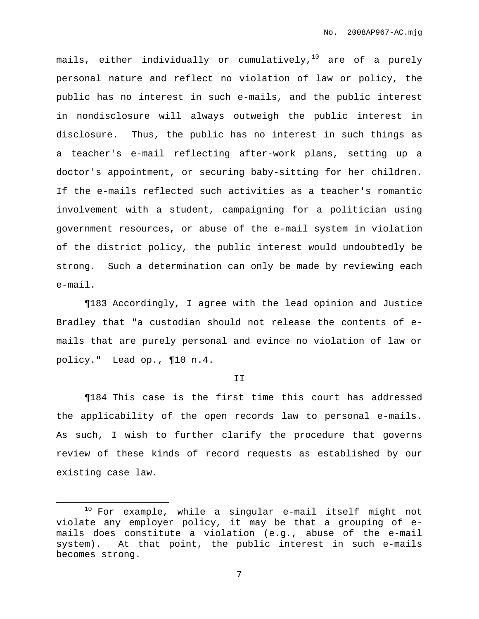mails, either individually or cumulatively, <sup>10</sup> are of a purely personal nature and reflect no violation of law or policy, the public has no interest in such e-mails, and the public interest in nondisclosure will always outweigh the public interest in disclosure. Thus, the public has no interest in such things as a teacher's e-mail reflecting after-work plans, setting up a doctor's appointment, or securing baby-sitting for her children. If the e-mails reflected such activities as a teacher's romantic involvement with a student, campaigning for a politician using government resources, or abuse of the e-mail system in violation of the district policy, the public interest would undoubtedly be strong. Such a determination can only be made by reviewing each e-mail.

¶183 Accordingly, I agree with the lead opinion and Justice Bradley that "a custodian should not release the contents of emails that are purely personal and evince no violation of law or policy." Lead op., ¶10 n.4.

II

¶184 This case is the first time this court has addressed the applicability of the open records law to personal e-mails. As such, I wish to further clarify the procedure that governs review of these kinds of record requests as established by our existing case law.

<sup>10</sup> For example, while a singular e-mail itself might not violate any employer policy, it may be that a grouping of emails does constitute a violation (e.g., abuse of the e-mail system). At that point, the public interest in such e-mails becomes strong.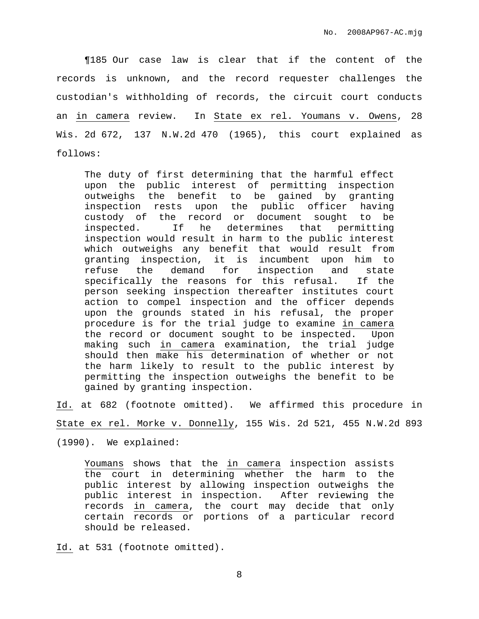¶185 Our case law is clear that if the content of the records is unknown, and the record requester challenges the custodian's withholding of records, the circuit court conducts an in camera review. In State ex rel. Youmans v. Owens, 28 Wis. 2d 672, 137 N.W.2d 470 (1965), this court explained as follows:

The duty of first determining that the harmful effect upon the public interest of permitting inspection outweighs the benefit to be gained by granting inspection rests upon the public officer having custody of the record or document sought to be inspected. If he determines that permitting inspection would result in harm to the public interest which outweighs any benefit that would result from granting inspection, it is incumbent upon him to refuse the demand for inspection and state specifically the reasons for this refusal. If the person seeking inspection thereafter institutes court action to compel inspection and the officer depends upon the grounds stated in his refusal, the proper procedure is for the trial judge to examine in camera the record or document sought to be inspected. Upon making such in camera examination, the trial judge should then make his determination of whether or not the harm likely to result to the public interest by permitting the inspection outweighs the benefit to be gained by granting inspection.

Id. at 682 (footnote omitted). We affirmed this procedure in

State ex rel. Morke v. Donnelly, 155 Wis. 2d 521, 455 N.W.2d 893

(1990). We explained:

Youmans shows that the in camera inspection assists the court in determining whether the harm to the public interest by allowing inspection outweighs the public interest in inspection. After reviewing the records in camera, the court may decide that only certain records or portions of a particular record should be released.

Id. at 531 (footnote omitted).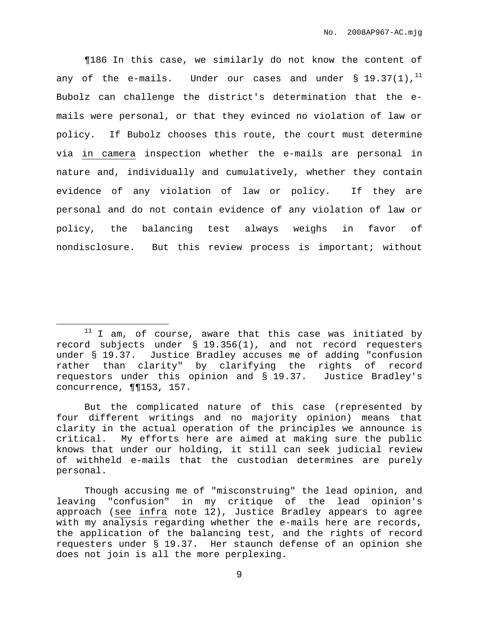¶186 In this case, we similarly do not know the content of any of the e-mails. Under our cases and under  $\S$  19.37(1), $^{11}$ Bubolz can challenge the district's determination that the emails were personal, or that they evinced no violation of law or policy. If Bubolz chooses this route, the court must determine via in camera inspection whether the e-mails are personal in nature and, individually and cumulatively, whether they contain evidence of any violation of law or policy. If they are personal and do not contain evidence of any violation of law or policy, the balancing test always weighs in favor of nondisclosure. But this review process is important; without

 $11$  I am, of course, aware that this case was initiated by record subjects under § 19.356(1), and not record requesters under § 19.37. Justice Bradley accuses me of adding "confusion rather than clarity" by clarifying the rights of record requestors under this opinion and § 19.37. Justice Bradley's concurrence, ¶¶153, 157.

But the complicated nature of this case (represented by four different writings and no majority opinion) means that clarity in the actual operation of the principles we announce is critical. My efforts here are aimed at making sure the public knows that under our holding, it still can seek judicial review of withheld e-mails that the custodian determines are purely personal.

Though accusing me of "misconstruing" the lead opinion, and leaving "confusion" in my critique of the lead opinion's approach (see infra note 12), Justice Bradley appears to agree with my analysis regarding whether the e-mails here are records, the application of the balancing test, and the rights of record requesters under § 19.37. Her staunch defense of an opinion she does not join is all the more perplexing.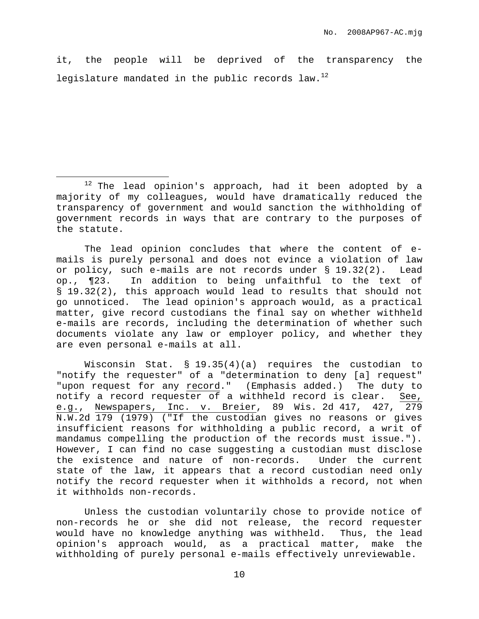it, the people will be deprived of the transparency the legislature mandated in the public records law.<sup>12</sup>

The lead opinion concludes that where the content of emails is purely personal and does not evince a violation of law or policy, such e-mails are not records under § 19.32(2). Lead op., ¶23. In addition to being unfaithful to the text of § 19.32(2), this approach would lead to results that should not go unnoticed. The lead opinion's approach would, as a practical matter, give record custodians the final say on whether withheld e-mails are records, including the determination of whether such documents violate any law or employer policy, and whether they are even personal e-mails at all.

Wisconsin Stat. § 19.35(4)(a) requires the custodian to "notify the requester" of a "determination to deny [a] request" "upon request for any record." (Emphasis added.) The duty to notify a record requester of a withheld record is clear. See, e.g., Newspapers, Inc. v. Breier, 89 Wis. 2d 417, 427, 279 N.W.2d 179 (1979) ("If the custodian gives no reasons or gives insufficient reasons for withholding a public record, a writ of mandamus compelling the production of the records must issue."). However, I can find no case suggesting a custodian must disclose the existence and nature of non-records. Under the current state of the law, it appears that a record custodian need only notify the record requester when it withholds a record, not when it withholds non-records.

Unless the custodian voluntarily chose to provide notice of non-records he or she did not release, the record requester would have no knowledge anything was withheld. Thus, the lead opinion's approach would, as a practical matter, make the withholding of purely personal e-mails effectively unreviewable.

 $12$  The lead opinion's approach, had it been adopted by a majority of my colleagues, would have dramatically reduced the transparency of government and would sanction the withholding of government records in ways that are contrary to the purposes of the statute.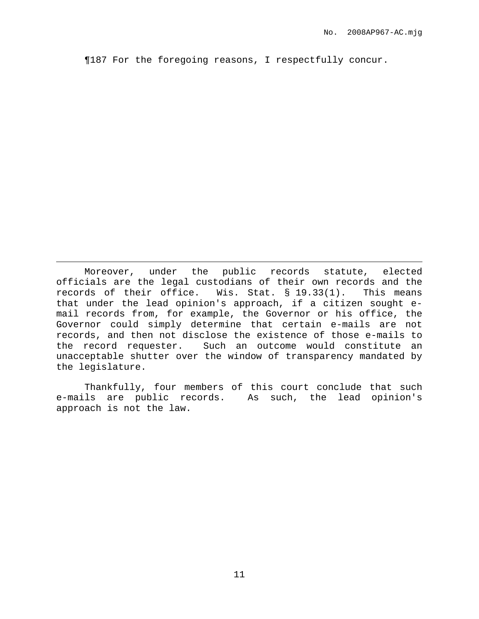¶187 For the foregoing reasons, I respectfully concur.

Moreover, under the public records statute, elected officials are the legal custodians of their own records and the records of their office. Wis. Stat. § 19.33(1). This means that under the lead opinion's approach, if a citizen sought email records from, for example, the Governor or his office, the Governor could simply determine that certain e-mails are not records, and then not disclose the existence of those e-mails to the record requester. Such an outcome would constitute an unacceptable shutter over the window of transparency mandated by the legislature.

Thankfully, four members of this court conclude that such e-mails are public records. As such, the lead opinion's approach is not the law.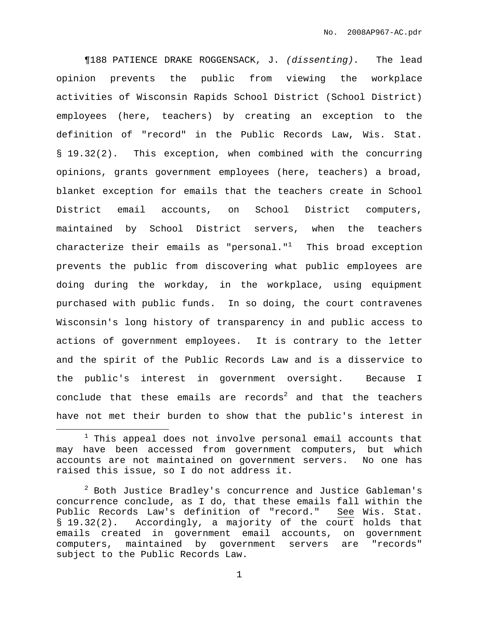¶188 PATIENCE DRAKE ROGGENSACK, J. (dissenting). The lead opinion prevents the public from viewing the workplace activities of Wisconsin Rapids School District (School District) employees (here, teachers) by creating an exception to the definition of "record" in the Public Records Law, Wis. Stat. § 19.32(2). This exception, when combined with the concurring opinions, grants government employees (here, teachers) a broad, blanket exception for emails that the teachers create in School District email accounts, on School District computers, maintained by School District servers, when the teachers characterize their emails as "personal." $^1$  This broad exception prevents the public from discovering what public employees are doing during the workday, in the workplace, using equipment purchased with public funds. In so doing, the court contravenes Wisconsin's long history of transparency in and public access to actions of government employees. It is contrary to the letter and the spirit of the Public Records Law and is a disservice to the public's interest in government oversight. Because I conclude that these emails are records $^2$  and that the teachers have not met their burden to show that the public's interest in

 $1$  This appeal does not involve personal email accounts that may have been accessed from government computers, but which accounts are not maintained on government servers. No one has raised this issue, so I do not address it.

<sup>2</sup> Both Justice Bradley's concurrence and Justice Gableman's concurrence conclude, as I do, that these emails fall within the Public Records Law's definition of "record." See Wis. Stat. § 19.32(2). Accordingly, a majority of the court holds that emails created in government email accounts, on government computers, maintained by government servers are "records" subject to the Public Records Law.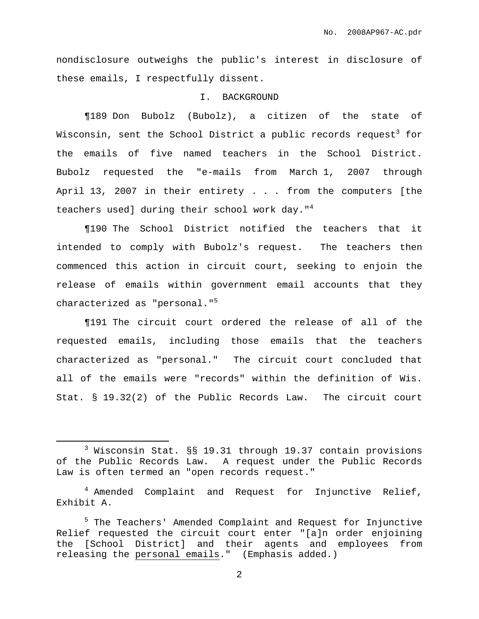nondisclosure outweighs the public's interest in disclosure of these emails, I respectfully dissent.

### I. BACKGROUND

¶189 Don Bubolz (Bubolz), a citizen of the state of Wisconsin, sent the School District a public records request $^3$  for the emails of five named teachers in the School District. Bubolz requested the "e-mails from March 1, 2007 through April 13, 2007 in their entirety . . . from the computers [the teachers used] during their school work day."<sup>4</sup>

¶190 The School District notified the teachers that it intended to comply with Bubolz's request. The teachers then commenced this action in circuit court, seeking to enjoin the release of emails within government email accounts that they characterized as "personal." 5

¶191 The circuit court ordered the release of all of the requested emails, including those emails that the teachers characterized as "personal." The circuit court concluded that all of the emails were "records" within the definition of Wis. Stat. § 19.32(2) of the Public Records Law. The circuit court

<sup>3</sup> Wisconsin Stat. §§ 19.31 through 19.37 contain provisions of the Public Records Law. A request under the Public Records Law is often termed an "open records request."

<sup>&</sup>lt;sup>4</sup> Amended Complaint and Request for Injunctive Relief, Exhibit A.

<sup>5</sup> The Teachers' Amended Complaint and Request for Injunctive Relief requested the circuit court enter "[a]n order enjoining the [School District] and their agents and employees from releasing the personal emails." (Emphasis added.)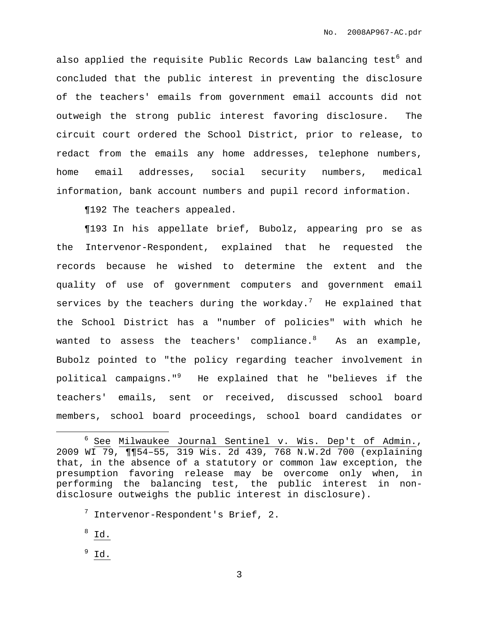also applied the requisite Public Records Law balancing test<sup>6</sup> and concluded that the public interest in preventing the disclosure of the teachers' emails from government email accounts did not outweigh the strong public interest favoring disclosure. The circuit court ordered the School District, prior to release, to redact from the emails any home addresses, telephone numbers, home email addresses, social security numbers, medical information, bank account numbers and pupil record information.

¶192 The teachers appealed.

¶193 In his appellate brief, Bubolz, appearing pro se as the Intervenor-Respondent, explained that he requested the records because he wished to determine the extent and the quality of use of government computers and government email services by the teachers during the workday. $^7$  He explained that the School District has a "number of policies" with which he wanted to assess the teachers' compliance. $^8$  . As an example, Bubolz pointed to "the policy regarding teacher involvement in political campaigns." <sup>9</sup> He explained that he "believes if the teachers' emails, sent or received, discussed school board members, school board proceedings, school board candidates or

 $8 \underline{Id.}$ 

 $9 \underline{Id.}$ 

<sup>&</sup>lt;sup>6</sup> See Milwaukee Journal Sentinel v. Wis. Dep't of Admin., 2009 WI 79, ¶¶54–55, 319 Wis. 2d 439, 768 N.W.2d 700 (explaining that, in the absence of a statutory or common law exception, the presumption favoring release may be overcome only when, in performing the balancing test, the public interest in nondisclosure outweighs the public interest in disclosure).

 $7$  Intervenor-Respondent's Brief, 2.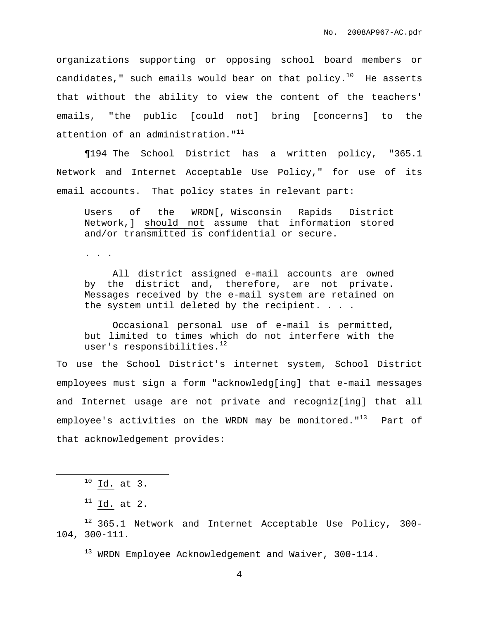organizations supporting or opposing school board members or candidates," such emails would bear on that  $\operatorname{policy.}^{10}$  He asserts that without the ability to view the content of the teachers' emails, "the public [could not] bring [concerns] to the attention of an administration."<sup>11</sup>

¶194 The School District has a written policy, "365.1 Network and Internet Acceptable Use Policy," for use of its email accounts. That policy states in relevant part:

Users of the WRDN[, Wisconsin Rapids District Network,] should not assume that information stored and/or transmitted is confidential or secure.

. . .

All district assigned e-mail accounts are owned by the district and, therefore, are not private. Messages received by the e-mail system are retained on the system until deleted by the recipient. . . .

Occasional personal use of e-mail is permitted, but limited to times which do not interfere with the user's responsibilities. 12

To use the School District's internet system, School District employees must sign a form "acknowledg[ing] that e-mail messages and Internet usage are not private and recogniz[ing] that all employee's activities on the WRDN may be monitored."<sup>13</sup> Part of that acknowledgement provides:

<sup>13</sup> WRDN Employee Acknowledgement and Waiver, 300-114.

 $^{10}$  Id. at 3.

 $11$  Id. at 2.

 $12$  365.1 Network and Internet Acceptable Use Policy, 300-104, 300-111.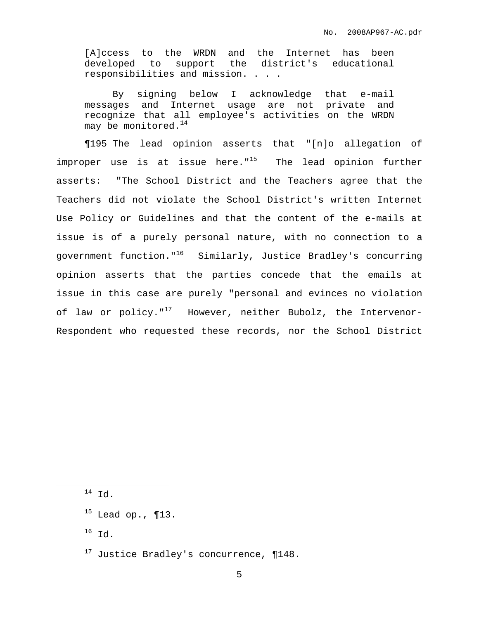[A]ccess to the WRDN and the Internet has been developed to support the district's educational responsibilities and mission. . . .

By signing below I acknowledge that e-mail messages and Internet usage are not private and recognize that all employee's activities on the WRDN may be monitored. $^{14}$ 

¶195 The lead opinion asserts that "[n]o allegation of improper use is at issue here."<sup>15</sup> The lead opinion further asserts: "The School District and the Teachers agree that the Teachers did not violate the School District's written Internet Use Policy or Guidelines and that the content of the e-mails at issue is of a purely personal nature, with no connection to a government function."<sup>16</sup> Similarly, Justice Bradley's concurring opinion asserts that the parties concede that the emails at issue in this case are purely "personal and evinces no violation of law or policy."<sup>17</sup> However, neither Bubolz, the Intervenor-Respondent who requested these records, nor the School District

 $14$  Id.

 $^{16}$  Id.

 $15$  Lead op., ¶13.

 $17$  Justice Bradley's concurrence,  $\P 148$ .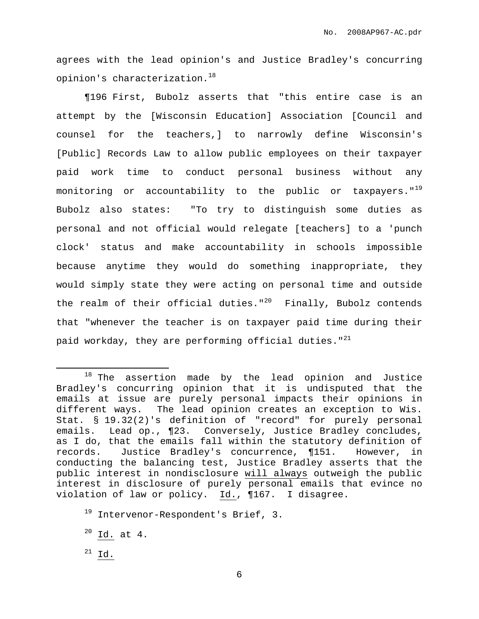agrees with the lead opinion's and Justice Bradley's concurring opinion's characterization. 18

¶196 First, Bubolz asserts that "this entire case is an attempt by the [Wisconsin Education] Association [Council and counsel for the teachers,] to narrowly define Wisconsin's [Public] Records Law to allow public employees on their taxpayer paid work time to conduct personal business without any monitoring or accountability to the public or taxpayers."<sup>19</sup> Bubolz also states: "To try to distinguish some duties as personal and not official would relegate [teachers] to a 'punch clock' status and make accountability in schools impossible because anytime they would do something inappropriate, they would simply state they were acting on personal time and outside the realm of their official duties."<sup>20</sup> Finally, Bubolz contends that "whenever the teacher is on taxpayer paid time during their paid workday, they are performing official duties." $^{21}$ 

 $18$  The assertion made by the lead opinion and Justice Bradley's concurring opinion that it is undisputed that the emails at issue are purely personal impacts their opinions in different ways. The lead opinion creates an exception to Wis. Stat. § 19.32(2)'s definition of "record" for purely personal emails. Lead op., ¶23. Conversely, Justice Bradley concludes, as I do, that the emails fall within the statutory definition of records. Justice Bradley's concurrence, ¶151. However, in conducting the balancing test, Justice Bradley asserts that the public interest in nondisclosure will always outweigh the public interest in disclosure of purely personal emails that evince no violation of law or policy. Id., ¶167. I disagree.

<sup>19</sup> Intervenor-Respondent's Brief, 3.

 $20$  Id. at 4.

 $^{21}$  Id.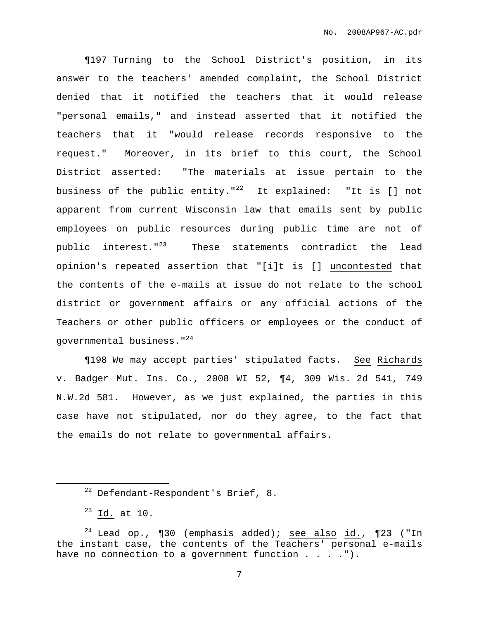¶197 Turning to the School District's position, in its answer to the teachers' amended complaint, the School District denied that it notified the teachers that it would release "personal emails," and instead asserted that it notified the teachers that it "would release records responsive to the request." Moreover, in its brief to this court, the School District asserted: "The materials at issue pertain to the business of the public entity."<sup>22</sup> It explained: "It is [] not apparent from current Wisconsin law that emails sent by public employees on public resources during public time are not of public interest."<sup>23</sup> These statements contradict the lead opinion's repeated assertion that "[i]t is [] uncontested that the contents of the e-mails at issue do not relate to the school district or government affairs or any official actions of the Teachers or other public officers or employees or the conduct of governmental business." 24

¶198 We may accept parties' stipulated facts. See Richards v. Badger Mut. Ins. Co., 2008 WI 52, ¶4, 309 Wis. 2d 541, 749 N.W.2d 581. However, as we just explained, the parties in this case have not stipulated, nor do they agree, to the fact that the emails do not relate to governmental affairs.

<sup>22</sup> Defendant-Respondent's Brief, 8.

 $23$  Id. at 10.

<sup>&</sup>lt;sup>24</sup> Lead op., ¶30 (emphasis added); see also  $id.$ , ¶23 ("In the instant case, the contents of the Teachers' personal e-mails have no connection to a government function . . . . ").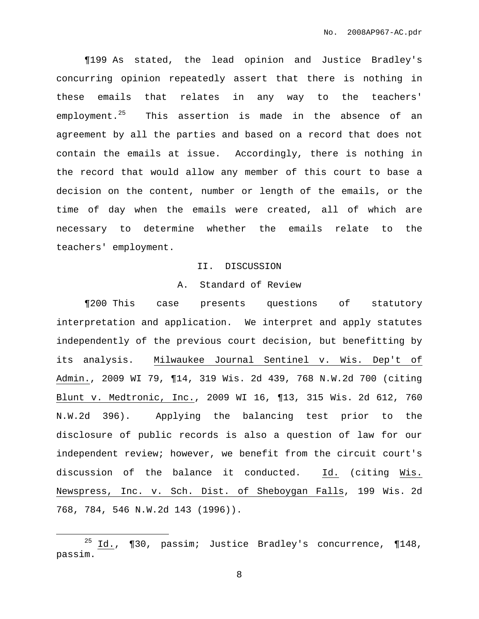¶199 As stated, the lead opinion and Justice Bradley's concurring opinion repeatedly assert that there is nothing in these emails that relates in any way to the teachers' employment. <sup>25</sup> This assertion is made in the absence of an agreement by all the parties and based on a record that does not contain the emails at issue. Accordingly, there is nothing in the record that would allow any member of this court to base a decision on the content, number or length of the emails, or the time of day when the emails were created, all of which are necessary to determine whether the emails relate to the teachers' employment.

#### II. DISCUSSION

## A. Standard of Review

¶200 This case presents questions of statutory interpretation and application. We interpret and apply statutes independently of the previous court decision, but benefitting by its analysis. Milwaukee Journal Sentinel v. Wis. Dep't of Admin., 2009 WI 79, ¶14, 319 Wis. 2d 439, 768 N.W.2d 700 (citing Blunt v. Medtronic, Inc., 2009 WI 16, ¶13, 315 Wis. 2d 612, 760 N.W.2d 396). Applying the balancing test prior to the disclosure of public records is also a question of law for our independent review; however, we benefit from the circuit court's discussion of the balance it conducted. Id. (citing Wis. Newspress, Inc. v. Sch. Dist. of Sheboygan Falls, 199 Wis. 2d 768, 784, 546 N.W.2d 143 (1996)).

<sup>&</sup>lt;sup>25</sup> Id., ¶30, passim; Justice Bradley's concurrence, ¶148, passim.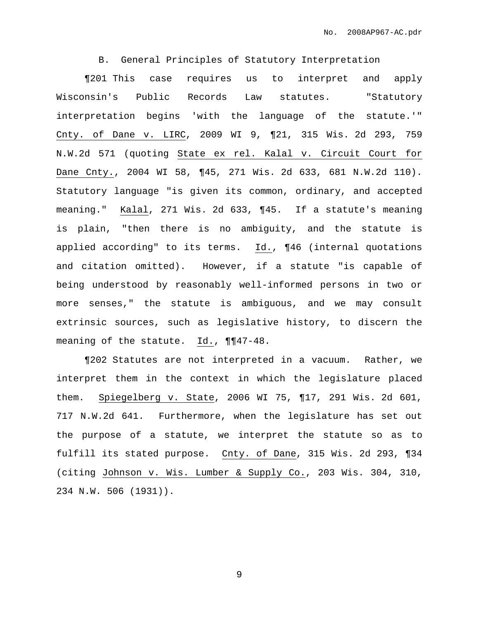B. General Principles of Statutory Interpretation

¶201 This case requires us to interpret and apply Wisconsin's Public Records Law statutes. "Statutory interpretation begins 'with the language of the statute.'" Cnty. of Dane v. LIRC, 2009 WI 9, ¶21, 315 Wis. 2d 293, 759 N.W.2d 571 (quoting State ex rel. Kalal v. Circuit Court for Dane Cnty., 2004 WI 58, ¶45, 271 Wis. 2d 633, 681 N.W.2d 110). Statutory language "is given its common, ordinary, and accepted meaning." Kalal, 271 Wis. 2d 633, ¶45. If a statute's meaning is plain, "then there is no ambiguity, and the statute is applied according" to its terms. Id., ¶46 (internal quotations and citation omitted). However, if a statute "is capable of being understood by reasonably well-informed persons in two or more senses," the statute is ambiguous, and we may consult extrinsic sources, such as legislative history, to discern the meaning of the statute. Id., ¶¶47-48.

¶202 Statutes are not interpreted in a vacuum. Rather, we interpret them in the context in which the legislature placed them. Spiegelberg v. State, 2006 WI 75, ¶17, 291 Wis. 2d 601, 717 N.W.2d 641. Furthermore, when the legislature has set out the purpose of a statute, we interpret the statute so as to fulfill its stated purpose. Cnty. of Dane, 315 Wis. 2d 293, ¶34 (citing Johnson v. Wis. Lumber & Supply Co., 203 Wis. 304, 310, 234 N.W. 506 (1931)).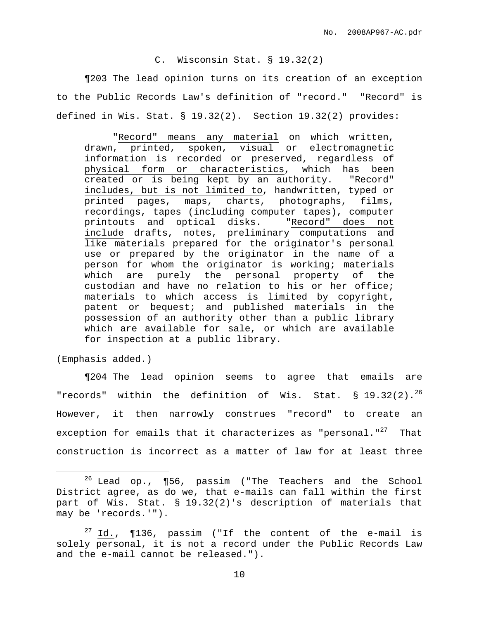# C. Wisconsin Stat. § 19.32(2)

¶203 The lead opinion turns on its creation of an exception to the Public Records Law's definition of "record." "Record" is defined in Wis. Stat. § 19.32(2). Section 19.32(2) provides:

"Record" means any material on which written, drawn, printed, spoken, visual or electromagnetic information is recorded or preserved, regardless of physical form or characteristics, which has been created or is being kept by an authority. "Record" includes, but is not limited to, handwritten, typed or printed pages, maps, charts, photographs, films, recordings, tapes (including computer tapes), computer printouts and optical disks. "Record" does not include drafts, notes, preliminary computations and like materials prepared for the originator's personal use or prepared by the originator in the name of a person for whom the originator is working; materials which are purely the personal property of the custodian and have no relation to his or her office; materials to which access is limited by copyright, patent or bequest; and published materials in the possession of an authority other than a public library which are available for sale, or which are available for inspection at a public library.

(Emphasis added.)

¶204 The lead opinion seems to agree that emails are "records" within the definition of Wis. Stat. § 19.32(2).<sup>26</sup> However, it then narrowly construes "record" to create an exception for emails that it characterizes as "personal."<sup>27</sup> That construction is incorrect as a matter of law for at least three

 $26$  Lead op., ¶56, passim ("The Teachers and the School District agree, as do we, that e-mails can fall within the first part of Wis. Stat. § 19.32(2)'s description of materials that may be 'records.'").

 $27$  Id.,  $\P$ 136, passim ("If the content of the e-mail is solely personal, it is not a record under the Public Records Law and the e-mail cannot be released.").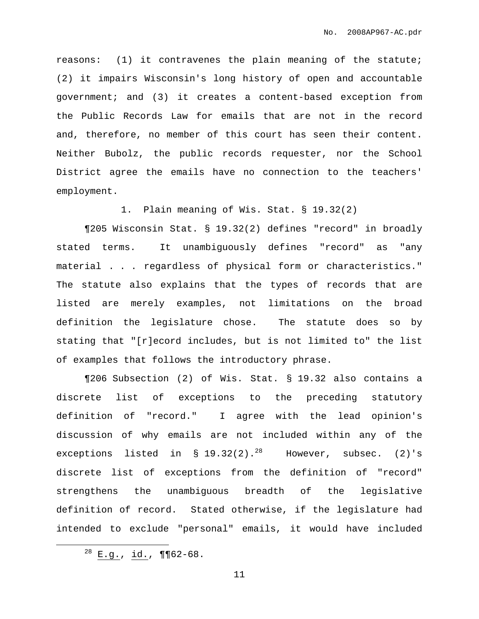reasons: (1) it contravenes the plain meaning of the statute; (2) it impairs Wisconsin's long history of open and accountable government; and (3) it creates a content-based exception from the Public Records Law for emails that are not in the record and, therefore, no member of this court has seen their content. Neither Bubolz, the public records requester, nor the School District agree the emails have no connection to the teachers' employment.

1. Plain meaning of Wis. Stat. § 19.32(2)

¶205 Wisconsin Stat. § 19.32(2) defines "record" in broadly stated terms. It unambiguously defines "record" as "any material . . . regardless of physical form or characteristics." The statute also explains that the types of records that are listed are merely examples, not limitations on the broad definition the legislature chose. The statute does so by stating that "[r]ecord includes, but is not limited to" the list of examples that follows the introductory phrase.

¶206 Subsection (2) of Wis. Stat. § 19.32 also contains a discrete list of exceptions to the preceding statutory definition of "record." I agree with the lead opinion's discussion of why emails are not included within any of the exceptions listed in § 19.32(2). $^{28}$  However, subsec. (2)'s discrete list of exceptions from the definition of "record" strengthens the unambiguous breadth of the legislative definition of record. Stated otherwise, if the legislature had intended to exclude "personal" emails, it would have included

 $^{28}$  E.g., id., ¶¶62-68.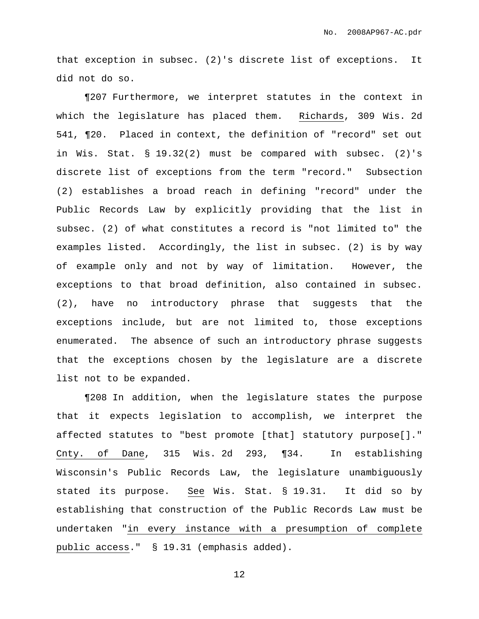that exception in subsec. (2)'s discrete list of exceptions. It did not do so.

¶207 Furthermore, we interpret statutes in the context in which the legislature has placed them. Richards, 309 Wis. 2d 541, ¶20. Placed in context, the definition of "record" set out in Wis. Stat. § 19.32(2) must be compared with subsec. (2)'s discrete list of exceptions from the term "record." Subsection (2) establishes a broad reach in defining "record" under the Public Records Law by explicitly providing that the list in subsec. (2) of what constitutes a record is "not limited to" the examples listed. Accordingly, the list in subsec. (2) is by way of example only and not by way of limitation. However, the exceptions to that broad definition, also contained in subsec. (2), have no introductory phrase that suggests that the exceptions include, but are not limited to, those exceptions enumerated. The absence of such an introductory phrase suggests that the exceptions chosen by the legislature are a discrete list not to be expanded.

¶208 In addition, when the legislature states the purpose that it expects legislation to accomplish, we interpret the affected statutes to "best promote [that] statutory purpose[]." Cnty. of Dane, 315 Wis. 2d 293, ¶34. In establishing Wisconsin's Public Records Law, the legislature unambiguously stated its purpose. See Wis. Stat. § 19.31. It did so by establishing that construction of the Public Records Law must be undertaken "in every instance with a presumption of complete public access." § 19.31 (emphasis added).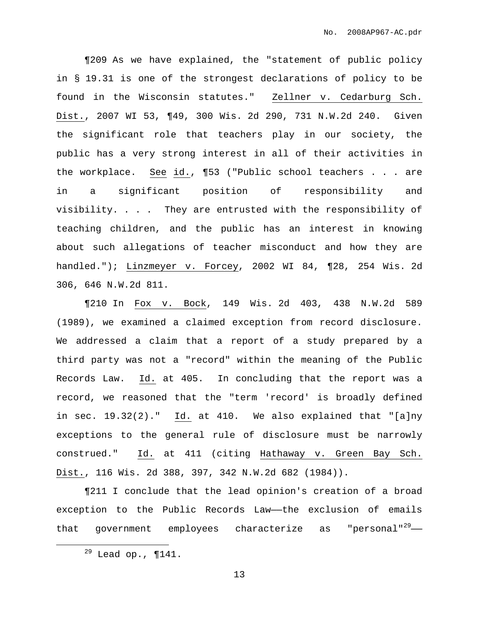¶209 As we have explained, the "statement of public policy in § 19.31 is one of the strongest declarations of policy to be found in the Wisconsin statutes." Zellner v. Cedarburg Sch. Dist., 2007 WI 53, ¶49, 300 Wis. 2d 290, 731 N.W.2d 240. Given the significant role that teachers play in our society, the public has a very strong interest in all of their activities in the workplace. See id., ¶53 ("Public school teachers . . . are in a significant position of responsibility and visibility. . . . They are entrusted with the responsibility of teaching children, and the public has an interest in knowing about such allegations of teacher misconduct and how they are handled."); Linzmeyer v. Forcey, 2002 WI 84, ¶28, 254 Wis. 2d 306, 646 N.W.2d 811.

¶210 In Fox v. Bock, 149 Wis. 2d 403, 438 N.W.2d 589 (1989), we examined a claimed exception from record disclosure. We addressed a claim that a report of a study prepared by a third party was not a "record" within the meaning of the Public Records Law. Id. at 405. In concluding that the report was a record, we reasoned that the "term 'record' is broadly defined in sec. 19.32(2)." Id. at 410. We also explained that "[a]ny exceptions to the general rule of disclosure must be narrowly construed." Id. at 411 (citing Hathaway v. Green Bay Sch. Dist., 116 Wis. 2d 388, 397, 342 N.W.2d 682 (1984)).

¶211 I conclude that the lead opinion's creation of a broad exception to the Public Records Law——the exclusion of emails that government employees characterize as "personal"<sup>29</sup>-

 $29$  Lead op., ¶141.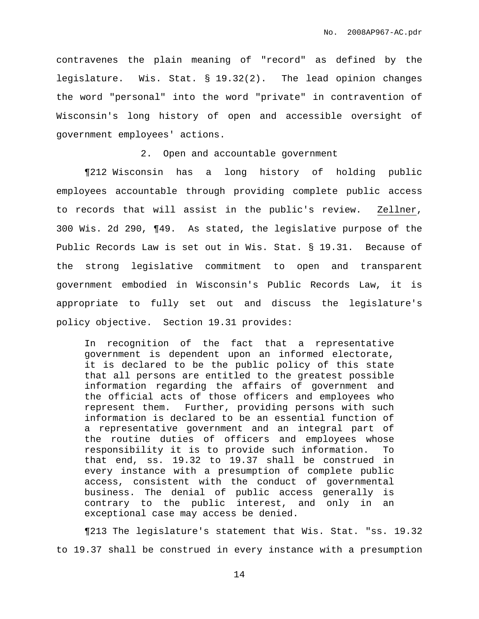contravenes the plain meaning of "record" as defined by the legislature. Wis. Stat. § 19.32(2). The lead opinion changes the word "personal" into the word "private" in contravention of Wisconsin's long history of open and accessible oversight of government employees' actions.

### 2. Open and accountable government

¶212 Wisconsin has a long history of holding public employees accountable through providing complete public access to records that will assist in the public's review. Zellner, 300 Wis. 2d 290, ¶49. As stated, the legislative purpose of the Public Records Law is set out in Wis. Stat. § 19.31. Because of the strong legislative commitment to open and transparent government embodied in Wisconsin's Public Records Law, it is appropriate to fully set out and discuss the legislature's policy objective. Section 19.31 provides:

In recognition of the fact that a representative government is dependent upon an informed electorate, it is declared to be the public policy of this state that all persons are entitled to the greatest possible information regarding the affairs of government and the official acts of those officers and employees who represent them. Further, providing persons with such information is declared to be an essential function of a representative government and an integral part of the routine duties of officers and employees whose responsibility it is to provide such information. To that end, ss. 19.32 to 19.37 shall be construed in every instance with a presumption of complete public access, consistent with the conduct of governmental business. The denial of public access generally is contrary to the public interest, and only in an exceptional case may access be denied.

¶213 The legislature's statement that Wis. Stat. "ss. 19.32 to 19.37 shall be construed in every instance with a presumption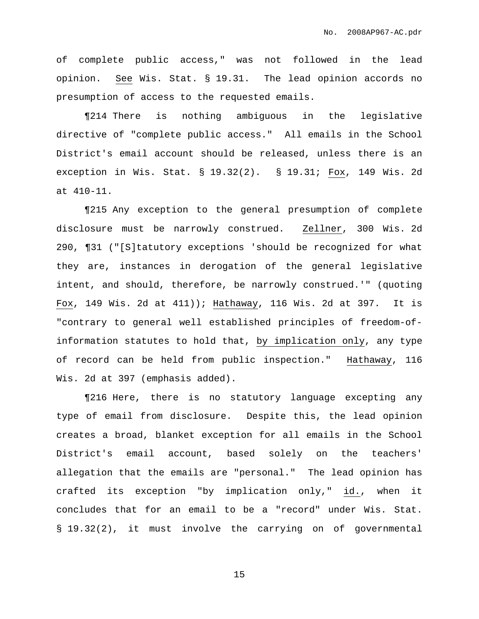of complete public access," was not followed in the lead opinion. See Wis. Stat. § 19.31. The lead opinion accords no presumption of access to the requested emails.

¶214 There is nothing ambiguous in the legislative directive of "complete public access." All emails in the School District's email account should be released, unless there is an exception in Wis. Stat. § 19.32(2). § 19.31; Fox, 149 Wis. 2d at 410-11.

¶215 Any exception to the general presumption of complete disclosure must be narrowly construed. Zellner, 300 Wis. 2d 290, ¶31 ("[S]tatutory exceptions 'should be recognized for what they are, instances in derogation of the general legislative intent, and should, therefore, be narrowly construed.'" (quoting Fox, 149 Wis. 2d at 411)); Hathaway, 116 Wis. 2d at 397. It is "contrary to general well established principles of freedom-ofinformation statutes to hold that, by implication only, any type of record can be held from public inspection." Hathaway, 116 Wis. 2d at 397 (emphasis added).

¶216 Here, there is no statutory language excepting any type of email from disclosure. Despite this, the lead opinion creates a broad, blanket exception for all emails in the School District's email account, based solely on the teachers' allegation that the emails are "personal." The lead opinion has crafted its exception "by implication only," id., when it concludes that for an email to be a "record" under Wis. Stat. § 19.32(2), it must involve the carrying on of governmental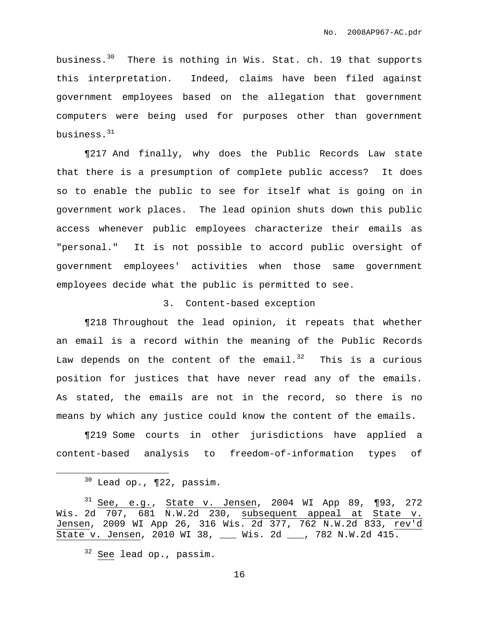business. <sup>30</sup> There is nothing in Wis. Stat. ch. 19 that supports this interpretation. Indeed, claims have been filed against government employees based on the allegation that government computers were being used for purposes other than government business. $^{\rm 31}$ 

¶217 And finally, why does the Public Records Law state that there is a presumption of complete public access? It does so to enable the public to see for itself what is going on in government work places. The lead opinion shuts down this public access whenever public employees characterize their emails as "personal." It is not possible to accord public oversight of government employees' activities when those same government employees decide what the public is permitted to see.

### 3. Content-based exception

¶218 Throughout the lead opinion, it repeats that whether an email is a record within the meaning of the Public Records Law depends on the content of the email. $^{32}$  This is a curious position for justices that have never read any of the emails. As stated, the emails are not in the record, so there is no means by which any justice could know the content of the emails.

¶219 Some courts in other jurisdictions have applied a content-based analysis to freedom-of-information types of

 $30$  Lead op.,  $\P$ 22, passim.

 $31$  See, e.g., State v. Jensen, 2004 WI App 89, ¶93, 272 Wis. 2d 707, 681 N.W.2d 230, subsequent appeal at State v. Jensen, 2009 WI App 26, 316 Wis. 2d 377, 762 N.W.2d 833, rev'd State v. Jensen, 2010 WI 38, \_\_\_ Wis. 2d \_\_\_, 782 N.W.2d 415.

<sup>&</sup>lt;sup>32</sup> See lead op., passim.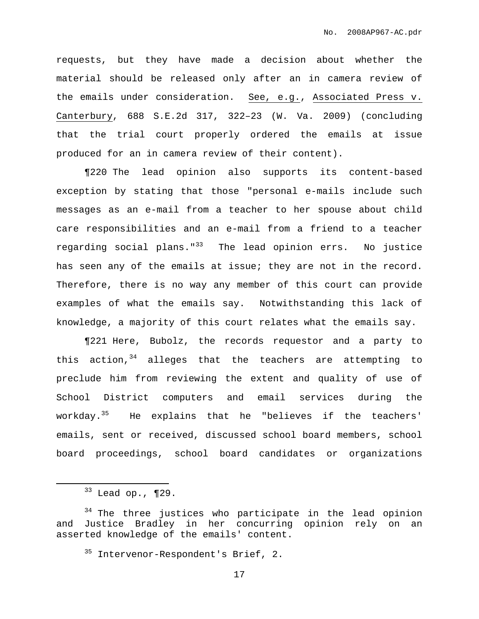requests, but they have made a decision about whether the material should be released only after an in camera review of the emails under consideration. See, e.g., Associated Press v. Canterbury, 688 S.E.2d 317, 322–23 (W. Va. 2009) (concluding that the trial court properly ordered the emails at issue produced for an in camera review of their content).

¶220 The lead opinion also supports its content-based exception by stating that those "personal e-mails include such messages as an e-mail from a teacher to her spouse about child care responsibilities and an e-mail from a friend to a teacher regarding social plans."<sup>33</sup> The lead opinion errs. No justice has seen any of the emails at issue; they are not in the record. Therefore, there is no way any member of this court can provide examples of what the emails say. Notwithstanding this lack of knowledge, a majority of this court relates what the emails say.

¶221 Here, Bubolz, the records requestor and a party to this action,<sup>34</sup> alleges that the teachers are attempting to preclude him from reviewing the extent and quality of use of School District computers and email services during the workday.<sup>35</sup> He explains that he "believes if the teachers' emails, sent or received, discussed school board members, school board proceedings, school board candidates or organizations

 $33$  Lead op., ¶29.

<sup>&</sup>lt;sup>34</sup> The three justices who participate in the lead opinion and Justice Bradley in her concurring opinion rely on an asserted knowledge of the emails' content.

<sup>&</sup>lt;sup>35</sup> Intervenor-Respondent's Brief, 2.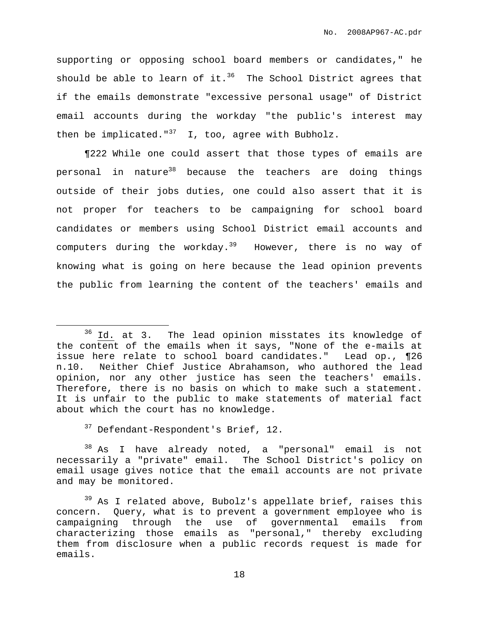supporting or opposing school board members or candidates," he should be able to learn of it. $^{36}$  The School District agrees that if the emails demonstrate "excessive personal usage" of District email accounts during the workday "the public's interest may then be implicated."<sup>37</sup> I, too, agree with Bubholz.

¶222 While one could assert that those types of emails are personal in nature<sup>38</sup> because the teachers are doing things outside of their jobs duties, one could also assert that it is not proper for teachers to be campaigning for school board candidates or members using School District email accounts and computers during the workday.<sup>39</sup> However, there is no way of knowing what is going on here because the lead opinion prevents the public from learning the content of the teachers' emails and

<sup>37</sup> Defendant-Respondent's Brief, 12.

<sup>38</sup> As I have already noted, a "personal" email is not necessarily a "private" email. The School District's policy on email usage gives notice that the email accounts are not private and may be monitored.

 $39$  As I related above, Bubolz's appellate brief, raises this concern. Query, what is to prevent a government employee who is campaigning through the use of governmental emails from characterizing those emails as "personal," thereby excluding them from disclosure when a public records request is made for emails.

<sup>&</sup>lt;sup>36</sup> Id. at 3. The lead opinion misstates its knowledge of the content of the emails when it says, "None of the e-mails at issue here relate to school board candidates." Lead op., ¶26 n.10. Neither Chief Justice Abrahamson, who authored the lead opinion, nor any other justice has seen the teachers' emails. Therefore, there is no basis on which to make such a statement. It is unfair to the public to make statements of material fact about which the court has no knowledge.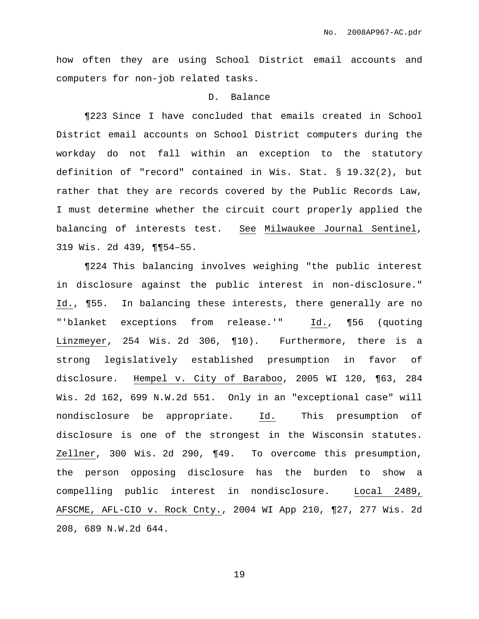how often they are using School District email accounts and computers for non-job related tasks.

## D. Balance

¶223 Since I have concluded that emails created in School District email accounts on School District computers during the workday do not fall within an exception to the statutory definition of "record" contained in Wis. Stat. § 19.32(2), but rather that they are records covered by the Public Records Law, I must determine whether the circuit court properly applied the balancing of interests test. See Milwaukee Journal Sentinel, 319 Wis. 2d 439, ¶¶54–55.

¶224 This balancing involves weighing "the public interest in disclosure against the public interest in non-disclosure." Id., ¶55. In balancing these interests, there generally are no "'blanket exceptions from release.'" Id., ¶56 (quoting Linzmeyer, 254 Wis. 2d 306, ¶10). Furthermore, there is a strong legislatively established presumption in favor of disclosure. Hempel v. City of Baraboo, 2005 WI 120, ¶63, 284 Wis. 2d 162, 699 N.W.2d 551. Only in an "exceptional case" will nondisclosure be appropriate. Id. This presumption of disclosure is one of the strongest in the Wisconsin statutes. Zellner, 300 Wis. 2d 290, ¶49. To overcome this presumption, the person opposing disclosure has the burden to show a compelling public interest in nondisclosure. Local 2489, AFSCME, AFL-CIO v. Rock Cnty., 2004 WI App 210, ¶27, 277 Wis. 2d 208, 689 N.W.2d 644.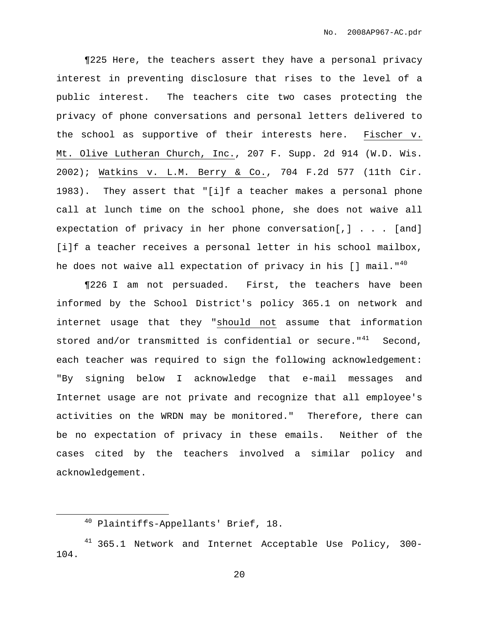¶225 Here, the teachers assert they have a personal privacy interest in preventing disclosure that rises to the level of a public interest. The teachers cite two cases protecting the privacy of phone conversations and personal letters delivered to the school as supportive of their interests here. Fischer v. Mt. Olive Lutheran Church, Inc., 207 F. Supp. 2d 914 (W.D. Wis. 2002); Watkins v. L.M. Berry & Co., 704 F.2d 577 (11th Cir. 1983). They assert that "[i]f a teacher makes a personal phone call at lunch time on the school phone, she does not waive all expectation of privacy in her phone conversation[,] . . . [and] [i]f a teacher receives a personal letter in his school mailbox, he does not waive all expectation of privacy in his [] mail."<sup>40</sup>

¶226 I am not persuaded. First, the teachers have been informed by the School District's policy 365.1 on network and internet usage that they "should not assume that information stored and/or transmitted is confidential or secure."<sup>41</sup> Second, each teacher was required to sign the following acknowledgement: "By signing below I acknowledge that e-mail messages and Internet usage are not private and recognize that all employee's activities on the WRDN may be monitored." Therefore, there can be no expectation of privacy in these emails. Neither of the cases cited by the teachers involved a similar policy and acknowledgement.

<sup>40</sup> Plaintiffs-Appellants' Brief, 18.

 $41$  365.1 Network and Internet Acceptable Use Policy, 300-104.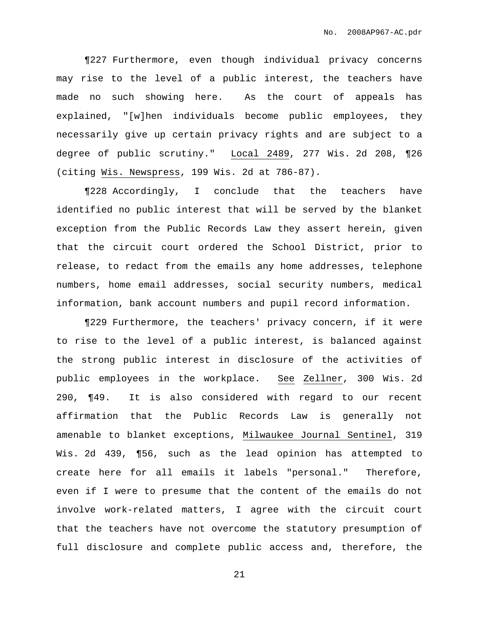¶227 Furthermore, even though individual privacy concerns may rise to the level of a public interest, the teachers have made no such showing here. As the court of appeals has explained, "[w]hen individuals become public employees, they necessarily give up certain privacy rights and are subject to a degree of public scrutiny." Local 2489, 277 Wis. 2d 208, ¶26 (citing Wis. Newspress, 199 Wis. 2d at 786-87).

¶228 Accordingly, I conclude that the teachers have identified no public interest that will be served by the blanket exception from the Public Records Law they assert herein, given that the circuit court ordered the School District, prior to release, to redact from the emails any home addresses, telephone numbers, home email addresses, social security numbers, medical information, bank account numbers and pupil record information.

¶229 Furthermore, the teachers' privacy concern, if it were to rise to the level of a public interest, is balanced against the strong public interest in disclosure of the activities of public employees in the workplace. See Zellner, 300 Wis. 2d 290, ¶49. It is also considered with regard to our recent affirmation that the Public Records Law is generally not amenable to blanket exceptions, Milwaukee Journal Sentinel, 319 Wis. 2d 439, ¶56, such as the lead opinion has attempted to create here for all emails it labels "personal." Therefore, even if I were to presume that the content of the emails do not involve work-related matters, I agree with the circuit court that the teachers have not overcome the statutory presumption of full disclosure and complete public access and, therefore, the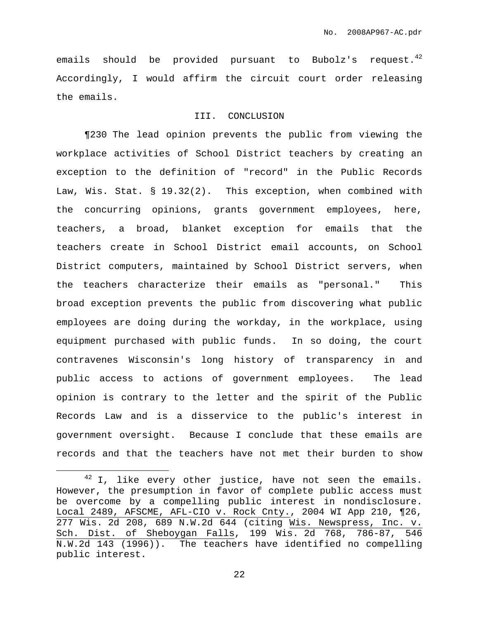emails should be provided pursuant to Bubolz's request.<sup>42</sup> Accordingly, I would affirm the circuit court order releasing the emails.

# III. CONCLUSION

¶230 The lead opinion prevents the public from viewing the workplace activities of School District teachers by creating an exception to the definition of "record" in the Public Records Law, Wis. Stat. § 19.32(2). This exception, when combined with the concurring opinions, grants government employees, here, teachers, a broad, blanket exception for emails that the teachers create in School District email accounts, on School District computers, maintained by School District servers, when the teachers characterize their emails as "personal." This broad exception prevents the public from discovering what public employees are doing during the workday, in the workplace, using equipment purchased with public funds. In so doing, the court contravenes Wisconsin's long history of transparency in and public access to actions of government employees. The lead opinion is contrary to the letter and the spirit of the Public Records Law and is a disservice to the public's interest in government oversight. Because I conclude that these emails are records and that the teachers have not met their burden to show

 $42$  I, like every other justice, have not seen the emails. However, the presumption in favor of complete public access must be overcome by a compelling public interest in nondisclosure. Local 2489, AFSCME, AFL-CIO v. Rock Cnty., 2004 WI App 210, ¶26, 277 Wis. 2d 208, 689 N.W.2d 644 (citing Wis. Newspress, Inc. v. Sch. Dist. of Sheboygan Falls, 199 Wis. 2d 768, 786-87, 546 N.W.2d 143 (1996)). The teachers have identified no compelling public interest.